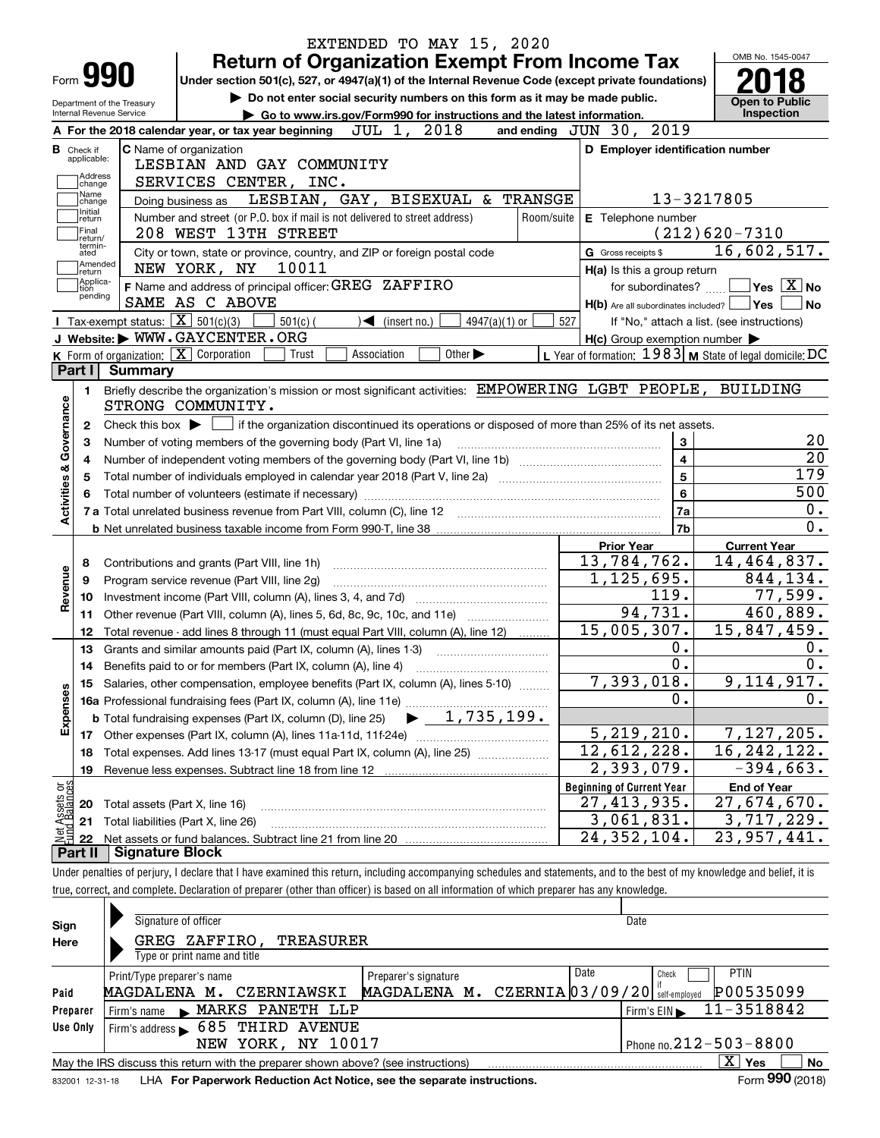|                                                                                                                                    |                                  |                        | EXTENDED TO MAY 15, 2020                                                                                                                                                   |            |                                                     |                                                           |  |
|------------------------------------------------------------------------------------------------------------------------------------|----------------------------------|------------------------|----------------------------------------------------------------------------------------------------------------------------------------------------------------------------|------------|-----------------------------------------------------|-----------------------------------------------------------|--|
|                                                                                                                                    |                                  |                        | <b>Return of Organization Exempt From Income Tax</b>                                                                                                                       |            |                                                     | OMB No. 1545-0047                                         |  |
|                                                                                                                                    | Form <b>990</b>                  |                        | Under section 501(c), 527, or 4947(a)(1) of the Internal Revenue Code (except private foundations)                                                                         |            |                                                     |                                                           |  |
| Do not enter social security numbers on this form as it may be made public.<br><b>Open to Public</b><br>Department of the Treasury |                                  |                        |                                                                                                                                                                            |            |                                                     |                                                           |  |
|                                                                                                                                    | Internal Revenue Service         |                        | Go to www.irs.gov/Form990 for instructions and the latest information.                                                                                                     |            |                                                     | Inspection                                                |  |
|                                                                                                                                    |                                  |                        | 2018<br>JUL 1,<br>A For the 2018 calendar year, or tax year beginning                                                                                                      |            | and ending JUN 30, 2019                             |                                                           |  |
|                                                                                                                                    | <b>B</b> Check if<br>applicable: |                        | <b>C</b> Name of organization                                                                                                                                              |            | D Employer identification number                    |                                                           |  |
|                                                                                                                                    | Address                          |                        | LESBIAN AND GAY COMMUNITY                                                                                                                                                  |            |                                                     |                                                           |  |
|                                                                                                                                    | change<br>Name                   |                        | SERVICES CENTER, INC.                                                                                                                                                      |            |                                                     |                                                           |  |
|                                                                                                                                    | change<br>Initial                |                        | LESBIAN, GAY, BISEXUAL & TRANSGE<br>Doing business as                                                                                                                      |            |                                                     | 13-3217805                                                |  |
|                                                                                                                                    | return                           |                        | Number and street (or P.O. box if mail is not delivered to street address)                                                                                                 | Room/suite | E Telephone number                                  |                                                           |  |
|                                                                                                                                    | Final<br>return/<br>termin-      |                        | 208 WEST 13TH STREET                                                                                                                                                       |            |                                                     | $(212)620 - 7310$                                         |  |
|                                                                                                                                    | ated<br>Amended                  |                        | City or town, state or province, country, and ZIP or foreign postal code                                                                                                   |            | G Gross receipts \$                                 | 16,602,517.                                               |  |
|                                                                                                                                    | return<br> Applica-              |                        | 10011<br>NEW YORK, NY                                                                                                                                                      |            | H(a) Is this a group return                         |                                                           |  |
|                                                                                                                                    | tion<br>pending                  |                        | F Name and address of principal officer: GREG ZAFFIRO                                                                                                                      |            | for subordinates? []                                | $\sqrt{}$ Yes $\sqrt{X}$ No                               |  |
|                                                                                                                                    |                                  |                        | SAME AS C ABOVE                                                                                                                                                            |            | $H(b)$ Are all subordinates included? $\Box$ Yes    | <b>No</b>                                                 |  |
|                                                                                                                                    |                                  |                        | Tax-exempt status: $\boxed{\mathbf{X}}$ 501(c)(3)<br>$501(c)$ (<br>$\sqrt{\frac{2}{1}}$ (insert no.)<br>$4947(a)(1)$ or                                                    | 527        |                                                     | If "No," attach a list. (see instructions)                |  |
|                                                                                                                                    |                                  |                        | J Website: WWW.GAYCENTER.ORG                                                                                                                                               |            | $H(c)$ Group exemption number $\blacktriangleright$ |                                                           |  |
|                                                                                                                                    | Part I                           | <b>Summary</b>         | K Form of organization: X Corporation<br>Trust<br>Association<br>Other $\blacktriangleright$                                                                               |            |                                                     | L Year of formation: $1983$ M State of legal domicile: DC |  |
|                                                                                                                                    |                                  |                        |                                                                                                                                                                            |            |                                                     |                                                           |  |
|                                                                                                                                    | 1.                               |                        | Briefly describe the organization's mission or most significant activities: EMPOWERING LGBT PEOPLE, BUILDING                                                               |            |                                                     |                                                           |  |
| Activities & Governance                                                                                                            |                                  |                        | STRONG COMMUNITY.                                                                                                                                                          |            |                                                     |                                                           |  |
|                                                                                                                                    | 2                                |                        | Check this box $\blacktriangleright$ $\Box$ if the organization discontinued its operations or disposed of more than 25% of its net assets.                                |            |                                                     | 20                                                        |  |
|                                                                                                                                    | з                                |                        | Number of voting members of the governing body (Part VI, line 1a)                                                                                                          |            | 3<br>$\overline{\mathbf{4}}$                        | 20                                                        |  |
|                                                                                                                                    | 4                                |                        |                                                                                                                                                                            |            | 5                                                   | 179                                                       |  |
|                                                                                                                                    | 5                                |                        |                                                                                                                                                                            |            | 6                                                   | 500                                                       |  |
|                                                                                                                                    |                                  |                        | 7 a Total unrelated business revenue from Part VIII, column (C), line 12 [11] [12] [11] [12] [11] [11] [12] [1                                                             |            | 7a                                                  | 0.                                                        |  |
|                                                                                                                                    |                                  |                        |                                                                                                                                                                            |            | 7b                                                  | 0.                                                        |  |
|                                                                                                                                    |                                  |                        |                                                                                                                                                                            |            | <b>Prior Year</b>                                   | <b>Current Year</b>                                       |  |
|                                                                                                                                    | 8                                |                        | Contributions and grants (Part VIII, line 1h)                                                                                                                              |            | 13,784,762.                                         | 14, 464, 837.                                             |  |
| Revenue                                                                                                                            | 9                                |                        | Program service revenue (Part VIII, line 2g)                                                                                                                               |            | 1,125,695.                                          | 844,134.                                                  |  |
|                                                                                                                                    | 10                               |                        |                                                                                                                                                                            |            | 119.                                                | 77,599.                                                   |  |
|                                                                                                                                    | 11                               |                        | Other revenue (Part VIII, column (A), lines 5, 6d, 8c, 9c, 10c, and 11e)                                                                                                   |            | 94,731.                                             | 460,889.                                                  |  |
|                                                                                                                                    | 12                               |                        | Total revenue - add lines 8 through 11 (must equal Part VIII, column (A), line 12)                                                                                         |            | 15,005,307.                                         | 15,847,459.                                               |  |
|                                                                                                                                    | 13                               |                        | Grants and similar amounts paid (Part IX, column (A), lines 1-3)                                                                                                           |            | 0.                                                  | 0.                                                        |  |
|                                                                                                                                    |                                  |                        | 14 Benefits paid to or for members (Part IX, column (A), line 4)                                                                                                           |            | 0.                                                  | 0.                                                        |  |
|                                                                                                                                    | 15                               |                        | Salaries, other compensation, employee benefits (Part IX, column (A), lines 5-10)                                                                                          |            | 7,393,018.                                          | 9,114,917.                                                |  |
| Expenses                                                                                                                           |                                  |                        |                                                                                                                                                                            |            | 0.                                                  | 0.                                                        |  |
|                                                                                                                                    |                                  |                        | $\blacktriangleright$ 1,735,199.<br><b>b</b> Total fundraising expenses (Part IX, column (D), line 25)                                                                     |            |                                                     |                                                           |  |
|                                                                                                                                    | 17                               |                        |                                                                                                                                                                            |            | 5, 219, 210.                                        | 7,127,205.                                                |  |
|                                                                                                                                    | 18                               |                        | Total expenses. Add lines 13-17 (must equal Part IX, column (A), line 25)                                                                                                  |            | 12,612,228.                                         | 16, 242, 122.                                             |  |
|                                                                                                                                    | 19                               |                        | Revenue less expenses. Subtract line 18 from line 12                                                                                                                       |            | 2,393,079.                                          | $-394,663.$                                               |  |
|                                                                                                                                    |                                  |                        |                                                                                                                                                                            |            | <b>Beginning of Current Year</b>                    | <b>End of Year</b>                                        |  |
| Net Assets or<br>Fund Balances                                                                                                     | 20                               |                        | Total assets (Part X, line 16)                                                                                                                                             |            | 27,413,935.                                         | 27,674,670.                                               |  |
|                                                                                                                                    | 21                               |                        | Total liabilities (Part X, line 26)                                                                                                                                        |            | 3,061,831.                                          | 3,717,229.                                                |  |
|                                                                                                                                    | 22                               |                        |                                                                                                                                                                            |            | 24, 352, 104.                                       | 23,957,441.                                               |  |
|                                                                                                                                    | Part II                          | <b>Signature Block</b> |                                                                                                                                                                            |            |                                                     |                                                           |  |
|                                                                                                                                    |                                  |                        | Under penalties of perjury, I declare that I have examined this return, including accompanying schedules and statements, and to the best of my knowledge and belief, it is |            |                                                     |                                                           |  |
|                                                                                                                                    |                                  |                        | true, correct, and complete. Declaration of preparer (other than officer) is based on all information of which preparer has any knowledge.                                 |            |                                                     |                                                           |  |
|                                                                                                                                    |                                  |                        |                                                                                                                                                                            |            |                                                     |                                                           |  |
| Sign                                                                                                                               |                                  |                        | Signature of officer                                                                                                                                                       |            | Date                                                |                                                           |  |
| Here                                                                                                                               |                                  |                        | GREG ZAFFIRO,<br><b>TREASURER</b>                                                                                                                                          |            |                                                     |                                                           |  |
|                                                                                                                                    |                                  |                        | Type or print name and title                                                                                                                                               |            |                                                     |                                                           |  |

|                                                                                                | r ypo or print namo and tho                           |                      |                                             |                              |  |
|------------------------------------------------------------------------------------------------|-------------------------------------------------------|----------------------|---------------------------------------------|------------------------------|--|
|                                                                                                | Print/Type preparer's name                            | Preparer's signature | Date                                        | <b>PTIN</b><br>Check         |  |
| Paid                                                                                           | MAGDALENA M. CZERNIAWSKI                              |                      | MAGDALENA M. CZERNIA 03/09/20 self-employed | P00535099                    |  |
| Preparer                                                                                       | $\blacktriangleright$ MARKS PANETH LLP<br>Firm's name |                      |                                             | 11-3518842<br>Firm's $EIN$   |  |
| Use Only                                                                                       | Firm's address > 685 THIRD AVENUE                     |                      |                                             |                              |  |
|                                                                                                | YORK, NY 10017<br>NEW                                 |                      |                                             | Phone no. $212 - 503 - 8800$ |  |
| Yes<br>May the IRS discuss this return with the preparer shown above? (see instructions)<br>No |                                                       |                      |                                             |                              |  |

832001\_12-31-18 LHA **For Paperwork Reduction Act Notice, see the separate instructions.** Form 990 (2018)

**990**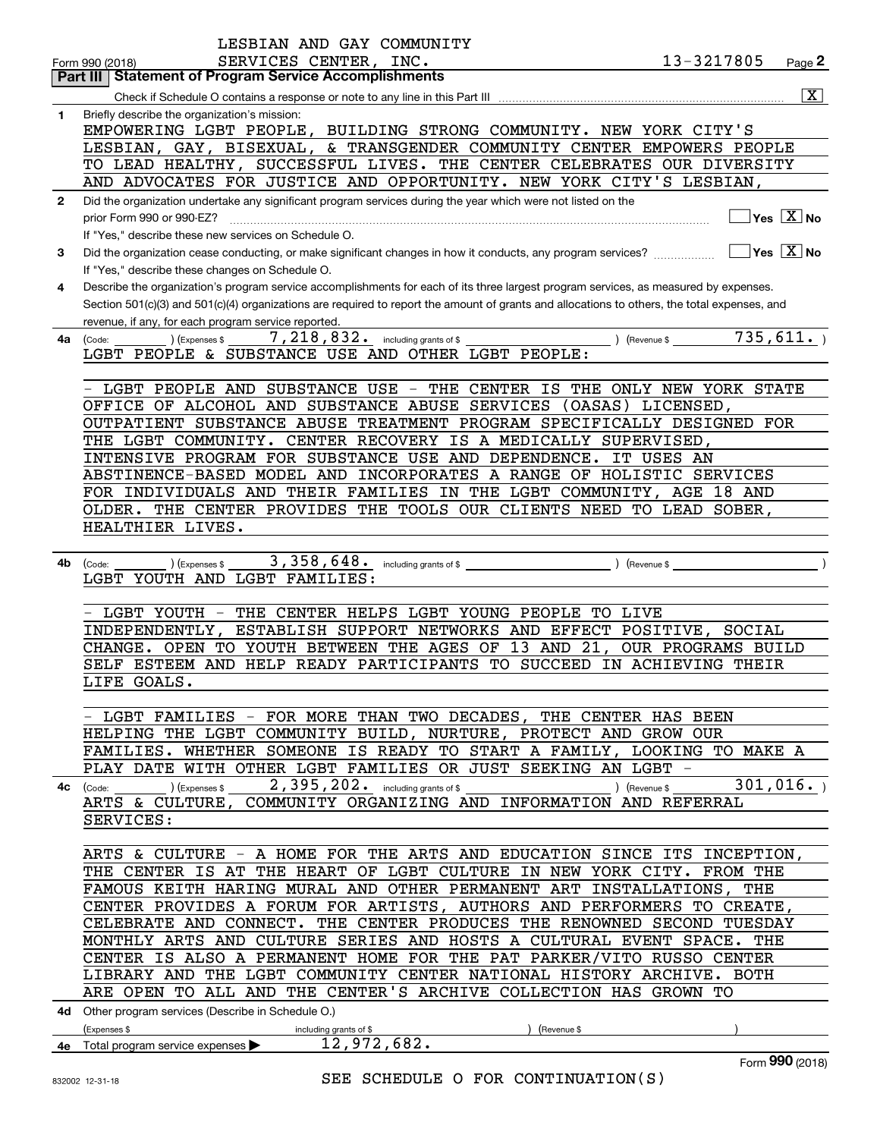|              | LESBIAN AND GAY COMMUNITY                                                                                                                                 |                      |
|--------------|-----------------------------------------------------------------------------------------------------------------------------------------------------------|----------------------|
|              | 13-3217805<br>SERVICES CENTER, INC.<br>Page $2$<br>Form 990 (2018)                                                                                        |                      |
|              | <b>Part III   Statement of Program Service Accomplishments</b>                                                                                            |                      |
|              |                                                                                                                                                           | $\boxed{\textbf{X}}$ |
| 1            | Briefly describe the organization's mission:                                                                                                              |                      |
|              | EMPOWERING LGBT PEOPLE, BUILDING STRONG COMMUNITY. NEW YORK CITY'S                                                                                        |                      |
|              | LESBIAN, GAY, BISEXUAL, & TRANSGENDER COMMUNITY CENTER EMPOWERS PEOPLE                                                                                    |                      |
|              | TO LEAD HEALTHY, SUCCESSFUL LIVES. THE CENTER CELEBRATES OUR DIVERSITY                                                                                    |                      |
|              | AND ADVOCATES FOR JUSTICE AND OPPORTUNITY. NEW YORK CITY'S LESBIAN,                                                                                       |                      |
| $\mathbf{2}$ | Did the organization undertake any significant program services during the year which were not listed on the                                              |                      |
|              | $\sqrt{}$ Yes $\sqrt{}$ $\overline{\rm X}$ No<br>prior Form 990 or 990-EZ?                                                                                |                      |
|              | If "Yes," describe these new services on Schedule O.                                                                                                      |                      |
| 3            | $\overline{\ }$ Yes $\overline{\ \ X}$ No<br>Did the organization cease conducting, or make significant changes in how it conducts, any program services? |                      |
|              | If "Yes," describe these changes on Schedule O.                                                                                                           |                      |
| 4            | Describe the organization's program service accomplishments for each of its three largest program services, as measured by expenses.                      |                      |
|              | Section 501(c)(3) and 501(c)(4) organizations are required to report the amount of grants and allocations to others, the total expenses, and              |                      |
|              | revenue, if any, for each program service reported.<br>) (Revenue \$ 735, 611.)<br>7, $218$ , $832$ . including grants of \$                              |                      |
| 4a l         | (Expenses \$<br>(Code:<br>LGBT PEOPLE & SUBSTANCE USE AND OTHER LGBT PEOPLE:                                                                              |                      |
|              |                                                                                                                                                           |                      |
|              | LGBT PEOPLE AND SUBSTANCE USE - THE CENTER IS THE ONLY NEW YORK STATE                                                                                     |                      |
|              | OFFICE OF ALCOHOL AND SUBSTANCE ABUSE SERVICES (OASAS) LICENSED,                                                                                          |                      |
|              | OUTPATIENT SUBSTANCE ABUSE TREATMENT PROGRAM SPECIFICALLY DESIGNED FOR                                                                                    |                      |
|              | THE LGBT COMMUNITY. CENTER RECOVERY IS A MEDICALLY SUPERVISED,                                                                                            |                      |
|              | INTENSIVE PROGRAM FOR SUBSTANCE USE AND DEPENDENCE. IT USES AN                                                                                            |                      |
|              | ABSTINENCE-BASED MODEL AND INCORPORATES A RANGE OF HOLISTIC SERVICES                                                                                      |                      |
|              | FOR INDIVIDUALS AND THEIR FAMILIES IN THE LGBT COMMUNITY, AGE 18 AND                                                                                      |                      |
|              | OLDER. THE CENTER PROVIDES THE TOOLS OUR CLIENTS NEED TO LEAD SOBER,                                                                                      |                      |
|              | HEALTHIER LIVES.                                                                                                                                          |                      |
|              |                                                                                                                                                           |                      |
|              | 4b (Code:<br>) (Expenses \$                                                                                                                               |                      |
|              |                                                                                                                                                           |                      |
|              | LGBT YOUTH AND LGBT FAMILIES:                                                                                                                             |                      |
|              |                                                                                                                                                           |                      |
|              | LGBT YOUTH - THE CENTER HELPS LGBT YOUNG PEOPLE TO LIVE                                                                                                   |                      |
|              | INDEPENDENTLY, ESTABLISH SUPPORT NETWORKS AND EFFECT POSITIVE, SOCIAL                                                                                     |                      |
|              | CHANGE. OPEN TO YOUTH BETWEEN THE AGES OF 13 AND 21, OUR PROGRAMS BUILD                                                                                   |                      |
|              | SELF ESTEEM AND HELP READY PARTICIPANTS TO SUCCEED IN ACHIEVING THEIR                                                                                     |                      |
|              | LIFE GOALS.                                                                                                                                               |                      |
|              |                                                                                                                                                           |                      |
|              | - LGBT FAMILIES - FOR MORE THAN TWO DECADES, THE CENTER HAS BEEN                                                                                          |                      |
|              | HELPING THE LGBT COMMUNITY BUILD, NURTURE, PROTECT AND GROW OUR                                                                                           |                      |
|              | FAMILIES. WHETHER SOMEONE IS READY TO START A FAMILY, LOOKING TO MAKE A                                                                                   |                      |
|              | PLAY DATE WITH OTHER LGBT FAMILIES OR JUST SEEKING AN LGBT -                                                                                              |                      |
|              | 301,016.<br>$2,395,202$ and including grants of \$<br>) (Expenses \$<br>) (Revenue \$<br>4c (Code:                                                        |                      |
|              | ARTS & CULTURE, COMMUNITY ORGANIZING AND INFORMATION AND REFERRAL                                                                                         |                      |
|              | SERVICES:                                                                                                                                                 |                      |
|              |                                                                                                                                                           |                      |
|              | ARTS & CULTURE - A HOME FOR THE ARTS AND EDUCATION SINCE ITS INCEPTION,                                                                                   |                      |
|              | THE CENTER IS AT THE HEART OF LGBT CULTURE IN NEW YORK CITY. FROM THE<br>FAMOUS KEITH HARING MURAL AND OTHER PERMANENT ART INSTALLATIONS, THE             |                      |
|              | CENTER PROVIDES A FORUM FOR ARTISTS, AUTHORS AND PERFORMERS TO CREATE,                                                                                    |                      |
|              | CELEBRATE AND CONNECT. THE CENTER PRODUCES THE RENOWNED SECOND TUESDAY                                                                                    |                      |
|              | MONTHLY ARTS AND CULTURE SERIES AND HOSTS A CULTURAL EVENT SPACE. THE                                                                                     |                      |
|              | CENTER IS ALSO A PERMANENT HOME FOR THE PAT PARKER/VITO RUSSO CENTER                                                                                      |                      |
|              | LIBRARY AND THE LGBT COMMUNITY CENTER NATIONAL HISTORY ARCHIVE. BOTH                                                                                      |                      |
|              | ARE OPEN TO ALL AND THE CENTER'S ARCHIVE COLLECTION HAS GROWN TO                                                                                          |                      |
|              | 4d Other program services (Describe in Schedule O.)                                                                                                       |                      |
|              | (Expenses \$<br>(Revenue \$<br>including grants of \$                                                                                                     |                      |
|              | 12,972,682.<br>4e Total program service expenses $\blacktriangleright$<br>Form 990 (2018)                                                                 |                      |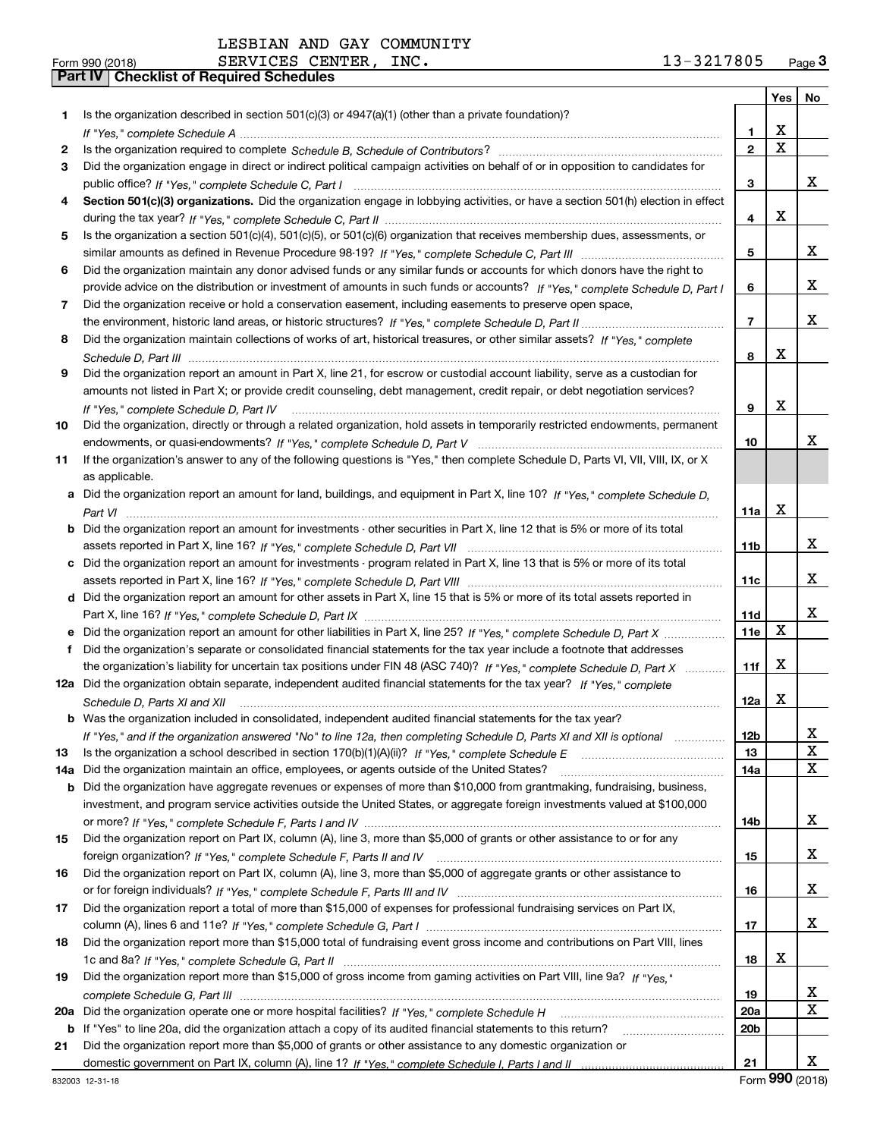|  |  |  |  | LESBIAN AND GAY COMMUNITY |
|--|--|--|--|---------------------------|
|--|--|--|--|---------------------------|

|     |                                                                                                                                  |                 | Yes | No                                   |
|-----|----------------------------------------------------------------------------------------------------------------------------------|-----------------|-----|--------------------------------------|
| 1.  | Is the organization described in section $501(c)(3)$ or $4947(a)(1)$ (other than a private foundation)?                          |                 |     |                                      |
|     |                                                                                                                                  | 1               | х   |                                      |
| 2   |                                                                                                                                  | $\mathbf{2}$    | X   |                                      |
| 3   | Did the organization engage in direct or indirect political campaign activities on behalf of or in opposition to candidates for  |                 |     |                                      |
|     |                                                                                                                                  | 3               |     | X.                                   |
| 4   | Section 501(c)(3) organizations. Did the organization engage in lobbying activities, or have a section 501(h) election in effect |                 |     |                                      |
|     |                                                                                                                                  | 4               | х   |                                      |
| 5   | Is the organization a section 501(c)(4), 501(c)(5), or 501(c)(6) organization that receives membership dues, assessments, or     |                 |     |                                      |
|     |                                                                                                                                  | 5               |     | x                                    |
| 6   | Did the organization maintain any donor advised funds or any similar funds or accounts for which donors have the right to        |                 |     |                                      |
|     | provide advice on the distribution or investment of amounts in such funds or accounts? If "Yes," complete Schedule D, Part I     | 6               |     | X.                                   |
| 7   | Did the organization receive or hold a conservation easement, including easements to preserve open space,                        |                 |     |                                      |
|     |                                                                                                                                  | $\overline{7}$  |     | x                                    |
| 8   | Did the organization maintain collections of works of art, historical treasures, or other similar assets? If "Yes," complete     |                 |     |                                      |
|     |                                                                                                                                  | 8               | х   |                                      |
| 9   | Did the organization report an amount in Part X, line 21, for escrow or custodial account liability, serve as a custodian for    |                 |     |                                      |
|     | amounts not listed in Part X; or provide credit counseling, debt management, credit repair, or debt negotiation services?        |                 |     |                                      |
|     |                                                                                                                                  | 9               | x   |                                      |
| 10  | Did the organization, directly or through a related organization, hold assets in temporarily restricted endowments, permanent    |                 |     |                                      |
|     |                                                                                                                                  | 10              |     | x.                                   |
| 11  | If the organization's answer to any of the following questions is "Yes," then complete Schedule D, Parts VI, VII, VIII, IX, or X |                 |     |                                      |
|     | as applicable.                                                                                                                   |                 |     |                                      |
| а   | Did the organization report an amount for land, buildings, and equipment in Part X, line 10? If "Yes," complete Schedule D,      |                 | X   |                                      |
|     | Did the organization report an amount for investments - other securities in Part X, line 12 that is 5% or more of its total      | 11a             |     |                                      |
| b   |                                                                                                                                  | 11 <sub>b</sub> |     | X.                                   |
| c   | Did the organization report an amount for investments - program related in Part X, line 13 that is 5% or more of its total       |                 |     |                                      |
|     |                                                                                                                                  | 11c             |     | X.                                   |
|     | d Did the organization report an amount for other assets in Part X, line 15 that is 5% or more of its total assets reported in   |                 |     |                                      |
|     |                                                                                                                                  | 11d             |     | x                                    |
|     | Did the organization report an amount for other liabilities in Part X, line 25? If "Yes," complete Schedule D, Part X            | 11e             | X   |                                      |
| f   | Did the organization's separate or consolidated financial statements for the tax year include a footnote that addresses          |                 |     |                                      |
|     | the organization's liability for uncertain tax positions under FIN 48 (ASC 740)? If "Yes," complete Schedule D, Part X           | 11f             | x   |                                      |
| 12a | Did the organization obtain separate, independent audited financial statements for the tax year? If "Yes," complete              |                 |     |                                      |
|     | Schedule D, Parts XI and XII                                                                                                     | 12a             | х   |                                      |
|     | Was the organization included in consolidated, independent audited financial statements for the tax year?                        |                 |     |                                      |
|     | If "Yes," and if the organization answered "No" to line 12a, then completing Schedule D, Parts XI and XII is optional            | 12 <sub>b</sub> |     | $\underline{\underline{\mathbf{X}}}$ |
| 13  | Is the organization a school described in section 170(b)(1)(A)(ii)? If "Yes," complete Schedule E                                | 13              |     | X                                    |
| 14a | Did the organization maintain an office, employees, or agents outside of the United States?                                      | 14a             |     | X                                    |
| b   | Did the organization have aggregate revenues or expenses of more than \$10,000 from grantmaking, fundraising, business,          |                 |     |                                      |
|     | investment, and program service activities outside the United States, or aggregate foreign investments valued at \$100,000       |                 |     |                                      |
|     |                                                                                                                                  | 14b             |     | X.                                   |
| 15  | Did the organization report on Part IX, column (A), line 3, more than \$5,000 of grants or other assistance to or for any        |                 |     |                                      |
|     |                                                                                                                                  | 15              |     | X.                                   |
| 16  | Did the organization report on Part IX, column (A), line 3, more than \$5,000 of aggregate grants or other assistance to         |                 |     |                                      |
|     |                                                                                                                                  | 16              |     | X.                                   |
| 17  | Did the organization report a total of more than \$15,000 of expenses for professional fundraising services on Part IX,          |                 |     | X.                                   |
|     | Did the organization report more than \$15,000 total of fundraising event gross income and contributions on Part VIII, lines     | 17              |     |                                      |
| 18  |                                                                                                                                  | 18              | х   |                                      |
| 19  | Did the organization report more than \$15,000 of gross income from gaming activities on Part VIII, line 9a? If "Yes."           |                 |     |                                      |
|     |                                                                                                                                  | 19              |     | X.                                   |
| 20a | Did the organization operate one or more hospital facilities? If "Yes," complete Schedule H                                      | <b>20a</b>      |     | X                                    |
| b   | If "Yes" to line 20a, did the organization attach a copy of its audited financial statements to this return?                     | 20 <sub>b</sub> |     |                                      |
| 21  | Did the organization report more than \$5,000 of grants or other assistance to any domestic organization or                      |                 |     |                                      |
|     |                                                                                                                                  | 21              |     | x                                    |
|     |                                                                                                                                  |                 |     |                                      |

Form (2018) **990**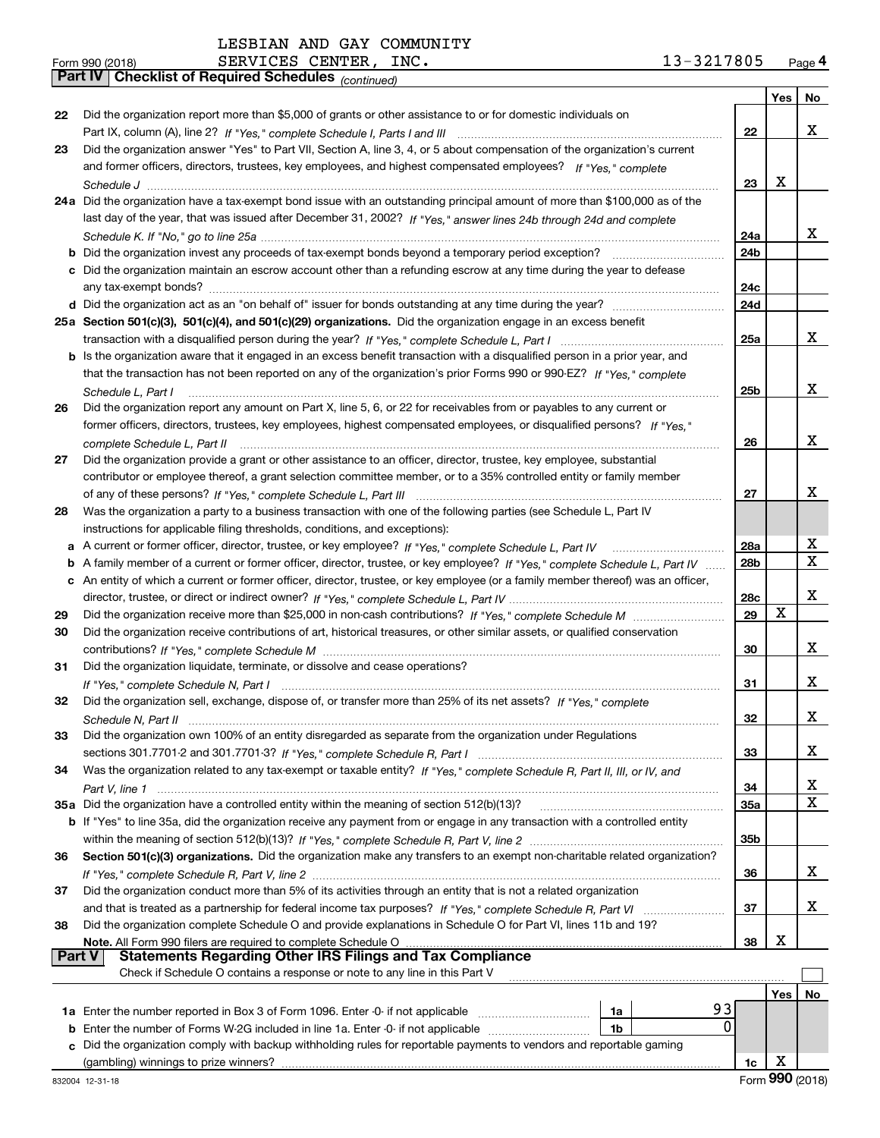*(continued)*

| Form 990 (2018) |                                                       | SERVICES CENTER, | INC. | 13-3217805 | Page 4 |
|-----------------|-------------------------------------------------------|------------------|------|------------|--------|
|                 | Part IV   Checklist of Required Schedules (continued) |                  |      |            |        |

|               |                                                                                                                                                                                     |                 | Yes | No |
|---------------|-------------------------------------------------------------------------------------------------------------------------------------------------------------------------------------|-----------------|-----|----|
| 22            | Did the organization report more than \$5,000 of grants or other assistance to or for domestic individuals on                                                                       |                 |     |    |
|               |                                                                                                                                                                                     | 22              |     | x  |
| 23            | Did the organization answer "Yes" to Part VII, Section A, line 3, 4, or 5 about compensation of the organization's current                                                          |                 |     |    |
|               | and former officers, directors, trustees, key employees, and highest compensated employees? If "Yes," complete                                                                      |                 |     |    |
|               |                                                                                                                                                                                     | 23              | X   |    |
|               | 24a Did the organization have a tax-exempt bond issue with an outstanding principal amount of more than \$100,000 as of the                                                         |                 |     |    |
|               | last day of the year, that was issued after December 31, 2002? If "Yes," answer lines 24b through 24d and complete                                                                  |                 |     |    |
|               |                                                                                                                                                                                     | 24a             |     | x  |
|               |                                                                                                                                                                                     | 24b             |     |    |
|               | c Did the organization maintain an escrow account other than a refunding escrow at any time during the year to defease                                                              |                 |     |    |
|               |                                                                                                                                                                                     | 24c             |     |    |
|               |                                                                                                                                                                                     | 24d             |     |    |
|               | 25a Section 501(c)(3), 501(c)(4), and 501(c)(29) organizations. Did the organization engage in an excess benefit                                                                    |                 |     |    |
|               |                                                                                                                                                                                     | 25a             |     | x  |
|               | b Is the organization aware that it engaged in an excess benefit transaction with a disqualified person in a prior year, and                                                        |                 |     |    |
|               | that the transaction has not been reported on any of the organization's prior Forms 990 or 990-EZ? If "Yes." complete                                                               |                 |     |    |
|               | Schedule L. Part I                                                                                                                                                                  | 25b             |     | x  |
| 26            | Did the organization report any amount on Part X, line 5, 6, or 22 for receivables from or payables to any current or                                                               |                 |     |    |
|               | former officers, directors, trustees, key employees, highest compensated employees, or disqualified persons? If "Yes."                                                              |                 |     |    |
|               | complete Schedule L. Part II                                                                                                                                                        | 26              |     | x  |
| 27            | Did the organization provide a grant or other assistance to an officer, director, trustee, key employee, substantial                                                                |                 |     |    |
|               | contributor or employee thereof, a grant selection committee member, or to a 35% controlled entity or family member                                                                 |                 |     |    |
|               |                                                                                                                                                                                     | 27              |     | x  |
| 28            | Was the organization a party to a business transaction with one of the following parties (see Schedule L, Part IV                                                                   |                 |     |    |
|               | instructions for applicable filing thresholds, conditions, and exceptions):                                                                                                         |                 |     |    |
| а             |                                                                                                                                                                                     | 28a             |     | х  |
| b             | A family member of a current or former officer, director, trustee, or key employee? If "Yes," complete Schedule L, Part IV                                                          | 28b             |     | x  |
|               | c An entity of which a current or former officer, director, trustee, or key employee (or a family member thereof) was an officer,                                                   |                 |     |    |
|               |                                                                                                                                                                                     | 28c             |     | x  |
| 29            |                                                                                                                                                                                     | 29              | X   |    |
| 30            | Did the organization receive contributions of art, historical treasures, or other similar assets, or qualified conservation                                                         |                 |     |    |
|               |                                                                                                                                                                                     | 30              |     | x  |
| 31            | Did the organization liquidate, terminate, or dissolve and cease operations?                                                                                                        |                 |     |    |
|               |                                                                                                                                                                                     | 31              |     | x  |
| 32            | Did the organization sell, exchange, dispose of, or transfer more than 25% of its net assets? If "Yes," complete                                                                    |                 |     |    |
|               |                                                                                                                                                                                     | 32              |     | x  |
| 33            | Did the organization own 100% of an entity disregarded as separate from the organization under Regulations                                                                          |                 |     |    |
|               |                                                                                                                                                                                     | 33              |     | x  |
| 34            | Was the organization related to any tax-exempt or taxable entity? If "Yes," complete Schedule R, Part II, III, or IV, and                                                           |                 |     | х  |
|               | 35a Did the organization have a controlled entity within the meaning of section 512(b)(13)?                                                                                         | 34              |     | x  |
|               |                                                                                                                                                                                     | 35a             |     |    |
|               | b If "Yes" to line 35a, did the organization receive any payment from or engage in any transaction with a controlled entity                                                         |                 |     |    |
| 36            | Section 501(c)(3) organizations. Did the organization make any transfers to an exempt non-charitable related organization?                                                          | 35 <sub>b</sub> |     |    |
|               |                                                                                                                                                                                     | 36              |     | x  |
| 37            | Did the organization conduct more than 5% of its activities through an entity that is not a related organization                                                                    |                 |     |    |
|               |                                                                                                                                                                                     | 37              |     | x  |
| 38            | Did the organization complete Schedule O and provide explanations in Schedule O for Part VI, lines 11b and 19?                                                                      |                 |     |    |
|               | Note. All Form 990 filers are required to complete Schedule O                                                                                                                       | 38              | х   |    |
| <b>Part V</b> | <u>nice vince and help are required to complete Schedule O manual manual manual manual manual manual manual manua<br/>Statements Regarding Other IRS Filings and Tax Compliance</u> |                 |     |    |
|               | Check if Schedule O contains a response or note to any line in this Part V                                                                                                          |                 |     |    |
|               |                                                                                                                                                                                     |                 | Yes | No |
|               | 93<br>1a Enter the number reported in Box 3 of Form 1096. Enter -0- if not applicable<br>1a                                                                                         |                 |     |    |
| b             | 0<br>Enter the number of Forms W-2G included in line 1a. Enter -0- if not applicable<br>1b                                                                                          |                 |     |    |
|               | Did the organization comply with backup withholding rules for reportable payments to vendors and reportable gaming                                                                  |                 |     |    |
|               |                                                                                                                                                                                     | 1c              | х   |    |
|               |                                                                                                                                                                                     |                 | nnn |    |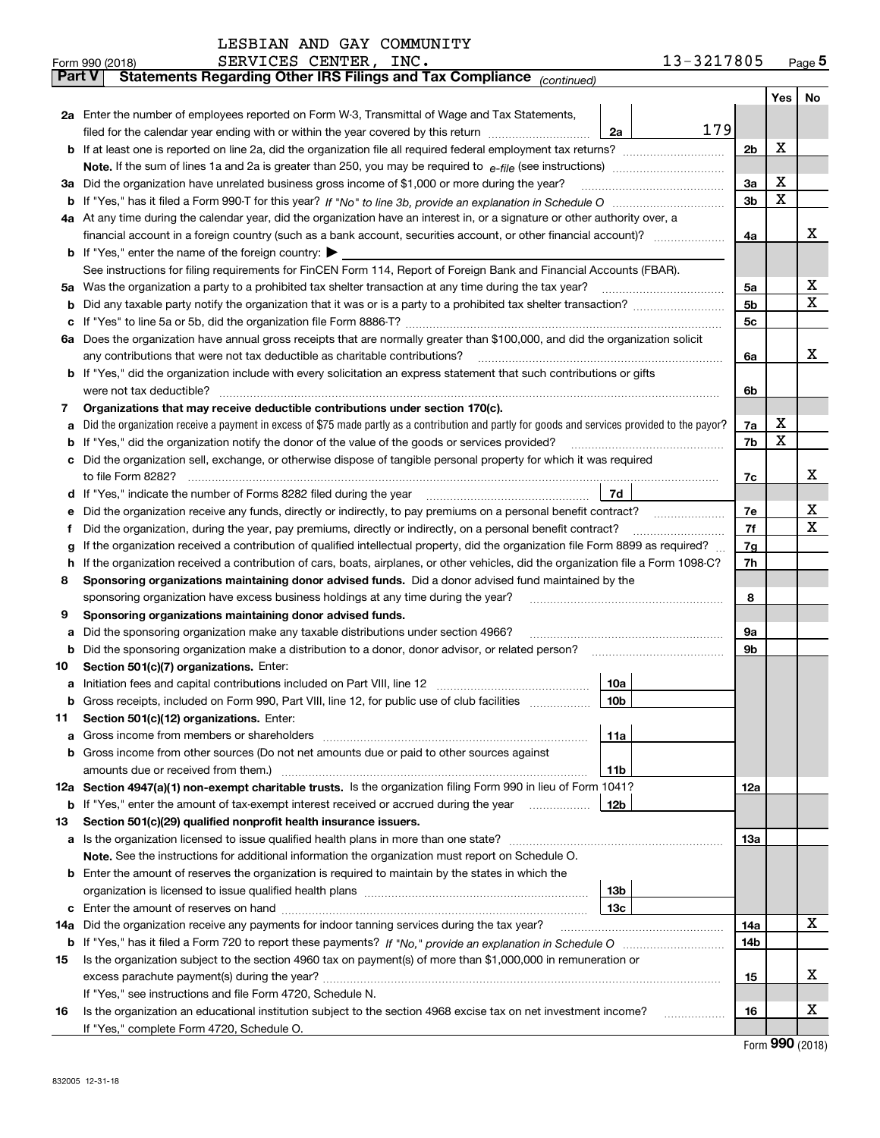|  | LESBIAN AND GAY COMMUNITY |
|--|---------------------------|
|  |                           |

|               | 13-3217805<br>SERVICES CENTER, INC.<br>Form 990 (2018)                                                                                                                        |                |     | $_{\text{Page}}$ 5 |
|---------------|-------------------------------------------------------------------------------------------------------------------------------------------------------------------------------|----------------|-----|--------------------|
| <b>Part V</b> | Statements Regarding Other IRS Filings and Tax Compliance (continued)                                                                                                         |                |     |                    |
|               |                                                                                                                                                                               |                | Yes | No                 |
|               | 2a Enter the number of employees reported on Form W-3, Transmittal of Wage and Tax Statements,                                                                                |                |     |                    |
|               | 179<br>filed for the calendar year ending with or within the year covered by this return <i>[[[[[[[[[[[[[[]]]</i> ]]<br>2a                                                    |                |     |                    |
|               |                                                                                                                                                                               | 2b             | х   |                    |
|               |                                                                                                                                                                               |                |     |                    |
|               | 3a Did the organization have unrelated business gross income of \$1,000 or more during the year?                                                                              | 3a             | x   |                    |
|               |                                                                                                                                                                               | 3 <sub>b</sub> | X   |                    |
|               | 4a At any time during the calendar year, did the organization have an interest in, or a signature or other authority over, a                                                  |                |     |                    |
|               |                                                                                                                                                                               | 4a             |     | х                  |
|               | <b>b</b> If "Yes," enter the name of the foreign country: $\blacktriangleright$                                                                                               |                |     |                    |
|               | See instructions for filing requirements for FinCEN Form 114, Report of Foreign Bank and Financial Accounts (FBAR).                                                           |                |     |                    |
|               | 5a Was the organization a party to a prohibited tax shelter transaction at any time during the tax year?                                                                      | 5a             |     | х                  |
| b             |                                                                                                                                                                               | 5 <sub>b</sub> |     | х                  |
| c             |                                                                                                                                                                               | 5c             |     |                    |
|               | 6a Does the organization have annual gross receipts that are normally greater than \$100,000, and did the organization solicit                                                |                |     |                    |
|               | any contributions that were not tax deductible as charitable contributions?                                                                                                   | 6a             |     | х                  |
|               | <b>b</b> If "Yes," did the organization include with every solicitation an express statement that such contributions or gifts                                                 |                |     |                    |
|               | were not tax deductible?                                                                                                                                                      | 6b             |     |                    |
| 7             | Organizations that may receive deductible contributions under section 170(c).                                                                                                 |                |     |                    |
| а             | Did the organization receive a payment in excess of \$75 made partly as a contribution and partly for goods and services provided to the payor?                               | 7a             | x   |                    |
| b             | If "Yes," did the organization notify the donor of the value of the goods or services provided?                                                                               | 7b             | X   |                    |
|               | c Did the organization sell, exchange, or otherwise dispose of tangible personal property for which it was required                                                           |                |     |                    |
|               |                                                                                                                                                                               | 7c             |     | х                  |
|               | 7d                                                                                                                                                                            |                |     |                    |
| е             | Did the organization receive any funds, directly or indirectly, to pay premiums on a personal benefit contract?                                                               | 7e             |     | х                  |
| f             | Did the organization, during the year, pay premiums, directly or indirectly, on a personal benefit contract?                                                                  | 7f             |     | х                  |
| g             | If the organization received a contribution of qualified intellectual property, did the organization file Form 8899 as required?                                              | 7g             |     |                    |
| h.            | If the organization received a contribution of cars, boats, airplanes, or other vehicles, did the organization file a Form 1098-C?                                            | 7h             |     |                    |
| 8             | Sponsoring organizations maintaining donor advised funds. Did a donor advised fund maintained by the                                                                          |                |     |                    |
|               | sponsoring organization have excess business holdings at any time during the year?                                                                                            | 8              |     |                    |
| 9             | Sponsoring organizations maintaining donor advised funds.                                                                                                                     |                |     |                    |
| а             | Did the sponsoring organization make any taxable distributions under section 4966?                                                                                            | 9а             |     |                    |
| b             | Did the sponsoring organization make a distribution to a donor, donor advisor, or related person?                                                                             | 9b             |     |                    |
| 10            | Section 501(c)(7) organizations. Enter:                                                                                                                                       |                |     |                    |
|               | 10a                                                                                                                                                                           |                |     |                    |
|               | 10b <br>Gross receipts, included on Form 990, Part VIII, line 12, for public use of club facilities                                                                           |                |     |                    |
| 11            | Section 501(c)(12) organizations. Enter:                                                                                                                                      |                |     |                    |
| a             | 11a                                                                                                                                                                           |                |     |                    |
|               | b Gross income from other sources (Do not net amounts due or paid to other sources against                                                                                    |                |     |                    |
|               | 11b                                                                                                                                                                           |                |     |                    |
|               | 12a Section 4947(a)(1) non-exempt charitable trusts. Is the organization filing Form 990 in lieu of Form 1041?                                                                | <b>12a</b>     |     |                    |
|               | 12b<br><b>b</b> If "Yes," enter the amount of tax-exempt interest received or accrued during the year                                                                         |                |     |                    |
| 13            | Section 501(c)(29) qualified nonprofit health insurance issuers.                                                                                                              |                |     |                    |
|               | a Is the organization licensed to issue qualified health plans in more than one state?                                                                                        | <b>13a</b>     |     |                    |
|               | Note. See the instructions for additional information the organization must report on Schedule O.                                                                             |                |     |                    |
|               | <b>b</b> Enter the amount of reserves the organization is required to maintain by the states in which the                                                                     |                |     |                    |
|               | 13b                                                                                                                                                                           |                |     |                    |
|               | 13с                                                                                                                                                                           |                |     | x                  |
| 14a           | Did the organization receive any payments for indoor tanning services during the tax year?                                                                                    | 14a            |     |                    |
| b             |                                                                                                                                                                               | 14b            |     |                    |
| 15            | Is the organization subject to the section 4960 tax on payment(s) of more than \$1,000,000 in remuneration or                                                                 |                |     | x                  |
|               |                                                                                                                                                                               | 15             |     |                    |
| 16            | If "Yes," see instructions and file Form 4720, Schedule N.<br>Is the organization an educational institution subject to the section 4968 excise tax on net investment income? | 16             |     | x                  |
|               | If "Yes," complete Form 4720, Schedule O.                                                                                                                                     |                |     |                    |
|               |                                                                                                                                                                               |                |     |                    |

Form (2018) **990**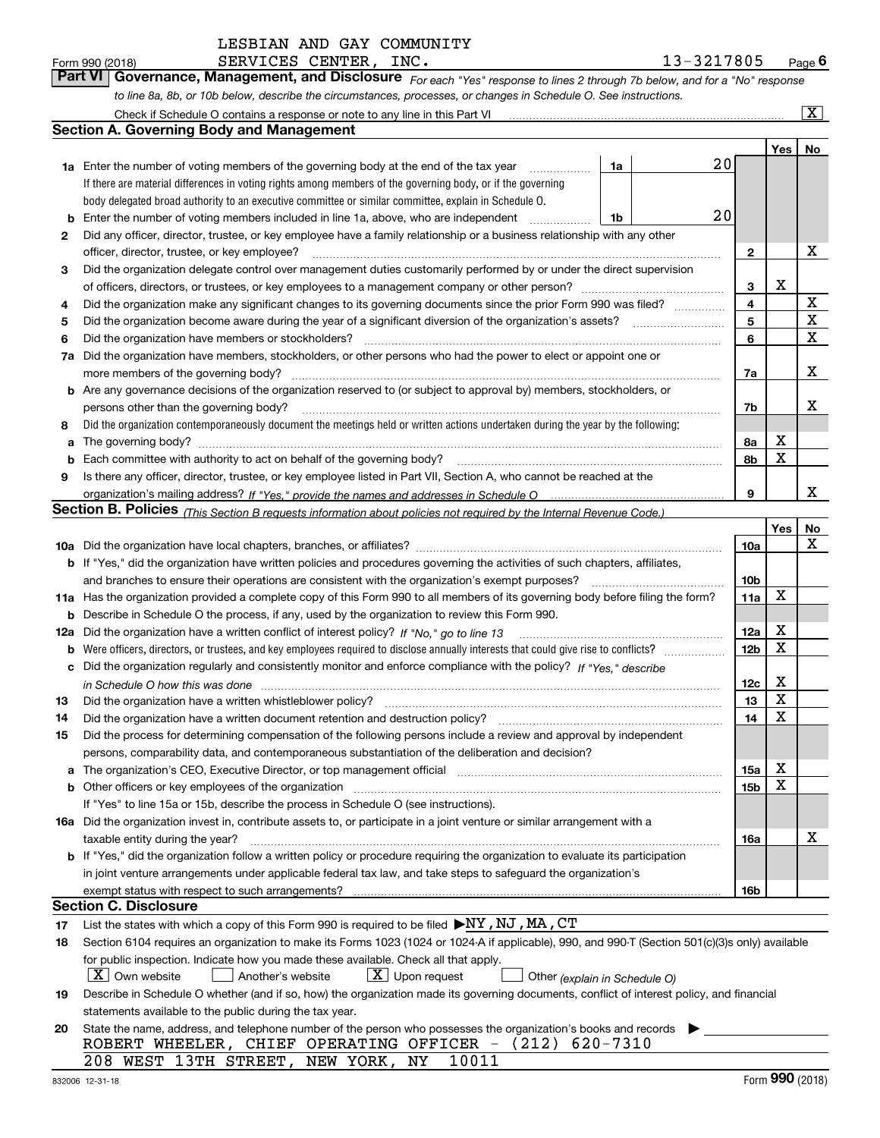|        |                                                                                                                                                                                                                                        |                 | Yes | No          |
|--------|----------------------------------------------------------------------------------------------------------------------------------------------------------------------------------------------------------------------------------------|-----------------|-----|-------------|
|        | 20<br>1a<br><b>1a</b> Enter the number of voting members of the governing body at the end of the tax year                                                                                                                              |                 |     |             |
|        | If there are material differences in voting rights among members of the governing body, or if the governing                                                                                                                            |                 |     |             |
|        | body delegated broad authority to an executive committee or similar committee, explain in Schedule O.                                                                                                                                  |                 |     |             |
| b      | 20<br>Enter the number of voting members included in line 1a, above, who are independent<br>1b<br>.                                                                                                                                    |                 |     |             |
| 2      | Did any officer, director, trustee, or key employee have a family relationship or a business relationship with any other                                                                                                               |                 |     |             |
|        | officer, director, trustee, or key employee?                                                                                                                                                                                           | 2               |     | х           |
| 3      | Did the organization delegate control over management duties customarily performed by or under the direct supervision                                                                                                                  |                 |     |             |
|        | of officers, directors, or trustees, or key employees to a management company or other person?                                                                                                                                         | 3               | х   |             |
| 4      | Did the organization make any significant changes to its governing documents since the prior Form 990 was filed?                                                                                                                       | 4               |     | X           |
| 5      |                                                                                                                                                                                                                                        | 5               |     | $\mathbf X$ |
| 6      | Did the organization have members or stockholders?                                                                                                                                                                                     | 6               |     | х           |
| 7a     | Did the organization have members, stockholders, or other persons who had the power to elect or appoint one or                                                                                                                         |                 |     |             |
|        | more members of the governing body?                                                                                                                                                                                                    | 7a              |     | x           |
|        | b Are any governance decisions of the organization reserved to (or subject to approval by) members, stockholders, or                                                                                                                   |                 |     |             |
|        | persons other than the governing body?                                                                                                                                                                                                 | 7b              |     | х           |
| 8      | Did the organization contemporaneously document the meetings held or written actions undertaken during the year by the following:                                                                                                      |                 |     |             |
|        | The governing body?                                                                                                                                                                                                                    | 8а              | х   |             |
| а<br>b | Each committee with authority to act on behalf of the governing body?                                                                                                                                                                  | 8b              | х   |             |
| 9      |                                                                                                                                                                                                                                        |                 |     |             |
|        | Is there any officer, director, trustee, or key employee listed in Part VII, Section A, who cannot be reached at the                                                                                                                   | 9               |     | х           |
|        | Section B. Policies (This Section B requests information about policies not required by the Internal Revenue Code.)                                                                                                                    |                 |     |             |
|        |                                                                                                                                                                                                                                        |                 | Yes | No          |
|        |                                                                                                                                                                                                                                        | 10a             |     | x           |
|        | <b>b</b> If "Yes," did the organization have written policies and procedures governing the activities of such chapters, affiliates,                                                                                                    |                 |     |             |
|        | and branches to ensure their operations are consistent with the organization's exempt purposes?                                                                                                                                        | 10 <sub>b</sub> |     |             |
|        | 11a Has the organization provided a complete copy of this Form 990 to all members of its governing body before filing the form?                                                                                                        | 11a             | Х   |             |
|        | <b>b</b> Describe in Schedule O the process, if any, used by the organization to review this Form 990.                                                                                                                                 |                 |     |             |
| 12a    | Did the organization have a written conflict of interest policy? If "No," go to line 13                                                                                                                                                | 12a             | х   |             |
| b      |                                                                                                                                                                                                                                        | 12 <sub>b</sub> | х   |             |
|        | c Did the organization regularly and consistently monitor and enforce compliance with the policy? If "Yes." describe                                                                                                                   |                 |     |             |
|        | in Schedule O how this was done manufactured and contact the state of the state of the state of the state of the state of the state of the state of the state of the state of the state of the state of the state of the state         | 12c             | х   |             |
| 13     | Did the organization have a written whistleblower policy?                                                                                                                                                                              | 13              | X   |             |
| 14     | Did the organization have a written document retention and destruction policy?                                                                                                                                                         | 14              | X   |             |
| 15     | Did the process for determining compensation of the following persons include a review and approval by independent                                                                                                                     |                 |     |             |
|        | persons, comparability data, and contemporaneous substantiation of the deliberation and decision?                                                                                                                                      |                 |     |             |
|        | a The organization's CEO, Executive Director, or top management official manufactured content content of the organization's CEO, Executive Director, or top management official manufactured content of the state of the state         | 15a             | х   |             |
|        | Other officers or key employees of the organization                                                                                                                                                                                    | 15 <sub>b</sub> | X   |             |
| b      | If "Yes" to line 15a or 15b, describe the process in Schedule O (see instructions).                                                                                                                                                    |                 |     |             |
|        | 16a Did the organization invest in, contribute assets to, or participate in a joint venture or similar arrangement with a                                                                                                              |                 |     |             |
|        | taxable entity during the year?                                                                                                                                                                                                        | 16a             |     | х           |
|        | b If "Yes," did the organization follow a written policy or procedure requiring the organization to evaluate its participation                                                                                                         |                 |     |             |
|        | in joint venture arrangements under applicable federal tax law, and take steps to safeguard the organization's                                                                                                                         |                 |     |             |
|        |                                                                                                                                                                                                                                        |                 |     |             |
|        |                                                                                                                                                                                                                                        |                 |     |             |
|        | exempt status with respect to such arrangements?                                                                                                                                                                                       | 16b             |     |             |
|        | <b>Section C. Disclosure</b>                                                                                                                                                                                                           |                 |     |             |
| 17     | List the states with which a copy of this Form 990 is required to be filed $\blacktriangleright$ NY, NJ, MA, CT                                                                                                                        |                 |     |             |
| 18     | Section 6104 requires an organization to make its Forms 1023 (1024 or 1024-A if applicable), 990, and 990-T (Section 501(c)(3)s only) available<br>for public inspection. Indicate how you made these available. Check all that apply. |                 |     |             |

## *For each "Yes" response to lines 2 through 7b below, and for a "No" response to line 8a, 8b, or 10b below, describe the circumstances, processes, or changes in Schedule O. See instructions.* Check if Schedule O contains a response or note to any line in this Part VI

Form 990 (2018) **CONDICES CENTER, INC.** The same of the same of the set of the set of the S217805 Page 6 Page 6<br>**Part VI Governance, Management, and Disclosure** For each "Yes" response to lines 2 through 7b below, and fo

**Section A. Governing Body and Management**

**19** *(explain in Schedule O)* Own website  $\Box$  Another's website  $\Box$  Upon request  $\Box$  Other Describe in Schedule O whether (and if so, how) the organization made its governing documents, conflict of interest policy, and financial statements available to the public during the tax year.  $\boxed{\textbf{X}}$  Own website  $\boxed{\phantom{a}}$  Another's website  $\boxed{\textbf{X}}$  Upon request  $\boxed{\phantom{a}}$ 

|  |                                          |  |  | 20 State the name, address, and telephone number of the person who possesses the organization's books and records $\blacktriangleright$ |  |
|--|------------------------------------------|--|--|-----------------------------------------------------------------------------------------------------------------------------------------|--|
|  |                                          |  |  | ROBERT WHEELER, CHIEF OPERATING OFFICER - (212) 620-7310                                                                                |  |
|  | 208 WEST 13TH STREET, NEW YORK, NY 10011 |  |  |                                                                                                                                         |  |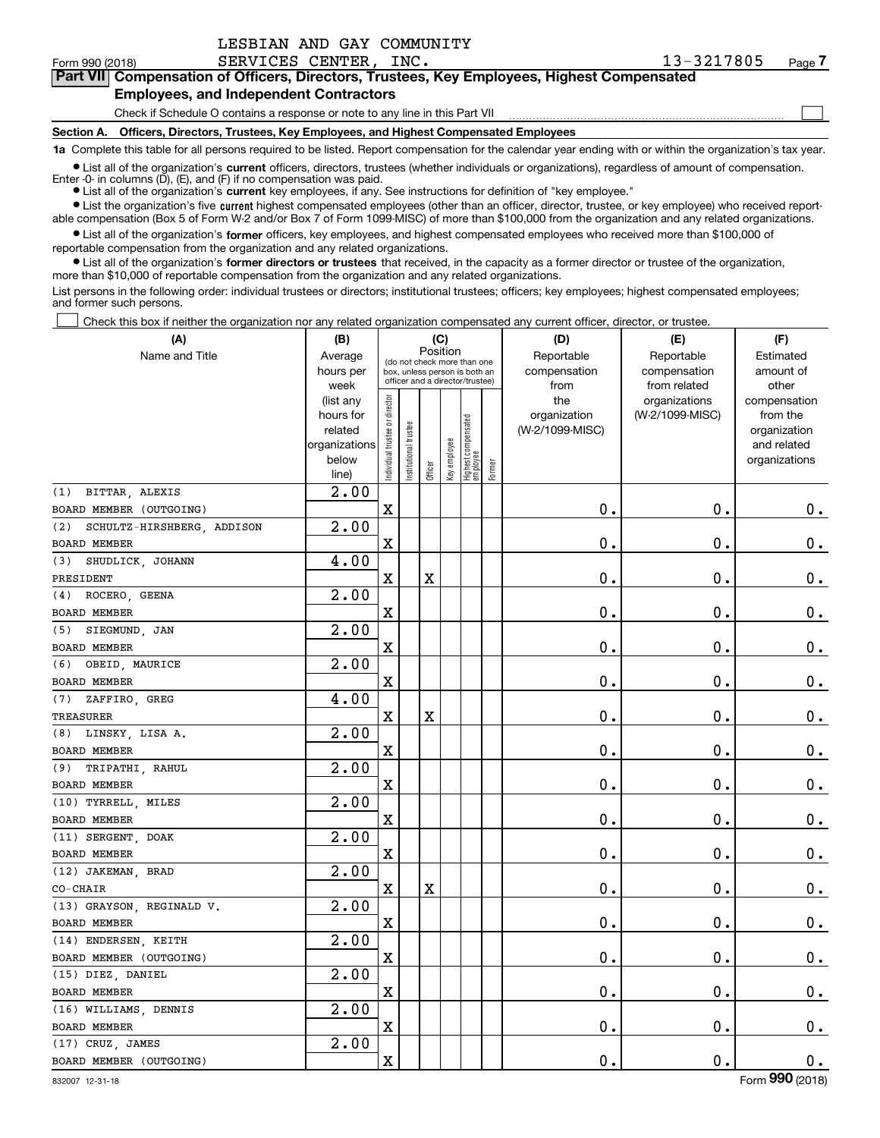|  | LESBIAN AND GAY COMMUNITY |
|--|---------------------------|
|  |                           |

 $\mathcal{L}^{\text{max}}$ 

| Form 990 (2018) |                                               | SERVICES CENTER, INC. | 13-3217805                                                                                 | Page 7 |
|-----------------|-----------------------------------------------|-----------------------|--------------------------------------------------------------------------------------------|--------|
|                 |                                               |                       | Part VII Compensation of Officers, Directors, Trustees, Key Employees, Highest Compensated |        |
|                 | <b>Employees, and Independent Contractors</b> |                       |                                                                                            |        |

Check if Schedule O contains a response or note to any line in this Part VII

**Section A. Officers, Directors, Trustees, Key Employees, and Highest Compensated Employees**

**1a**  Complete this table for all persons required to be listed. Report compensation for the calendar year ending with or within the organization's tax year.

**•** List all of the organization's current officers, directors, trustees (whether individuals or organizations), regardless of amount of compensation.

● List all of the organization's **current** key employees, if any. See instructions for definition of "key employee." Enter -0- in columns  $(D)$ ,  $(E)$ , and  $(F)$  if no compensation was paid.

**•** List the organization's five current highest compensated employees (other than an officer, director, trustee, or key employee) who received report-

 $\bullet$  List all of the organization's **former** officers, key employees, and highest compensated employees who received more than \$100,000 of able compensation (Box 5 of Form W-2 and/or Box 7 of Form 1099-MISC) of more than \$100,000 from the organization and any related organizations. reportable compensation from the organization and any related organizations.

**•** List all of the organization's former directors or trustees that received, in the capacity as a former director or trustee of the organization, more than \$10,000 of reportable compensation from the organization and any related organizations.

List persons in the following order: individual trustees or directors; institutional trustees; officers; key employees; highest compensated employees; and former such persons.

Check this box if neither the organization nor any related organization compensated any current officer, director, or trustee.  $\mathcal{L}^{\text{max}}$ 

| (A)                                     | (B)               |                                |                                                                  |                         | (C)          |                                 |           | (D)             | (E)                           | (F)                   |
|-----------------------------------------|-------------------|--------------------------------|------------------------------------------------------------------|-------------------------|--------------|---------------------------------|-----------|-----------------|-------------------------------|-----------------------|
| Name and Title                          | Average           |                                | Position<br>(do not check more than one                          |                         | Reportable   | Reportable                      | Estimated |                 |                               |                       |
|                                         | hours per         |                                | box, unless person is both an<br>officer and a director/trustee) |                         |              |                                 |           | compensation    | compensation                  | amount of             |
|                                         | week<br>(list any |                                |                                                                  |                         |              |                                 |           | from<br>the     | from related<br>organizations | other<br>compensation |
|                                         | hours for         |                                |                                                                  |                         |              |                                 |           | organization    | (W-2/1099-MISC)               | from the              |
|                                         | related           |                                |                                                                  |                         |              |                                 |           | (W-2/1099-MISC) |                               | organization          |
|                                         | organizations     |                                |                                                                  |                         |              |                                 |           |                 |                               | and related           |
|                                         | below             | Individual trustee or director | Institutional trustee                                            | Officer                 | Key employee | Highest compensated<br>employee | Former    |                 |                               | organizations         |
| (1) BITTAR, ALEXIS                      | line)<br>2.00     |                                |                                                                  |                         |              |                                 |           |                 |                               |                       |
| BOARD MEMBER (OUTGOING)                 |                   | $\mathbf X$                    |                                                                  |                         |              |                                 |           | 0.              | $\mathbf 0$ .                 | $0_{.}$               |
| (2)                                     | 2.00              |                                |                                                                  |                         |              |                                 |           |                 |                               |                       |
| SCHULTZ-HIRSHBERG, ADDISON              |                   | $\mathbf X$                    |                                                                  |                         |              |                                 |           | 0.              | $\mathbf 0$ .                 |                       |
| BOARD MEMBER<br>SHUDLICK, JOHANN<br>(3) | 4.00              |                                |                                                                  |                         |              |                                 |           |                 |                               | $\mathbf 0$ .         |
| PRESIDENT                               |                   | $\mathbf X$                    |                                                                  | $\overline{\textbf{X}}$ |              |                                 |           | 0.              | $\mathbf 0$ .                 |                       |
|                                         |                   |                                |                                                                  |                         |              |                                 |           |                 |                               | $0_{.}$               |
| (4) ROCERO, GEENA                       | 2.00              | $\mathbf X$                    |                                                                  |                         |              |                                 |           | 0.              | 0.                            |                       |
| BOARD MEMBER                            | 2.00              |                                |                                                                  |                         |              |                                 |           |                 |                               | $0_{.}$               |
| (5) SIEGMUND, JAN                       |                   | $\mathbf X$                    |                                                                  |                         |              |                                 |           | 0.              | 0.                            |                       |
| BOARD MEMBER<br>(6) OBEID, MAURICE      | 2.00              |                                |                                                                  |                         |              |                                 |           |                 |                               | $0_{\cdot}$           |
|                                         |                   | $\mathbf X$                    |                                                                  |                         |              |                                 |           | 0.              | 0.                            | $\mathbf 0$ .         |
| BOARD MEMBER<br>(7) ZAFFIRO, GREG       | 4.00              |                                |                                                                  |                         |              |                                 |           |                 |                               |                       |
| TREASURER                               |                   | $\mathbf X$                    |                                                                  | $\overline{\textbf{X}}$ |              |                                 |           | 0.              | 0.                            |                       |
| (8) LINSKY, LISA A.                     | $\overline{2.00}$ |                                |                                                                  |                         |              |                                 |           |                 |                               | $0_{.}$               |
| BOARD MEMBER                            |                   | $\overline{\mathbf{X}}$        |                                                                  |                         |              |                                 |           | 0.              | $\mathbf 0$ .                 | $0_{.}$               |
| (9) TRIPATHI, RAHUL                     | 2.00              |                                |                                                                  |                         |              |                                 |           |                 |                               |                       |
| BOARD MEMBER                            |                   | $\mathbf X$                    |                                                                  |                         |              |                                 |           | 0.              | 0.                            | $0_{.}$               |
| (10) TYRRELL, MILES                     | 2.00              |                                |                                                                  |                         |              |                                 |           |                 |                               |                       |
| BOARD MEMBER                            |                   | $\overline{\mathbf{X}}$        |                                                                  |                         |              |                                 |           | 0.              | $\mathbf 0$ .                 | $\mathbf 0$ .         |
| (11) SERGENT, DOAK                      | 2.00              |                                |                                                                  |                         |              |                                 |           |                 |                               |                       |
| BOARD MEMBER                            |                   | $\mathbf X$                    |                                                                  |                         |              |                                 |           | 0.              | 0.                            | $0_{.}$               |
| (12) JAKEMAN, BRAD                      | 2.00              |                                |                                                                  |                         |              |                                 |           |                 |                               |                       |
| CO-CHAIR                                |                   | $\mathbf X$                    |                                                                  | $\mathbf X$             |              |                                 |           | 0.              | 0.                            | $0_{.}$               |
| (13) GRAYSON, REGINALD V.               | 2.00              |                                |                                                                  |                         |              |                                 |           |                 |                               |                       |
| BOARD MEMBER                            |                   | $\mathbf X$                    |                                                                  |                         |              |                                 |           | $0$ .           | $\mathbf 0$ .                 | $0_{.}$               |
| (14) ENDERSEN, KEITH                    | 2.00              |                                |                                                                  |                         |              |                                 |           |                 |                               |                       |
| BOARD MEMBER (OUTGOING)                 |                   | $\mathbf X$                    |                                                                  |                         |              |                                 |           | 0.              | $\mathbf 0$ .                 | $\mathbf 0$ .         |
| (15) DIEZ, DANIEL                       | 2.00              |                                |                                                                  |                         |              |                                 |           |                 |                               |                       |
| BOARD MEMBER                            |                   | $\mathbf X$                    |                                                                  |                         |              |                                 |           | 0.              | $\mathbf 0$ .                 | $0_{.}$               |
| (16) WILLIAMS, DENNIS                   | 2.00              |                                |                                                                  |                         |              |                                 |           |                 |                               |                       |
| BOARD MEMBER                            |                   | $\mathbf X$                    |                                                                  |                         |              |                                 |           | $\mathbf 0$ .   | 0.                            | $\mathbf 0$ .         |
| (17) CRUZ, JAMES                        | 2.00              |                                |                                                                  |                         |              |                                 |           |                 |                               |                       |
| BOARD MEMBER (OUTGOING)                 |                   | $\mathbf X$                    |                                                                  |                         |              |                                 |           | $\mathbf 0$ .   | 0.                            | $\mathbf 0$ .         |
|                                         |                   |                                |                                                                  |                         |              |                                 |           |                 |                               |                       |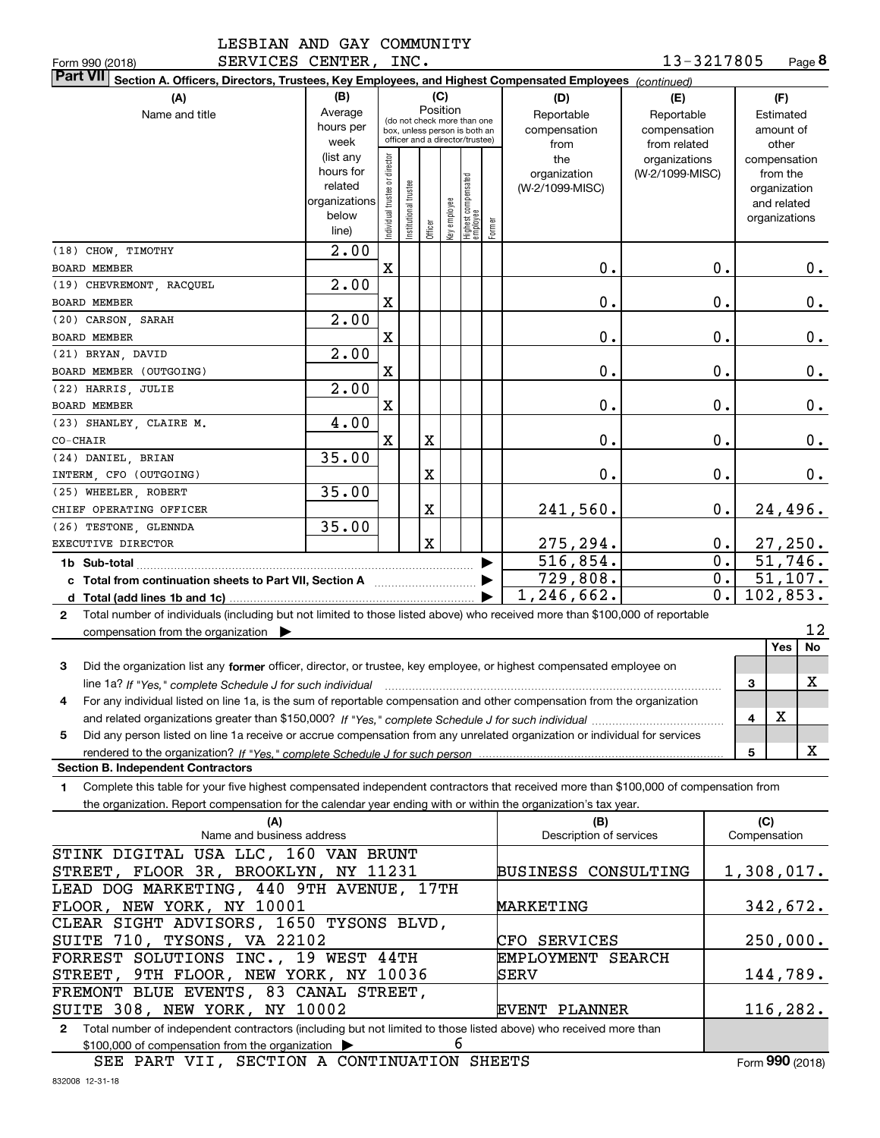**8**13-3217805

| SERVICES CENTER,<br>Form 990 (2018)                                                                                                             |                   |                               | INC.                 |   |                         |                                                              |        |                         | 13-3217805      |    |                 | Page 8 |
|-------------------------------------------------------------------------------------------------------------------------------------------------|-------------------|-------------------------------|----------------------|---|-------------------------|--------------------------------------------------------------|--------|-------------------------|-----------------|----|-----------------|--------|
| <b>Part VII</b><br>Section A. Officers, Directors, Trustees, Key Employees, and Highest Compensated Employees (continued)                       |                   |                               |                      |   |                         |                                                              |        |                         |                 |    |                 |        |
| (A)                                                                                                                                             | (B)               |                               |                      |   | (C)                     |                                                              |        | (D)                     | (E)             |    | (F)             |        |
| Name and title                                                                                                                                  | Average           |                               |                      |   | Position                |                                                              |        | Reportable              | Reportable      |    | Estimated       |        |
|                                                                                                                                                 | hours per         |                               |                      |   |                         | (do not check more than one<br>box, unless person is both an |        | compensation            | compensation    |    | amount of       |        |
|                                                                                                                                                 | week              |                               |                      |   |                         | officer and a director/trustee)                              |        | from                    | from related    |    | other           |        |
|                                                                                                                                                 | (list any         |                               |                      |   |                         |                                                              |        | the                     | organizations   |    | compensation    |        |
|                                                                                                                                                 | hours for         |                               |                      |   |                         |                                                              |        | organization            | (W-2/1099-MISC) |    | from the        |        |
|                                                                                                                                                 | related           |                               |                      |   |                         |                                                              |        | (W-2/1099-MISC)         |                 |    | organization    |        |
|                                                                                                                                                 | organizations     |                               |                      |   |                         |                                                              |        |                         |                 |    | and related     |        |
|                                                                                                                                                 | below             | ndividual trustee or director | nstitutional trustee |   |                         |                                                              |        |                         |                 |    | organizations   |        |
|                                                                                                                                                 | line)             |                               |                      |   | Officer<br>Key employee | Highest compensated<br>employee                              | Former |                         |                 |    |                 |        |
| (18) СНОМ, ТІМОТНУ                                                                                                                              | $\overline{2.00}$ |                               |                      |   |                         |                                                              |        |                         |                 |    |                 |        |
| BOARD MEMBER                                                                                                                                    |                   | X                             |                      |   |                         |                                                              |        | 0.                      |                 | 0. |                 | 0.     |
| (19) CHEVREMONT, RACQUEL                                                                                                                        | 2.00              |                               |                      |   |                         |                                                              |        |                         |                 |    |                 |        |
| BOARD MEMBER                                                                                                                                    |                   | X                             |                      |   |                         |                                                              |        | 0.                      |                 | 0. |                 | 0.     |
| (20) CARSON, SARAH                                                                                                                              | 2.00              |                               |                      |   |                         |                                                              |        |                         |                 |    |                 |        |
| BOARD MEMBER                                                                                                                                    |                   | X                             |                      |   |                         |                                                              |        | 0.                      |                 | 0. |                 | 0.     |
| (21) BRYAN, DAVID                                                                                                                               | 2.00              |                               |                      |   |                         |                                                              |        |                         |                 |    |                 |        |
| BOARD MEMBER (OUTGOING)                                                                                                                         |                   | X                             |                      |   |                         |                                                              |        | 0.                      |                 | 0. |                 | 0.     |
| (22) HARRIS, JULIE                                                                                                                              | 2.00              |                               |                      |   |                         |                                                              |        |                         |                 |    |                 |        |
| BOARD MEMBER                                                                                                                                    |                   | X                             |                      |   |                         |                                                              |        | 0.                      |                 | 0. |                 | 0.     |
| (23) SHANLEY, CLAIRE M.                                                                                                                         | 4.00              |                               |                      |   |                         |                                                              |        |                         |                 |    |                 |        |
| $CO-CHAIR$                                                                                                                                      |                   | X                             |                      | X |                         |                                                              |        | 0.                      |                 | 0. |                 | 0.     |
| (24) DANIEL, BRIAN                                                                                                                              | 35.00             |                               |                      |   |                         |                                                              |        |                         |                 |    |                 |        |
| INTERM, CFO (OUTGOING)                                                                                                                          |                   |                               |                      | X |                         |                                                              |        | 0.                      |                 | 0. |                 | 0.     |
| (25) WHEELER, ROBERT                                                                                                                            | 35.00             |                               |                      |   |                         |                                                              |        |                         |                 |    |                 |        |
| CHIEF OPERATING OFFICER                                                                                                                         |                   |                               |                      | X |                         |                                                              |        | 241,560.                |                 | 0. | 24,496.         |        |
| (26) TESTONE, GLENNDA                                                                                                                           | 35.00             |                               |                      |   |                         |                                                              |        |                         |                 |    |                 |        |
| EXECUTIVE DIRECTOR                                                                                                                              |                   |                               |                      | X |                         |                                                              |        | 275, 294.               |                 | 0. | 27,250.         |        |
| 1b Sub-total                                                                                                                                    |                   |                               |                      |   |                         |                                                              |        | 516,854.                |                 | 0. | 51,746.         |        |
|                                                                                                                                                 |                   |                               |                      |   |                         |                                                              |        | 729,808.                |                 | 0. | 51,107.         |        |
|                                                                                                                                                 |                   |                               |                      |   |                         |                                                              |        | 1,246,662.              |                 | 0. | 102,853.        |        |
| Total number of individuals (including but not limited to those listed above) who received more than \$100,000 of reportable<br>$\mathbf{2}$    |                   |                               |                      |   |                         |                                                              |        |                         |                 |    |                 |        |
| compensation from the organization $\blacktriangleright$                                                                                        |                   |                               |                      |   |                         |                                                              |        |                         |                 |    |                 | 12     |
|                                                                                                                                                 |                   |                               |                      |   |                         |                                                              |        |                         |                 |    | Yes             | No     |
| 3<br>Did the organization list any former officer, director, or trustee, key employee, or highest compensated employee on                       |                   |                               |                      |   |                         |                                                              |        |                         |                 |    |                 |        |
| line 1a? If "Yes," complete Schedule J for such individual manufactured contained and the 1a? If "Yes," complete Schedule J for such individual |                   |                               |                      |   |                         |                                                              |        |                         |                 |    | 3               | x      |
| For any individual listed on line 1a, is the sum of reportable compensation and other compensation from the organization                        |                   |                               |                      |   |                         |                                                              |        |                         |                 |    |                 |        |
|                                                                                                                                                 |                   |                               |                      |   |                         |                                                              |        |                         |                 |    | х<br>4          |        |
| Did any person listed on line 1a receive or accrue compensation from any unrelated organization or individual for services<br>5                 |                   |                               |                      |   |                         |                                                              |        |                         |                 |    |                 |        |
| rendered to the organization? If "Yes." complete Schedule J for such person                                                                     |                   |                               |                      |   |                         |                                                              |        |                         |                 |    | 5               | X      |
| <b>Section B. Independent Contractors</b>                                                                                                       |                   |                               |                      |   |                         |                                                              |        |                         |                 |    |                 |        |
| Complete this table for your five highest compensated independent contractors that received more than \$100,000 of compensation from<br>1.      |                   |                               |                      |   |                         |                                                              |        |                         |                 |    |                 |        |
| the organization. Report compensation for the calendar year ending with or within the organization's tax year.                                  |                   |                               |                      |   |                         |                                                              |        |                         |                 |    |                 |        |
| (A)                                                                                                                                             |                   |                               |                      |   |                         |                                                              |        | (B)                     |                 |    | (C)             |        |
| Name and business address                                                                                                                       |                   |                               |                      |   |                         |                                                              |        | Description of services |                 |    | Compensation    |        |
| STINK DIGITAL USA LLC, 160 VAN BRUNT                                                                                                            |                   |                               |                      |   |                         |                                                              |        |                         |                 |    |                 |        |
| STREET, FLOOR 3R, BROOKLYN, NY 11231                                                                                                            |                   |                               |                      |   |                         |                                                              |        | BUSINESS CONSULTING     |                 |    | 1,308,017.      |        |
| LEAD DOG MARKETING, 440 9TH AVENUE, 17TH                                                                                                        |                   |                               |                      |   |                         |                                                              |        |                         |                 |    |                 |        |
| FLOOR, NEW YORK, NY 10001                                                                                                                       |                   |                               |                      |   |                         |                                                              |        | <b>MARKETING</b>        |                 |    | 342,672.        |        |
| CLEAR SIGHT ADVISORS, 1650 TYSONS BLVD,                                                                                                         |                   |                               |                      |   |                         |                                                              |        |                         |                 |    |                 |        |
| SUITE 710, TYSONS, VA 22102                                                                                                                     |                   |                               |                      |   |                         |                                                              |        | CFO SERVICES            |                 |    | 250,000.        |        |
| FORREST SOLUTIONS INC., 19 WEST 44TH                                                                                                            |                   |                               |                      |   |                         |                                                              |        | EMPLOYMENT SEARCH       |                 |    |                 |        |
| STREET, 9TH FLOOR, NEW YORK, NY 10036                                                                                                           |                   |                               |                      |   |                         |                                                              |        | SERV                    |                 |    | <u>144,789.</u> |        |
| FREMONT BLUE EVENTS, 83 CANAL STREET,                                                                                                           |                   |                               |                      |   |                         |                                                              |        |                         |                 |    |                 |        |
| SUITE 308, NEW YORK, NY 10002                                                                                                                   |                   |                               |                      |   |                         |                                                              |        | <b>EVENT PLANNER</b>    |                 |    | 116,282.        |        |

**2**Total number of independent contractors (including but not limited to those listed above) who received more than \$100,000 of compensation from the organization 6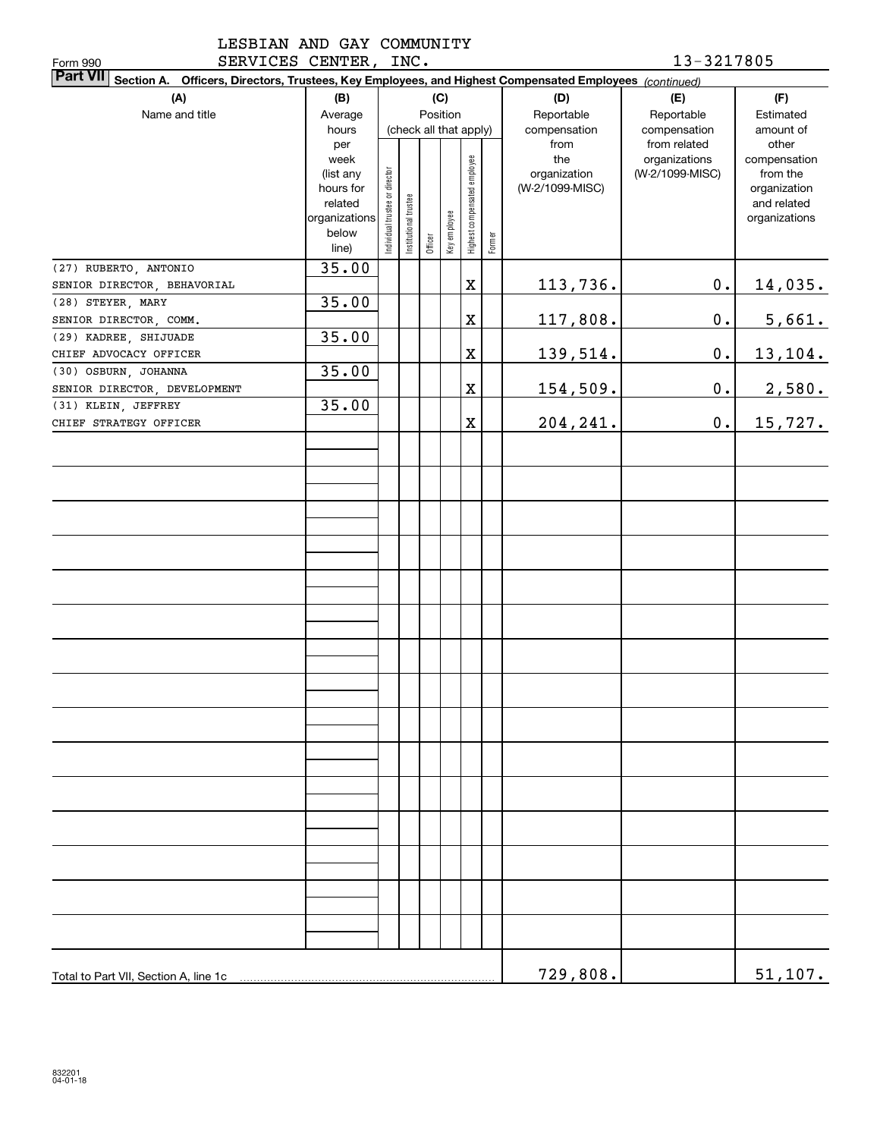SERVICES CENTER, INC. 13-3217805

| SERVICES CENTER, INC.<br>Form 990                                                                                         |                          |                                |                       |          |              |                              |        |                 | 13-3217805      |                              |
|---------------------------------------------------------------------------------------------------------------------------|--------------------------|--------------------------------|-----------------------|----------|--------------|------------------------------|--------|-----------------|-----------------|------------------------------|
| <b>Part VII</b><br>Section A. Officers, Directors, Trustees, Key Employees, and Highest Compensated Employees (continued) |                          |                                |                       |          |              |                              |        |                 |                 |                              |
| (A)                                                                                                                       | (B)                      |                                |                       |          | (C)          |                              |        | (D)             | (E)             | (F)                          |
| Name and title                                                                                                            | Average                  |                                |                       | Position |              |                              |        | Reportable      | Reportable      | Estimated                    |
|                                                                                                                           | hours                    |                                |                       |          |              | (check all that apply)       |        | compensation    | compensation    | amount of                    |
|                                                                                                                           | per                      |                                |                       |          |              |                              |        | from            | from related    | other                        |
|                                                                                                                           | week                     |                                |                       |          |              |                              |        | the             | organizations   | compensation                 |
|                                                                                                                           | (list any                |                                |                       |          |              |                              |        | organization    | (W-2/1099-MISC) | from the                     |
|                                                                                                                           | hours for                |                                |                       |          |              |                              |        | (W-2/1099-MISC) |                 | organization                 |
|                                                                                                                           | related<br>organizations |                                |                       |          |              |                              |        |                 |                 | and related<br>organizations |
|                                                                                                                           | below                    |                                |                       |          |              |                              |        |                 |                 |                              |
|                                                                                                                           | line)                    | Individual trustee or director | Institutional trustee | Officer  | Key employee | Highest compensated employee | Former |                 |                 |                              |
| (27) RUBERTO, ANTONIO                                                                                                     | 35.00                    |                                |                       |          |              |                              |        |                 |                 |                              |
| SENIOR DIRECTOR, BEHAVORIAL                                                                                               |                          |                                |                       |          |              | $\mathbf X$                  |        | 113,736.        | 0.              |                              |
| (28) STEYER, MARY                                                                                                         | 35.00                    |                                |                       |          |              |                              |        |                 |                 | <u>14,035.</u>               |
|                                                                                                                           |                          |                                |                       |          |              | $\mathbf X$                  |        |                 | 0.              |                              |
| SENIOR DIRECTOR, COMM.<br>(29) KADREE, SHIJUADE                                                                           | 35.00                    |                                |                       |          |              |                              |        | 117,808.        |                 | 5,661.                       |
|                                                                                                                           |                          |                                |                       |          |              |                              |        |                 |                 |                              |
| CHIEF ADVOCACY OFFICER                                                                                                    |                          |                                |                       |          |              | $\mathbf X$                  |        | 139,514.        | $\mathbf 0$ .   | 13,104.                      |
| (30) OSBURN JOHANNA                                                                                                       | 35.00                    |                                |                       |          |              |                              |        |                 |                 |                              |
| SENIOR DIRECTOR, DEVELOPMENT                                                                                              |                          |                                |                       |          |              | X                            |        | 154,509.        | $\mathbf 0$ .   | 2,580.                       |
| (31) KLEIN, JEFFREY                                                                                                       | 35.00                    |                                |                       |          |              |                              |        |                 |                 |                              |
| CHIEF STRATEGY OFFICER                                                                                                    |                          |                                |                       |          |              | $\mathbf X$                  |        | 204, 241.       | 0.              | 15, 727.                     |
|                                                                                                                           |                          |                                |                       |          |              |                              |        |                 |                 |                              |
|                                                                                                                           |                          |                                |                       |          |              |                              |        |                 |                 |                              |
|                                                                                                                           |                          |                                |                       |          |              |                              |        |                 |                 |                              |
|                                                                                                                           |                          |                                |                       |          |              |                              |        |                 |                 |                              |
|                                                                                                                           |                          |                                |                       |          |              |                              |        |                 |                 |                              |
|                                                                                                                           |                          |                                |                       |          |              |                              |        |                 |                 |                              |
|                                                                                                                           |                          |                                |                       |          |              |                              |        |                 |                 |                              |
|                                                                                                                           |                          |                                |                       |          |              |                              |        |                 |                 |                              |
|                                                                                                                           |                          |                                |                       |          |              |                              |        |                 |                 |                              |
|                                                                                                                           |                          |                                |                       |          |              |                              |        |                 |                 |                              |
|                                                                                                                           |                          |                                |                       |          |              |                              |        |                 |                 |                              |
|                                                                                                                           |                          |                                |                       |          |              |                              |        |                 |                 |                              |
|                                                                                                                           |                          |                                |                       |          |              |                              |        |                 |                 |                              |
|                                                                                                                           |                          |                                |                       |          |              |                              |        |                 |                 |                              |
|                                                                                                                           |                          |                                |                       |          |              |                              |        |                 |                 |                              |
|                                                                                                                           |                          |                                |                       |          |              |                              |        |                 |                 |                              |
|                                                                                                                           |                          |                                |                       |          |              |                              |        |                 |                 |                              |
|                                                                                                                           |                          |                                |                       |          |              |                              |        |                 |                 |                              |
|                                                                                                                           |                          |                                |                       |          |              |                              |        |                 |                 |                              |
|                                                                                                                           |                          |                                |                       |          |              |                              |        |                 |                 |                              |
|                                                                                                                           |                          |                                |                       |          |              |                              |        |                 |                 |                              |
|                                                                                                                           |                          |                                |                       |          |              |                              |        |                 |                 |                              |
|                                                                                                                           |                          |                                |                       |          |              |                              |        |                 |                 |                              |
|                                                                                                                           |                          |                                |                       |          |              |                              |        |                 |                 |                              |
|                                                                                                                           |                          |                                |                       |          |              |                              |        |                 |                 |                              |
|                                                                                                                           |                          |                                |                       |          |              |                              |        |                 |                 |                              |
|                                                                                                                           |                          |                                |                       |          |              |                              |        |                 |                 |                              |
|                                                                                                                           |                          |                                |                       |          |              |                              |        |                 |                 |                              |
|                                                                                                                           |                          |                                |                       |          |              |                              |        |                 |                 |                              |
|                                                                                                                           |                          |                                |                       |          |              |                              |        |                 |                 |                              |
|                                                                                                                           |                          |                                |                       |          |              |                              |        |                 |                 |                              |
| Total to Part VII, Section A, line 1c                                                                                     |                          |                                |                       |          |              |                              |        | 729,808.        |                 | 51,107.                      |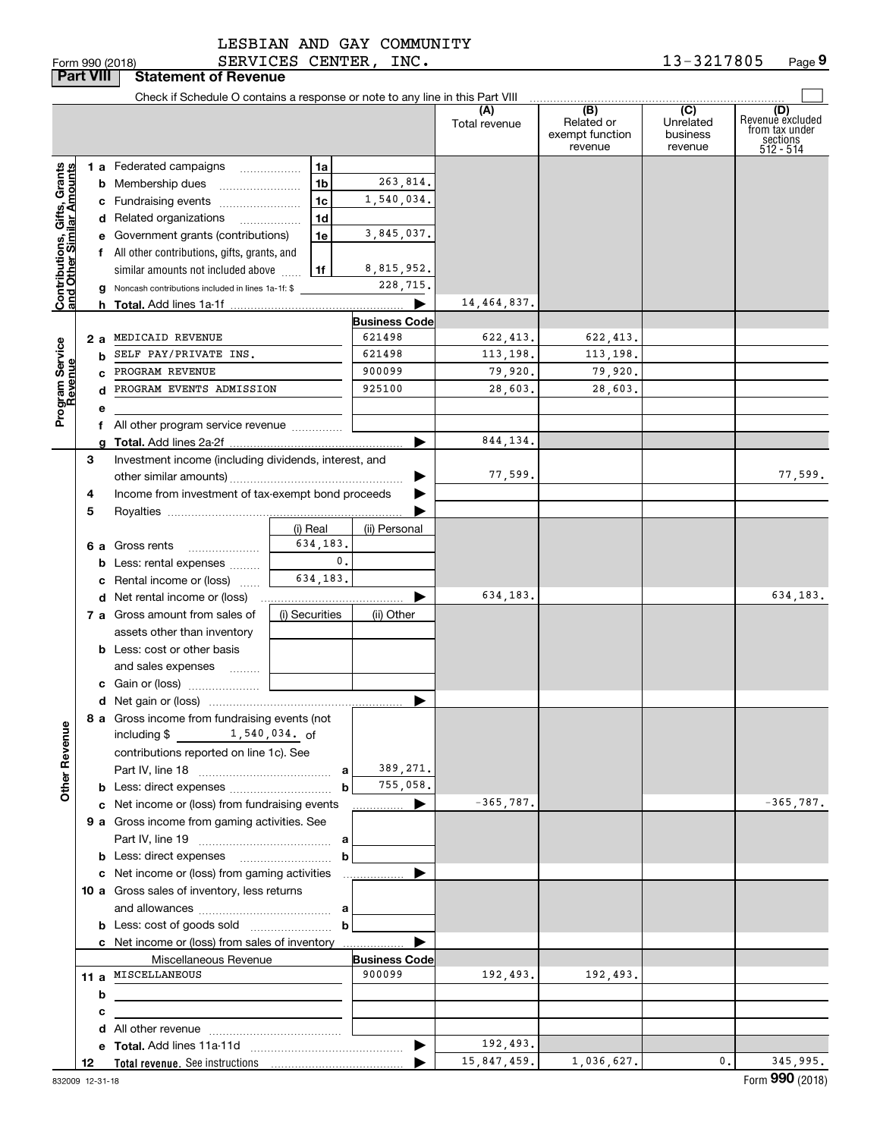| Form 990 (2018 |  |  |
|----------------|--|--|

# SERVICES CENTER, INC. LESBIAN AND GAY COMMUNITY

|                                                           | <b>Part VIII</b> | <b>Statement of Revenue</b>                                                        |                     |                      |                      |                                      |                              |                                           |
|-----------------------------------------------------------|------------------|------------------------------------------------------------------------------------|---------------------|----------------------|----------------------|--------------------------------------|------------------------------|-------------------------------------------|
|                                                           |                  | Check if Schedule O contains a response or note to any line in this Part VIII      |                     |                      |                      |                                      |                              |                                           |
|                                                           |                  |                                                                                    |                     |                      | (A)<br>Total revenue | (B)<br>Related or<br>exempt function | (C)<br>Unrelated<br>business | (D)<br>Revenue excluded<br>from tax under |
|                                                           |                  |                                                                                    |                     |                      |                      | revenue                              | revenue                      | sections<br>512 - 514                     |
|                                                           |                  | 1 a Federated campaigns                                                            | 1a                  |                      |                      |                                      |                              |                                           |
|                                                           |                  | <b>b</b> Membership dues                                                           | 1 <sub>b</sub>      | 263,814.             |                      |                                      |                              |                                           |
|                                                           |                  | c Fundraising events                                                               | 1 <sub>c</sub>      | 1,540,034.           |                      |                                      |                              |                                           |
|                                                           |                  | d Related organizations                                                            | 1 <sub>d</sub><br>. |                      |                      |                                      |                              |                                           |
|                                                           |                  | e Government grants (contributions)                                                | 1e                  | 3,845,037.           |                      |                                      |                              |                                           |
|                                                           |                  | f All other contributions, gifts, grants, and                                      |                     |                      |                      |                                      |                              |                                           |
|                                                           |                  | similar amounts not included above                                                 | 1f                  | 8,815,952.           |                      |                                      |                              |                                           |
| Contributions, Gifts, Grants<br>and Other Similar Amounts |                  | g Noncash contributions included in lines 1a-1f: \$                                |                     | 228,715.             |                      |                                      |                              |                                           |
|                                                           |                  | h.                                                                                 |                     | ▶                    | 14,464,837.          |                                      |                              |                                           |
|                                                           |                  |                                                                                    |                     | <b>Business Code</b> |                      |                                      |                              |                                           |
|                                                           | 2а               | MEDICAID REVENUE                                                                   |                     | 621498               | 622,413.             | 622,413.                             |                              |                                           |
| Program Service<br>Revenue                                |                  | SELF PAY/PRIVATE INS.<br>b                                                         |                     | 621498               | 113,198.             | 113,198.                             |                              |                                           |
|                                                           |                  | PROGRAM REVENUE<br>c.                                                              |                     | 900099               | 79,920.              | 79,920.                              |                              |                                           |
|                                                           |                  | PROGRAM EVENTS ADMISSION<br>d                                                      |                     | 925100               | 28,603.              | 28,603.                              |                              |                                           |
|                                                           | е                |                                                                                    |                     |                      |                      |                                      |                              |                                           |
|                                                           |                  | f All other program service revenue                                                |                     |                      |                      |                                      |                              |                                           |
|                                                           |                  |                                                                                    |                     | ▶                    | 844,134.             |                                      |                              |                                           |
|                                                           | З                | Investment income (including dividends, interest, and                              |                     |                      |                      |                                      |                              |                                           |
|                                                           |                  |                                                                                    |                     |                      | 77,599.              |                                      |                              | 77,599.                                   |
|                                                           | 4                | Income from investment of tax-exempt bond proceeds                                 |                     |                      |                      |                                      |                              |                                           |
|                                                           | 5                |                                                                                    |                     |                      |                      |                                      |                              |                                           |
|                                                           |                  |                                                                                    | (i) Real            | (ii) Personal        |                      |                                      |                              |                                           |
|                                                           |                  | 6 a Gross rents                                                                    | 634,183.            |                      |                      |                                      |                              |                                           |
|                                                           |                  | <b>b</b> Less: rental expenses                                                     | 0.                  |                      |                      |                                      |                              |                                           |
|                                                           | c                | Rental income or (loss)                                                            | 634, 183.           |                      |                      |                                      |                              |                                           |
|                                                           |                  | d Net rental income or (loss)                                                      |                     |                      | 634,183.             |                                      |                              | 634,183.                                  |
|                                                           |                  | 7 a Gross amount from sales of                                                     | (i) Securities      | (ii) Other           |                      |                                      |                              |                                           |
|                                                           |                  | assets other than inventory                                                        |                     |                      |                      |                                      |                              |                                           |
|                                                           |                  | <b>b</b> Less: cost or other basis                                                 |                     |                      |                      |                                      |                              |                                           |
|                                                           |                  | and sales expenses                                                                 |                     |                      |                      |                                      |                              |                                           |
|                                                           |                  |                                                                                    |                     |                      |                      |                                      |                              |                                           |
|                                                           |                  |                                                                                    |                     | ▶                    |                      |                                      |                              |                                           |
|                                                           |                  | 8 a Gross income from fundraising events (not<br>$1,540,034$ . of<br>including $$$ |                     |                      |                      |                                      |                              |                                           |
|                                                           |                  | contributions reported on line 1c). See                                            |                     |                      |                      |                                      |                              |                                           |
|                                                           |                  |                                                                                    |                     | 389,271.             |                      |                                      |                              |                                           |
| Other Revenue                                             |                  |                                                                                    | a<br>b              | 755,058.             |                      |                                      |                              |                                           |
|                                                           |                  | c Net income or (loss) from fundraising events                                     |                     | ▶<br>.               | $-365,787.$          |                                      |                              | $-365,787.$                               |
|                                                           |                  | 9 a Gross income from gaming activities. See                                       |                     |                      |                      |                                      |                              |                                           |
|                                                           |                  |                                                                                    |                     |                      |                      |                                      |                              |                                           |
|                                                           |                  | <b>b</b> Less: direct expenses <b>manually contained</b>                           | b                   |                      |                      |                                      |                              |                                           |
|                                                           |                  | c Net income or (loss) from gaming activities                                      |                     |                      |                      |                                      |                              |                                           |
|                                                           |                  | 10 a Gross sales of inventory, less returns                                        |                     |                      |                      |                                      |                              |                                           |
|                                                           |                  |                                                                                    |                     |                      |                      |                                      |                              |                                           |
|                                                           |                  |                                                                                    | b                   |                      |                      |                                      |                              |                                           |
|                                                           |                  | c Net income or (loss) from sales of inventory                                     |                     |                      |                      |                                      |                              |                                           |
|                                                           |                  | Miscellaneous Revenue                                                              |                     | <b>Business Code</b> |                      |                                      |                              |                                           |
|                                                           |                  | 11 a MISCELLANEOUS                                                                 |                     | 900099               | 192,493.             | 192,493.                             |                              |                                           |
|                                                           | b                | the control of the control of the control of the control of the control of         |                     |                      |                      |                                      |                              |                                           |
|                                                           | с                |                                                                                    |                     |                      |                      |                                      |                              |                                           |
|                                                           |                  |                                                                                    |                     |                      |                      |                                      |                              |                                           |
|                                                           |                  |                                                                                    |                     | ▶                    | 192,493.             |                                      |                              |                                           |
|                                                           | 12               |                                                                                    |                     |                      | 15,847,459.          | 1,036,627.                           | $\mathbf{0}$ .               | 345,995.                                  |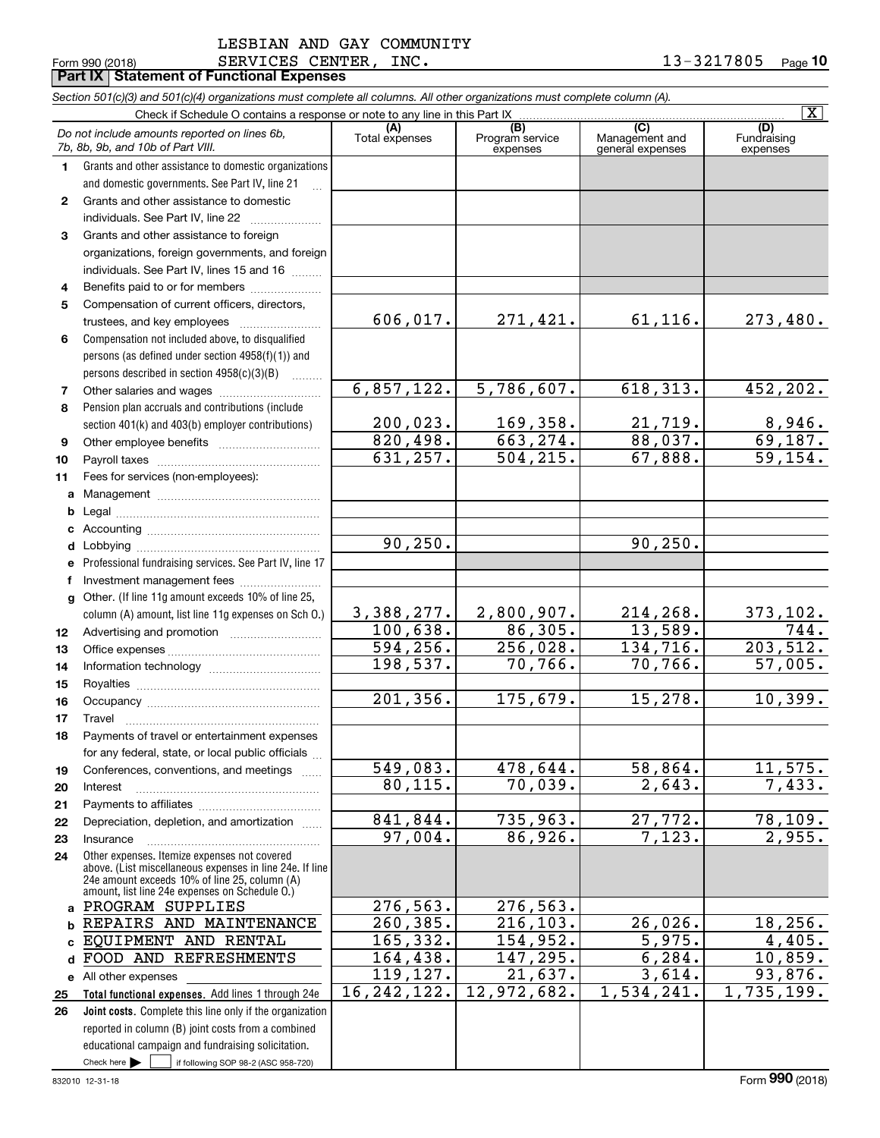|              | Section 501(c)(3) and 501(c)(4) organizations must complete all columns. All other organizations must complete column (A). |                       |                             |                                    | $ \mathbf{X} $                      |
|--------------|----------------------------------------------------------------------------------------------------------------------------|-----------------------|-----------------------------|------------------------------------|-------------------------------------|
|              | Check if Schedule O contains a response or note to any line in this Part IX                                                |                       | (B)                         | (C)                                | (D)                                 |
|              | Do not include amounts reported on lines 6b,<br>7b, 8b, 9b, and 10b of Part VIII.                                          | (A)<br>Total expenses | Program service<br>expenses | Management and<br>general expenses | Fundraising<br>expenses             |
| 1.           | Grants and other assistance to domestic organizations                                                                      |                       |                             |                                    |                                     |
|              | and domestic governments. See Part IV, line 21                                                                             |                       |                             |                                    |                                     |
| $\mathbf{2}$ | Grants and other assistance to domestic                                                                                    |                       |                             |                                    |                                     |
|              | individuals. See Part IV, line 22                                                                                          |                       |                             |                                    |                                     |
| 3            | Grants and other assistance to foreign                                                                                     |                       |                             |                                    |                                     |
|              | organizations, foreign governments, and foreign                                                                            |                       |                             |                                    |                                     |
|              | individuals. See Part IV, lines 15 and 16                                                                                  |                       |                             |                                    |                                     |
| 4            | Benefits paid to or for members                                                                                            |                       |                             |                                    |                                     |
| 5            | Compensation of current officers, directors,                                                                               |                       |                             |                                    |                                     |
|              |                                                                                                                            | 606,017.              | 271,421.                    | 61, 116.                           | 273,480.                            |
| 6            | Compensation not included above, to disqualified                                                                           |                       |                             |                                    |                                     |
|              | persons (as defined under section 4958(f)(1)) and                                                                          |                       |                             |                                    |                                     |
|              | persons described in section $4958(c)(3)(B)$<br>.                                                                          |                       |                             |                                    |                                     |
| 7            |                                                                                                                            | 6,857,122.            | 5,786,607.                  | 618, 313.                          | 452,202.                            |
| 8            | Pension plan accruals and contributions (include                                                                           |                       |                             |                                    |                                     |
|              | section 401(k) and 403(b) employer contributions)                                                                          | 200,023.              | 169,358.                    | 21,719.                            |                                     |
| 9            |                                                                                                                            | 820,498.              | 663, 274.                   | 88,037.                            | $\frac{8,946.}{69,187.}$<br>59,154. |
| 10           |                                                                                                                            | 631, 257.             | $\overline{504,215}$ .      | 67,888.                            |                                     |
| 11           | Fees for services (non-employees):                                                                                         |                       |                             |                                    |                                     |
|              |                                                                                                                            |                       |                             |                                    |                                     |
|              |                                                                                                                            |                       |                             |                                    |                                     |
|              |                                                                                                                            |                       |                             |                                    |                                     |
|              |                                                                                                                            | 90, 250.              |                             | 90, 250.                           |                                     |
| е            | Professional fundraising services. See Part IV, line 17                                                                    |                       |                             |                                    |                                     |
| f            | Investment management fees                                                                                                 |                       |                             |                                    |                                     |
|              | g Other. (If line 11g amount exceeds 10% of line 25,                                                                       | 3,388,277.            | 2,800,907.                  | 214,268.                           |                                     |
|              | column (A) amount, list line 11g expenses on Sch 0.)                                                                       | 100,638.              | 86,305.                     | 13,589.                            | 373,102.<br>744.                    |
| 12           |                                                                                                                            | 594, 256.             | 256,028.                    | 134,716.                           | 203,512.                            |
| 13<br>14     |                                                                                                                            | 198,537.              | 70, 766.                    | 70,766.                            | 57,005.                             |
| 15           |                                                                                                                            |                       |                             |                                    |                                     |
| 16           |                                                                                                                            | 201, 356.             | 175,679.                    | 15,278.                            | 10,399.                             |
| 17           |                                                                                                                            |                       |                             |                                    |                                     |
| 18           | Payments of travel or entertainment expenses                                                                               |                       |                             |                                    |                                     |
|              | for any federal, state, or local public officials                                                                          |                       |                             |                                    |                                     |
| 19           | Conferences, conventions, and meetings                                                                                     | 549,083.              | 478,644.                    | 58,864.                            | 11,575.                             |
| 20           | Interest                                                                                                                   | 80, 115.              | 70,039.                     | 2,643.                             | 7,433.                              |
| 21           |                                                                                                                            |                       |                             |                                    |                                     |
| 22           | Depreciation, depletion, and amortization                                                                                  | 841,844.              | 735,963.                    | 27,772.                            | 78,109.                             |
| 23           | Insurance                                                                                                                  | 97,004.               | 86,926.                     | 7,123.                             | 2,955.                              |
| 24           | Other expenses. Itemize expenses not covered                                                                               |                       |                             |                                    |                                     |
|              | above. (List miscellaneous expenses in line 24e. If line<br>24e amount exceeds 10% of line 25, column (A)                  |                       |                             |                                    |                                     |
|              | amount, list line 24e expenses on Schedule O.)                                                                             |                       |                             |                                    |                                     |
|              | a PROGRAM SUPPLIES                                                                                                         | 276,563.              | 276,563.                    |                                    |                                     |
| b            | REPAIRS AND MAINTENANCE                                                                                                    | 260,385.              | 216,103.                    | 26,026.                            | 18, 256.                            |
|              | EQUIPMENT AND RENTAL                                                                                                       | 165,332.              | 154,952.                    | 5,975.                             | 4,405.                              |
| d            | FOOD AND REFRESHMENTS                                                                                                      | 164,438.              | 147,295.                    | 6, 284.                            | 10,859.                             |
|              | e All other expenses                                                                                                       | 119,127.              | 21,637.<br>12,972,682.      | 3,614.                             | 93,876.<br>1,735,199.               |
| 25           | Total functional expenses. Add lines 1 through 24e                                                                         | 16, 242, 122.         |                             | 1,534,241.                         |                                     |
| 26           | Joint costs. Complete this line only if the organization                                                                   |                       |                             |                                    |                                     |
|              | reported in column (B) joint costs from a combined<br>educational campaign and fundraising solicitation.                   |                       |                             |                                    |                                     |
|              | Check here $\blacktriangleright$<br>if following SOP 98-2 (ASC 958-720)                                                    |                       |                             |                                    |                                     |
|              |                                                                                                                            |                       |                             |                                    |                                     |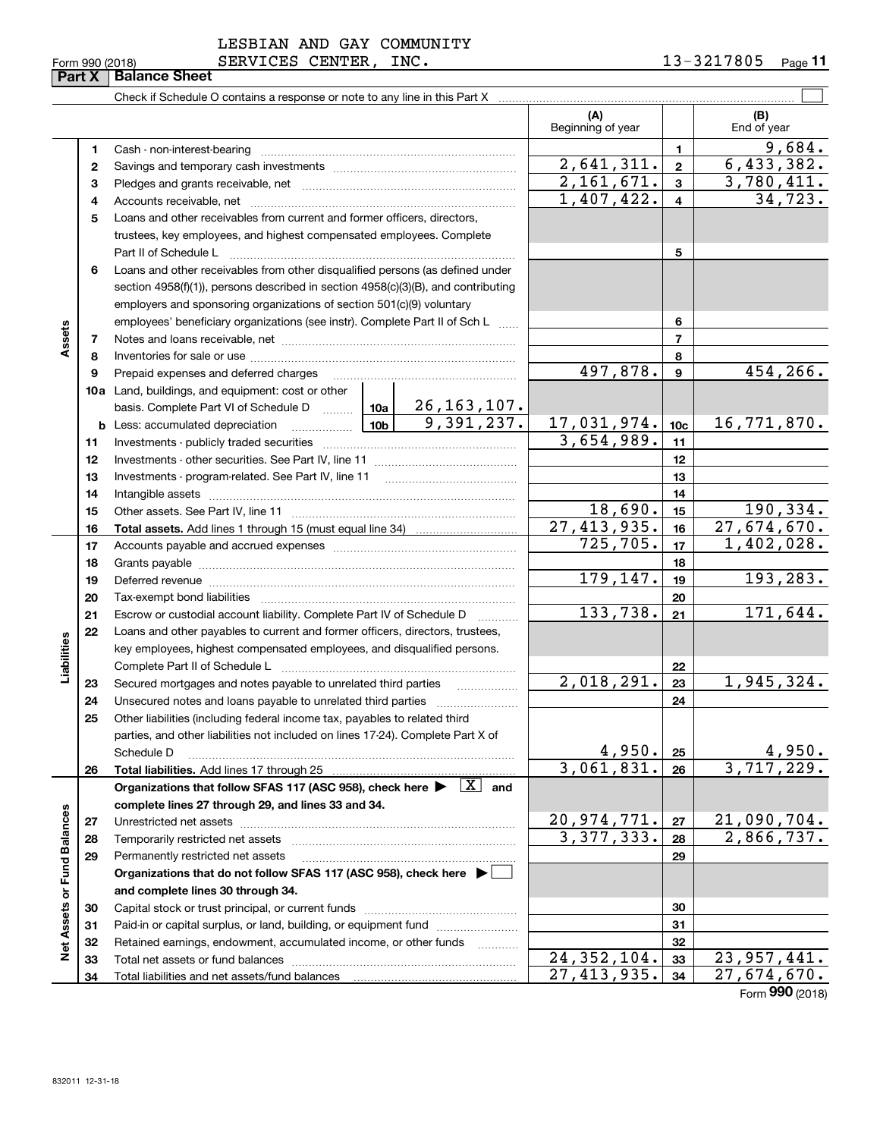|                                            |  | LESBIAN AND GAY COMMUNITY |
|--------------------------------------------|--|---------------------------|
| $\alpha$ pritt $\alpha$ pa $\alpha$ primpr |  | <b>TIT</b>                |

Form 990 (2018) SERVICES CENTER, INC. 1 3-3 2 1 7 8 0 5 <sub>Page</sub> **11**

|                             |          |                                                                                                                              | (A)<br>Beginning of year |                         | (B)<br>End of year   |
|-----------------------------|----------|------------------------------------------------------------------------------------------------------------------------------|--------------------------|-------------------------|----------------------|
|                             | 1        |                                                                                                                              |                          | 1                       | 9,684.               |
|                             | 2        |                                                                                                                              | $\overline{2,641,311}$ . | $\mathbf{2}$            | 6,433,382.           |
|                             | з        |                                                                                                                              | 2,161,671.               | $\mathbf{3}$            | 3,780,411.           |
|                             | 4        |                                                                                                                              | 1,407,422.               | $\overline{\mathbf{4}}$ | 34, 723.             |
|                             | 5        | Loans and other receivables from current and former officers, directors,                                                     |                          |                         |                      |
|                             |          | trustees, key employees, and highest compensated employees. Complete                                                         |                          |                         |                      |
|                             |          |                                                                                                                              |                          | 5                       |                      |
|                             | 6        | Loans and other receivables from other disqualified persons (as defined under                                                |                          |                         |                      |
|                             |          | section 4958(f)(1)), persons described in section 4958(c)(3)(B), and contributing                                            |                          |                         |                      |
|                             |          | employers and sponsoring organizations of section 501(c)(9) voluntary                                                        |                          |                         |                      |
|                             |          | employees' beneficiary organizations (see instr). Complete Part II of Sch L                                                  |                          | 6                       |                      |
| Assets                      | 7        |                                                                                                                              |                          | $\overline{7}$          |                      |
|                             | 8        |                                                                                                                              |                          | 8                       |                      |
|                             | 9        | Prepaid expenses and deferred charges                                                                                        | 497,878.                 | $\boldsymbol{9}$        | 454,266.             |
|                             |          | <b>10a</b> Land, buildings, and equipment: cost or other                                                                     |                          |                         |                      |
|                             |          | basis. Complete Part VI of Schedule D $\frac{10a}{26}$ , 163, 107.                                                           |                          |                         |                      |
|                             |          | 9,391,237.<br>10 <sub>b</sub><br><b>b</b> Less: accumulated depreciation <i></i>                                             | 17,031,974.              | 10 <sub>c</sub>         | 16,771,870.          |
|                             | 11       |                                                                                                                              | 3,654,989.               | 11                      |                      |
|                             | 12       |                                                                                                                              |                          | 12                      |                      |
|                             | 13       |                                                                                                                              |                          | 13                      |                      |
|                             | 14       |                                                                                                                              |                          | 14                      |                      |
|                             | 15       |                                                                                                                              | 18,690.                  | 15                      | 190,334.             |
|                             | 16       |                                                                                                                              | 27,413,935.              | 16                      | 27,674,670.          |
|                             | 17       |                                                                                                                              | 725, 705.                | 17                      | 1,402,028.           |
|                             | 18       |                                                                                                                              |                          | 18                      |                      |
|                             | 19       |                                                                                                                              | 179,147.                 | 19                      | 193,283.             |
|                             | 20       |                                                                                                                              |                          | 20                      |                      |
|                             | 21       | Escrow or custodial account liability. Complete Part IV of Schedule D                                                        | 133,738.                 | 21                      | 171,644.             |
|                             | 22       | Loans and other payables to current and former officers, directors, trustees,                                                |                          |                         |                      |
| Liabilities                 |          | key employees, highest compensated employees, and disqualified persons.                                                      |                          |                         |                      |
|                             |          |                                                                                                                              |                          | 22                      |                      |
|                             | 23       |                                                                                                                              | 2,018,291.               | 23                      | 1,945,324.           |
|                             | 24       |                                                                                                                              |                          | 24                      |                      |
|                             | 25       | Other liabilities (including federal income tax, payables to related third                                                   |                          |                         |                      |
|                             |          | parties, and other liabilities not included on lines 17-24). Complete Part X of                                              |                          |                         |                      |
|                             |          | Schedule D                                                                                                                   | 4,950.                   | 25                      | 4,950.<br>3,717,229. |
|                             | 26       |                                                                                                                              | 3,061,831.               | 26                      |                      |
|                             |          | Organizations that follow SFAS 117 (ASC 958), check here $\blacktriangleright \begin{array}{c} \boxed{X} \\ \end{array}$ and |                          |                         |                      |
|                             |          | complete lines 27 through 29, and lines 33 and 34.                                                                           | 20,974,771.              |                         | 21,090,704.          |
|                             | 27       |                                                                                                                              | 3,377,333.               | 27                      | 2,866,737.           |
|                             | 28       |                                                                                                                              |                          | 28<br>29                |                      |
|                             | 29       | Permanently restricted net assets                                                                                            |                          |                         |                      |
|                             |          | Organizations that do not follow SFAS 117 (ASC 958), check here ▶ │                                                          |                          |                         |                      |
|                             |          | and complete lines 30 through 34.                                                                                            |                          | 30                      |                      |
|                             | 30       |                                                                                                                              |                          | 31                      |                      |
| Net Assets or Fund Balances | 31       | Paid-in or capital surplus, or land, building, or equipment fund                                                             |                          | 32                      |                      |
|                             | 32<br>33 | Retained earnings, endowment, accumulated income, or other funds                                                             | 24, 352, 104.            | 33                      | 23,957,441.          |
|                             | 34       |                                                                                                                              | 27, 413, 935.            | 34                      | 27,674,670.          |
|                             |          |                                                                                                                              |                          |                         |                      |

Form (2018) **990**

**Part X Balance Sheet**

| Form 990 (2018 |  |  |
|----------------|--|--|
|                |  |  |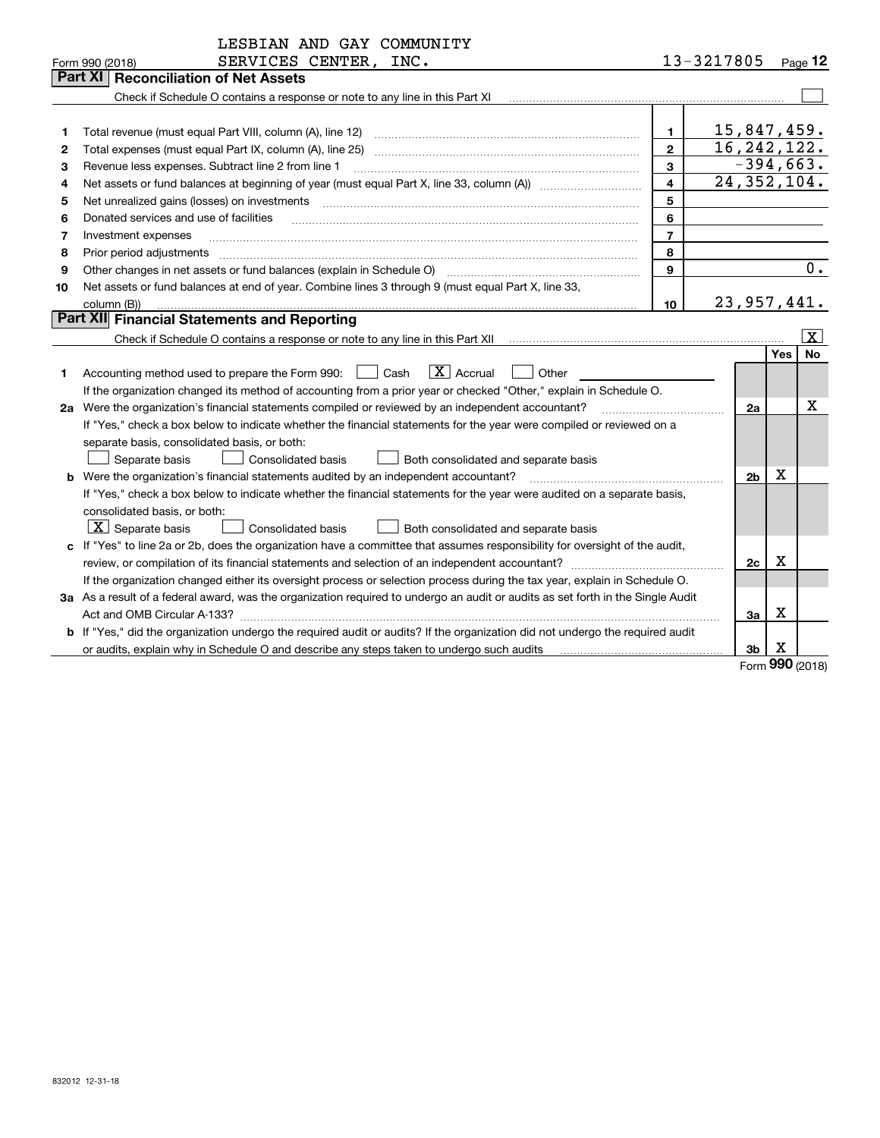|    | LESBIAN AND GAY COMMUNITY                                                                                                                                         |                |                           |            |                         |
|----|-------------------------------------------------------------------------------------------------------------------------------------------------------------------|----------------|---------------------------|------------|-------------------------|
|    | SERVICES CENTER, INC.<br>Form 990 (2018)                                                                                                                          |                | 13-3217805                |            | Page 12                 |
|    | <b>Reconciliation of Net Assets</b><br>Part XI                                                                                                                    |                |                           |            |                         |
|    | Check if Schedule O contains a response or note to any line in this Part XI [11] [12] Check if Schedule O contains a response or note to any line in this Part XI |                |                           |            |                         |
|    |                                                                                                                                                                   |                |                           |            |                         |
| 1  |                                                                                                                                                                   | $\mathbf{1}$   | 15,847,459.               |            |                         |
| 2  |                                                                                                                                                                   | $\mathbf{2}$   | 16, 242, 122.             |            |                         |
| з  | Revenue less expenses. Subtract line 2 from line 1                                                                                                                | 3              |                           |            | $-394,663.$             |
| 4  |                                                                                                                                                                   | 4              | $\overline{24,352,104}$ . |            |                         |
| 5  | Net unrealized gains (losses) on investments                                                                                                                      | 5              |                           |            |                         |
| 6  | Donated services and use of facilities                                                                                                                            | 6              |                           |            |                         |
| 7  | Investment expenses                                                                                                                                               | $\overline{7}$ |                           |            |                         |
| 8  | Prior period adjustments                                                                                                                                          | 8              |                           |            |                         |
| 9  | Other changes in net assets or fund balances (explain in Schedule O)                                                                                              | 9              |                           |            | 0.                      |
| 10 | Net assets or fund balances at end of year. Combine lines 3 through 9 (must equal Part X, line 33,                                                                |                |                           |            |                         |
|    | column (B))                                                                                                                                                       | 10             | 23,957,441.               |            |                         |
|    | Part XII Financial Statements and Reporting                                                                                                                       |                |                           |            |                         |
|    |                                                                                                                                                                   |                |                           |            | $\overline{\mathbf{x}}$ |
|    |                                                                                                                                                                   |                |                           | <b>Yes</b> | <b>No</b>               |
| 1  | $\boxed{\mathbf{X}}$ Accrual<br>Accounting method used to prepare the Form 990: [130] Cash<br>Other                                                               |                |                           |            |                         |
|    | If the organization changed its method of accounting from a prior year or checked "Other," explain in Schedule O.                                                 |                |                           |            |                         |
|    | 2a Were the organization's financial statements compiled or reviewed by an independent accountant?                                                                |                | 2a                        |            | $\mathbf X$             |
|    | If "Yes," check a box below to indicate whether the financial statements for the year were compiled or reviewed on a                                              |                |                           |            |                         |
|    | separate basis, consolidated basis, or both:                                                                                                                      |                |                           |            |                         |
|    | Separate basis<br><b>Consolidated basis</b><br>Both consolidated and separate basis                                                                               |                |                           |            |                         |
|    | <b>b</b> Were the organization's financial statements audited by an independent accountant?                                                                       |                | 2 <sub>b</sub>            | х          |                         |
|    | If "Yes," check a box below to indicate whether the financial statements for the year were audited on a separate basis,                                           |                |                           |            |                         |
|    | consolidated basis, or both:                                                                                                                                      |                |                           |            |                         |
|    | $\boxed{\textbf{X}}$ Separate basis<br>Consolidated basis<br>Both consolidated and separate basis                                                                 |                |                           |            |                         |
|    | c If "Yes" to line 2a or 2b, does the organization have a committee that assumes responsibility for oversight of the audit,                                       |                |                           |            |                         |
|    |                                                                                                                                                                   |                | 2c                        | Х          |                         |
|    | If the organization changed either its oversight process or selection process during the tax year, explain in Schedule O.                                         |                |                           |            |                         |
|    | 3a As a result of a federal award, was the organization required to undergo an audit or audits as set forth in the Single Audit                                   |                |                           |            |                         |
|    |                                                                                                                                                                   |                | 3a                        | х          |                         |
|    | b If "Yes," did the organization undergo the required audit or audits? If the organization did not undergo the required audit                                     |                |                           |            |                         |
|    | or audits, explain why in Schedule O and describe any steps taken to undergo such audits                                                                          |                | 3b                        | х<br>nnn   |                         |

Form (2018) **990**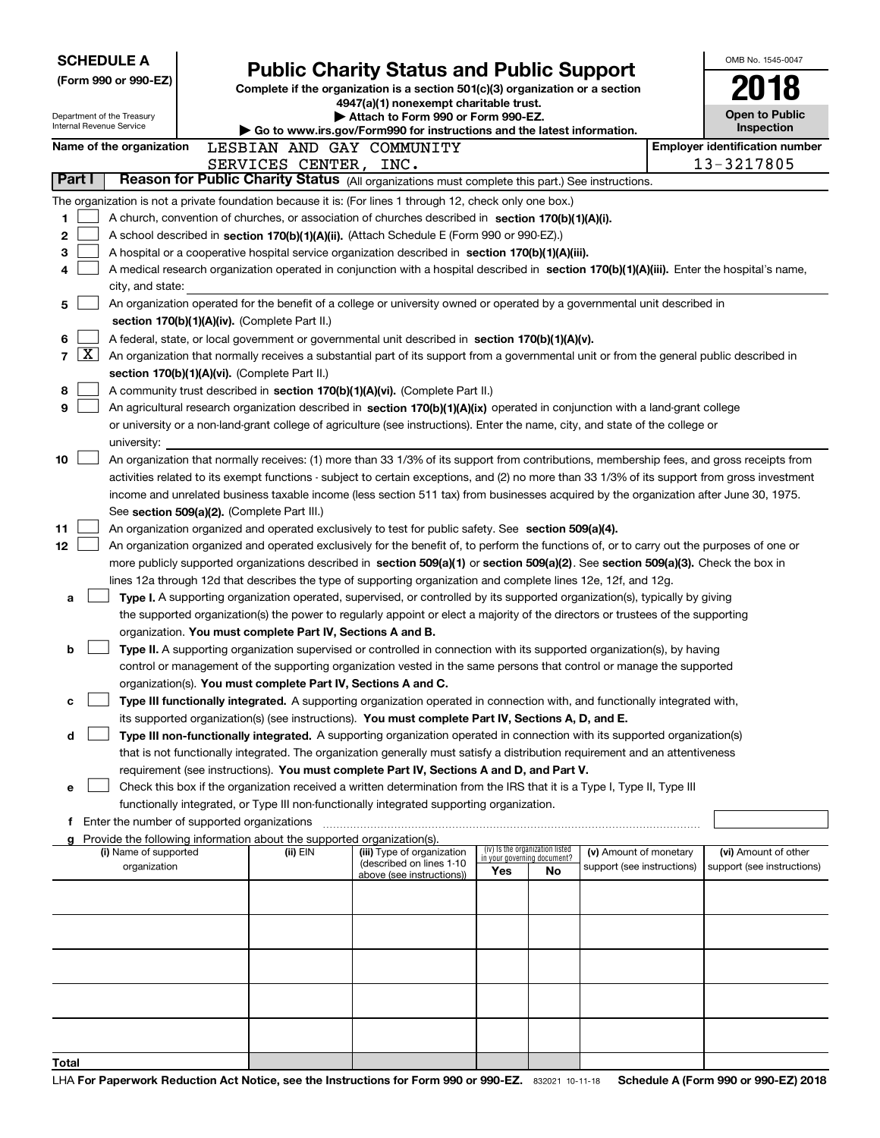| <b>SCHEDULE A</b>                                      |                                                                                                                                                                | <b>Public Charity Status and Public Support</b>                               |                                                                                    |                                                                                                                                                                                                                                               |                             |                                 |                            | OMB No. 1545-0047 |                                       |  |
|--------------------------------------------------------|----------------------------------------------------------------------------------------------------------------------------------------------------------------|-------------------------------------------------------------------------------|------------------------------------------------------------------------------------|-----------------------------------------------------------------------------------------------------------------------------------------------------------------------------------------------------------------------------------------------|-----------------------------|---------------------------------|----------------------------|-------------------|---------------------------------------|--|
| (Form 990 or 990-EZ)                                   |                                                                                                                                                                | Complete if the organization is a section 501(c)(3) organization or a section |                                                                                    |                                                                                                                                                                                                                                               |                             |                                 |                            |                   |                                       |  |
|                                                        |                                                                                                                                                                |                                                                               | 4947(a)(1) nonexempt charitable trust.                                             |                                                                                                                                                                                                                                               |                             |                                 |                            |                   |                                       |  |
| Department of the Treasury<br>Internal Revenue Service |                                                                                                                                                                |                                                                               |                                                                                    | Attach to Form 990 or Form 990-EZ.                                                                                                                                                                                                            |                             |                                 |                            |                   | <b>Open to Public</b>                 |  |
|                                                        |                                                                                                                                                                |                                                                               |                                                                                    | $\blacktriangleright$ Go to www.irs.gov/Form990 for instructions and the latest information.                                                                                                                                                  |                             |                                 |                            |                   | <b>Inspection</b>                     |  |
|                                                        | Name of the organization                                                                                                                                       |                                                                               |                                                                                    | LESBIAN AND GAY COMMUNITY                                                                                                                                                                                                                     |                             |                                 |                            |                   | <b>Employer identification number</b> |  |
| Part I                                                 |                                                                                                                                                                |                                                                               | SERVICES CENTER, INC.                                                              | Reason for Public Charity Status (All organizations must complete this part.) See instructions.                                                                                                                                               |                             |                                 |                            |                   | 13-3217805                            |  |
|                                                        |                                                                                                                                                                |                                                                               |                                                                                    |                                                                                                                                                                                                                                               |                             |                                 |                            |                   |                                       |  |
|                                                        |                                                                                                                                                                |                                                                               |                                                                                    | The organization is not a private foundation because it is: (For lines 1 through 12, check only one box.)                                                                                                                                     |                             |                                 |                            |                   |                                       |  |
| 1<br>2                                                 |                                                                                                                                                                |                                                                               |                                                                                    | A church, convention of churches, or association of churches described in section 170(b)(1)(A)(i).                                                                                                                                            |                             |                                 |                            |                   |                                       |  |
| 3                                                      |                                                                                                                                                                |                                                                               |                                                                                    | A school described in section 170(b)(1)(A)(ii). (Attach Schedule E (Form 990 or 990-EZ).)<br>A hospital or a cooperative hospital service organization described in section 170(b)(1)(A)(iii).                                                |                             |                                 |                            |                   |                                       |  |
|                                                        |                                                                                                                                                                |                                                                               |                                                                                    |                                                                                                                                                                                                                                               |                             |                                 |                            |                   |                                       |  |
|                                                        | A medical research organization operated in conjunction with a hospital described in section 170(b)(1)(A)(iii). Enter the hospital's name,<br>city, and state: |                                                                               |                                                                                    |                                                                                                                                                                                                                                               |                             |                                 |                            |                   |                                       |  |
| 5                                                      |                                                                                                                                                                |                                                                               |                                                                                    | An organization operated for the benefit of a college or university owned or operated by a governmental unit described in                                                                                                                     |                             |                                 |                            |                   |                                       |  |
|                                                        |                                                                                                                                                                |                                                                               | section 170(b)(1)(A)(iv). (Complete Part II.)                                      |                                                                                                                                                                                                                                               |                             |                                 |                            |                   |                                       |  |
| 6                                                      |                                                                                                                                                                |                                                                               |                                                                                    | A federal, state, or local government or governmental unit described in section 170(b)(1)(A)(v).                                                                                                                                              |                             |                                 |                            |                   |                                       |  |
| $\overline{\mathbf{X}}$<br>7                           |                                                                                                                                                                |                                                                               |                                                                                    | An organization that normally receives a substantial part of its support from a governmental unit or from the general public described in                                                                                                     |                             |                                 |                            |                   |                                       |  |
|                                                        |                                                                                                                                                                |                                                                               | section 170(b)(1)(A)(vi). (Complete Part II.)                                      |                                                                                                                                                                                                                                               |                             |                                 |                            |                   |                                       |  |
| 8                                                      |                                                                                                                                                                |                                                                               |                                                                                    | A community trust described in section 170(b)(1)(A)(vi). (Complete Part II.)                                                                                                                                                                  |                             |                                 |                            |                   |                                       |  |
| 9                                                      |                                                                                                                                                                |                                                                               |                                                                                    | An agricultural research organization described in section 170(b)(1)(A)(ix) operated in conjunction with a land-grant college                                                                                                                 |                             |                                 |                            |                   |                                       |  |
|                                                        |                                                                                                                                                                |                                                                               |                                                                                    | or university or a non-land-grant college of agriculture (see instructions). Enter the name, city, and state of the college or                                                                                                                |                             |                                 |                            |                   |                                       |  |
|                                                        | university:                                                                                                                                                    |                                                                               |                                                                                    |                                                                                                                                                                                                                                               |                             |                                 |                            |                   |                                       |  |
| 10                                                     |                                                                                                                                                                |                                                                               |                                                                                    | An organization that normally receives: (1) more than 33 1/3% of its support from contributions, membership fees, and gross receipts from                                                                                                     |                             |                                 |                            |                   |                                       |  |
|                                                        |                                                                                                                                                                |                                                                               |                                                                                    | activities related to its exempt functions - subject to certain exceptions, and (2) no more than 33 1/3% of its support from gross investment                                                                                                 |                             |                                 |                            |                   |                                       |  |
|                                                        |                                                                                                                                                                |                                                                               |                                                                                    | income and unrelated business taxable income (less section 511 tax) from businesses acquired by the organization after June 30, 1975.                                                                                                         |                             |                                 |                            |                   |                                       |  |
|                                                        |                                                                                                                                                                |                                                                               | See section 509(a)(2). (Complete Part III.)                                        |                                                                                                                                                                                                                                               |                             |                                 |                            |                   |                                       |  |
| 11                                                     |                                                                                                                                                                |                                                                               |                                                                                    | An organization organized and operated exclusively to test for public safety. See section 509(a)(4).                                                                                                                                          |                             |                                 |                            |                   |                                       |  |
| 12                                                     |                                                                                                                                                                |                                                                               |                                                                                    | An organization organized and operated exclusively for the benefit of, to perform the functions of, or to carry out the purposes of one or                                                                                                    |                             |                                 |                            |                   |                                       |  |
|                                                        |                                                                                                                                                                |                                                                               |                                                                                    | more publicly supported organizations described in section 509(a)(1) or section 509(a)(2). See section 509(a)(3). Check the box in                                                                                                            |                             |                                 |                            |                   |                                       |  |
|                                                        |                                                                                                                                                                |                                                                               |                                                                                    | lines 12a through 12d that describes the type of supporting organization and complete lines 12e, 12f, and 12g.<br>Type I. A supporting organization operated, supervised, or controlled by its supported organization(s), typically by giving |                             |                                 |                            |                   |                                       |  |
| а                                                      |                                                                                                                                                                |                                                                               |                                                                                    | the supported organization(s) the power to regularly appoint or elect a majority of the directors or trustees of the supporting                                                                                                               |                             |                                 |                            |                   |                                       |  |
|                                                        |                                                                                                                                                                |                                                                               | organization. You must complete Part IV, Sections A and B.                         |                                                                                                                                                                                                                                               |                             |                                 |                            |                   |                                       |  |
| b                                                      |                                                                                                                                                                |                                                                               |                                                                                    | Type II. A supporting organization supervised or controlled in connection with its supported organization(s), by having                                                                                                                       |                             |                                 |                            |                   |                                       |  |
|                                                        |                                                                                                                                                                |                                                                               |                                                                                    | control or management of the supporting organization vested in the same persons that control or manage the supported                                                                                                                          |                             |                                 |                            |                   |                                       |  |
|                                                        |                                                                                                                                                                |                                                                               | organization(s). You must complete Part IV, Sections A and C.                      |                                                                                                                                                                                                                                               |                             |                                 |                            |                   |                                       |  |
| с                                                      |                                                                                                                                                                |                                                                               |                                                                                    | Type III functionally integrated. A supporting organization operated in connection with, and functionally integrated with,                                                                                                                    |                             |                                 |                            |                   |                                       |  |
|                                                        |                                                                                                                                                                |                                                                               |                                                                                    | its supported organization(s) (see instructions). You must complete Part IV, Sections A, D, and E.                                                                                                                                            |                             |                                 |                            |                   |                                       |  |
| d                                                      |                                                                                                                                                                |                                                                               |                                                                                    | Type III non-functionally integrated. A supporting organization operated in connection with its supported organization(s)                                                                                                                     |                             |                                 |                            |                   |                                       |  |
|                                                        |                                                                                                                                                                |                                                                               |                                                                                    | that is not functionally integrated. The organization generally must satisfy a distribution requirement and an attentiveness                                                                                                                  |                             |                                 |                            |                   |                                       |  |
|                                                        |                                                                                                                                                                |                                                                               |                                                                                    | requirement (see instructions). You must complete Part IV, Sections A and D, and Part V.                                                                                                                                                      |                             |                                 |                            |                   |                                       |  |
| е                                                      |                                                                                                                                                                |                                                                               |                                                                                    | Check this box if the organization received a written determination from the IRS that it is a Type I, Type II, Type III                                                                                                                       |                             |                                 |                            |                   |                                       |  |
|                                                        |                                                                                                                                                                |                                                                               |                                                                                    | functionally integrated, or Type III non-functionally integrated supporting organization.                                                                                                                                                     |                             |                                 |                            |                   |                                       |  |
|                                                        |                                                                                                                                                                | f Enter the number of supported organizations                                 |                                                                                    |                                                                                                                                                                                                                                               |                             |                                 |                            |                   |                                       |  |
|                                                        | (i) Name of supported                                                                                                                                          |                                                                               | Provide the following information about the supported organization(s).<br>(ii) EIN | (iii) Type of organization                                                                                                                                                                                                                    |                             | (iv) Is the organization listed | (v) Amount of monetary     |                   | (vi) Amount of other                  |  |
|                                                        | organization                                                                                                                                                   |                                                                               |                                                                                    | (described on lines 1-10                                                                                                                                                                                                                      | in your governing document? |                                 | support (see instructions) |                   | support (see instructions)            |  |
|                                                        |                                                                                                                                                                |                                                                               |                                                                                    | above (see instructions))                                                                                                                                                                                                                     | Yes                         | No.                             |                            |                   |                                       |  |
|                                                        |                                                                                                                                                                |                                                                               |                                                                                    |                                                                                                                                                                                                                                               |                             |                                 |                            |                   |                                       |  |
|                                                        |                                                                                                                                                                |                                                                               |                                                                                    |                                                                                                                                                                                                                                               |                             |                                 |                            |                   |                                       |  |
|                                                        |                                                                                                                                                                |                                                                               |                                                                                    |                                                                                                                                                                                                                                               |                             |                                 |                            |                   |                                       |  |
|                                                        |                                                                                                                                                                |                                                                               |                                                                                    |                                                                                                                                                                                                                                               |                             |                                 |                            |                   |                                       |  |
|                                                        |                                                                                                                                                                |                                                                               |                                                                                    |                                                                                                                                                                                                                                               |                             |                                 |                            |                   |                                       |  |
|                                                        |                                                                                                                                                                |                                                                               |                                                                                    |                                                                                                                                                                                                                                               |                             |                                 |                            |                   |                                       |  |
|                                                        |                                                                                                                                                                |                                                                               |                                                                                    |                                                                                                                                                                                                                                               |                             |                                 |                            |                   |                                       |  |
|                                                        |                                                                                                                                                                |                                                                               |                                                                                    |                                                                                                                                                                                                                                               |                             |                                 |                            |                   |                                       |  |
|                                                        |                                                                                                                                                                |                                                                               |                                                                                    |                                                                                                                                                                                                                                               |                             |                                 |                            |                   |                                       |  |
| Total                                                  |                                                                                                                                                                |                                                                               |                                                                                    |                                                                                                                                                                                                                                               |                             |                                 |                            |                   |                                       |  |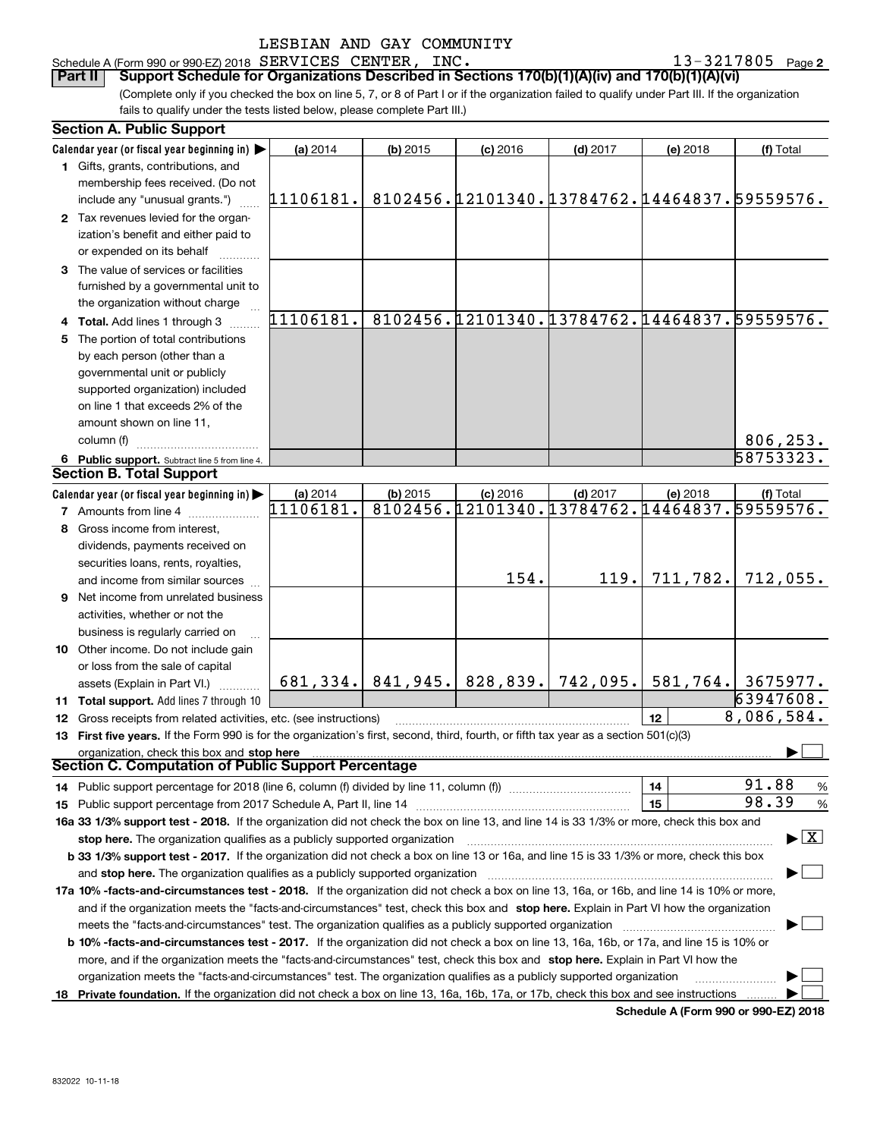# Schedule A (Form 990 or 990-EZ) 2018 Page SERVICES CENTER, INC. 13-3217805

**2**

(Complete only if you checked the box on line 5, 7, or 8 of Part I or if the organization failed to qualify under Part III. If the organization fails to qualify under the tests listed below, please complete Part III.) **Part II** | Support Schedule for Organizations Described in Sections 170(b)(1)(A)(iv) and 170(b)(1)(A)(vi)

| <b>Section A. Public Support</b>                                                                                                               |                       |            |                                                            |            |          |                                          |
|------------------------------------------------------------------------------------------------------------------------------------------------|-----------------------|------------|------------------------------------------------------------|------------|----------|------------------------------------------|
| Calendar year (or fiscal year beginning in)                                                                                                    | (a) 2014              | $(b)$ 2015 | $(c)$ 2016                                                 | $(d)$ 2017 | (e) 2018 | (f) Total                                |
| 1 Gifts, grants, contributions, and                                                                                                            |                       |            |                                                            |            |          |                                          |
| membership fees received. (Do not                                                                                                              |                       |            |                                                            |            |          |                                          |
| include any "unusual grants.")                                                                                                                 | 11106181.             |            | 8102456.12101340.13784762.14464837.59559576.               |            |          |                                          |
| 2 Tax revenues levied for the organ-                                                                                                           |                       |            |                                                            |            |          |                                          |
| ization's benefit and either paid to                                                                                                           |                       |            |                                                            |            |          |                                          |
| or expended on its behalf                                                                                                                      |                       |            |                                                            |            |          |                                          |
| 3 The value of services or facilities                                                                                                          |                       |            |                                                            |            |          |                                          |
| furnished by a governmental unit to                                                                                                            |                       |            |                                                            |            |          |                                          |
| the organization without charge                                                                                                                |                       |            |                                                            |            |          |                                          |
| 4 Total. Add lines 1 through 3                                                                                                                 | 11106181.             |            | 8102456.12101340.13784762.14464837.59559576.               |            |          |                                          |
| 5 The portion of total contributions                                                                                                           |                       |            |                                                            |            |          |                                          |
| by each person (other than a                                                                                                                   |                       |            |                                                            |            |          |                                          |
| governmental unit or publicly                                                                                                                  |                       |            |                                                            |            |          |                                          |
| supported organization) included                                                                                                               |                       |            |                                                            |            |          |                                          |
| on line 1 that exceeds 2% of the                                                                                                               |                       |            |                                                            |            |          |                                          |
| amount shown on line 11,                                                                                                                       |                       |            |                                                            |            |          |                                          |
| column (f)                                                                                                                                     |                       |            |                                                            |            |          | 806, 253.                                |
|                                                                                                                                                |                       |            |                                                            |            |          | 58753323.                                |
| 6 Public support. Subtract line 5 from line 4.<br><b>Section B. Total Support</b>                                                              |                       |            |                                                            |            |          |                                          |
|                                                                                                                                                |                       |            |                                                            |            |          |                                          |
| Calendar year (or fiscal year beginning in)                                                                                                    | (a) 2014<br>11106181. | $(b)$ 2015 | $(c)$ 2016<br>8102456.12101340.13784762.14464837.59559576. | $(d)$ 2017 | (e) 2018 | (f) Total                                |
| <b>7</b> Amounts from line 4                                                                                                                   |                       |            |                                                            |            |          |                                          |
| 8 Gross income from interest,                                                                                                                  |                       |            |                                                            |            |          |                                          |
| dividends, payments received on                                                                                                                |                       |            |                                                            |            |          |                                          |
| securities loans, rents, royalties,                                                                                                            |                       |            |                                                            |            |          |                                          |
| and income from similar sources                                                                                                                |                       |            | 154.                                                       | 119.       | 711,782. | 712,055.                                 |
| <b>9</b> Net income from unrelated business                                                                                                    |                       |            |                                                            |            |          |                                          |
| activities, whether or not the                                                                                                                 |                       |            |                                                            |            |          |                                          |
| business is regularly carried on                                                                                                               |                       |            |                                                            |            |          |                                          |
| <b>10</b> Other income. Do not include gain                                                                                                    |                       |            |                                                            |            |          |                                          |
| or loss from the sale of capital                                                                                                               |                       |            |                                                            |            |          |                                          |
| assets (Explain in Part VI.)                                                                                                                   |                       |            | 681, 334.   841, 945.   828, 839.   742, 095.              |            |          | $581, 764.$ 3675977.                     |
| 11 Total support. Add lines 7 through 10                                                                                                       |                       |            |                                                            |            |          | 63947608.                                |
| 12 Gross receipts from related activities, etc. (see instructions)                                                                             |                       |            |                                                            |            | 12       | 8,086,584.                               |
| 13 First five years. If the Form 990 is for the organization's first, second, third, fourth, or fifth tax year as a section 501(c)(3)          |                       |            |                                                            |            |          |                                          |
| organization, check this box and stop here                                                                                                     |                       |            |                                                            |            |          |                                          |
| Section C. Computation of Public Support Percentage                                                                                            |                       |            |                                                            |            |          |                                          |
| 14 Public support percentage for 2018 (line 6, column (f) divided by line 11, column (f) <i>manumeronoming</i>                                 |                       |            |                                                            |            | 14       | 91.88<br>%                               |
|                                                                                                                                                |                       |            |                                                            |            | 15       | 98.39<br>$\%$                            |
| 16a 33 1/3% support test - 2018. If the organization did not check the box on line 13, and line 14 is 33 1/3% or more, check this box and      |                       |            |                                                            |            |          |                                          |
| stop here. The organization qualifies as a publicly supported organization                                                                     |                       |            |                                                            |            |          | $\blacktriangleright$ $\boxed{\text{X}}$ |
| b 33 1/3% support test - 2017. If the organization did not check a box on line 13 or 16a, and line 15 is 33 1/3% or more, check this box       |                       |            |                                                            |            |          |                                          |
| and stop here. The organization qualifies as a publicly supported organization                                                                 |                       |            |                                                            |            |          |                                          |
| 17a 10% -facts-and-circumstances test - 2018. If the organization did not check a box on line 13, 16a, or 16b, and line 14 is 10% or more,     |                       |            |                                                            |            |          |                                          |
| and if the organization meets the "facts-and-circumstances" test, check this box and stop here. Explain in Part VI how the organization        |                       |            |                                                            |            |          |                                          |
| meets the "facts-and-circumstances" test. The organization qualifies as a publicly supported organization <i>manumumumumumum</i>               |                       |            |                                                            |            |          |                                          |
| <b>b 10% -facts-and-circumstances test - 2017.</b> If the organization did not check a box on line 13, 16a, 16b, or 17a, and line 15 is 10% or |                       |            |                                                            |            |          |                                          |
| more, and if the organization meets the "facts-and-circumstances" test, check this box and stop here. Explain in Part VI how the               |                       |            |                                                            |            |          |                                          |
| organization meets the "facts-and-circumstances" test. The organization qualifies as a publicly supported organization                         |                       |            |                                                            |            |          |                                          |
| 18 Private foundation. If the organization did not check a box on line 13, 16a, 16b, 17a, or 17b, check this box and see instructions          |                       |            |                                                            |            |          |                                          |
|                                                                                                                                                |                       |            |                                                            |            |          |                                          |

**Schedule A (Form 990 or 990-EZ) 2018**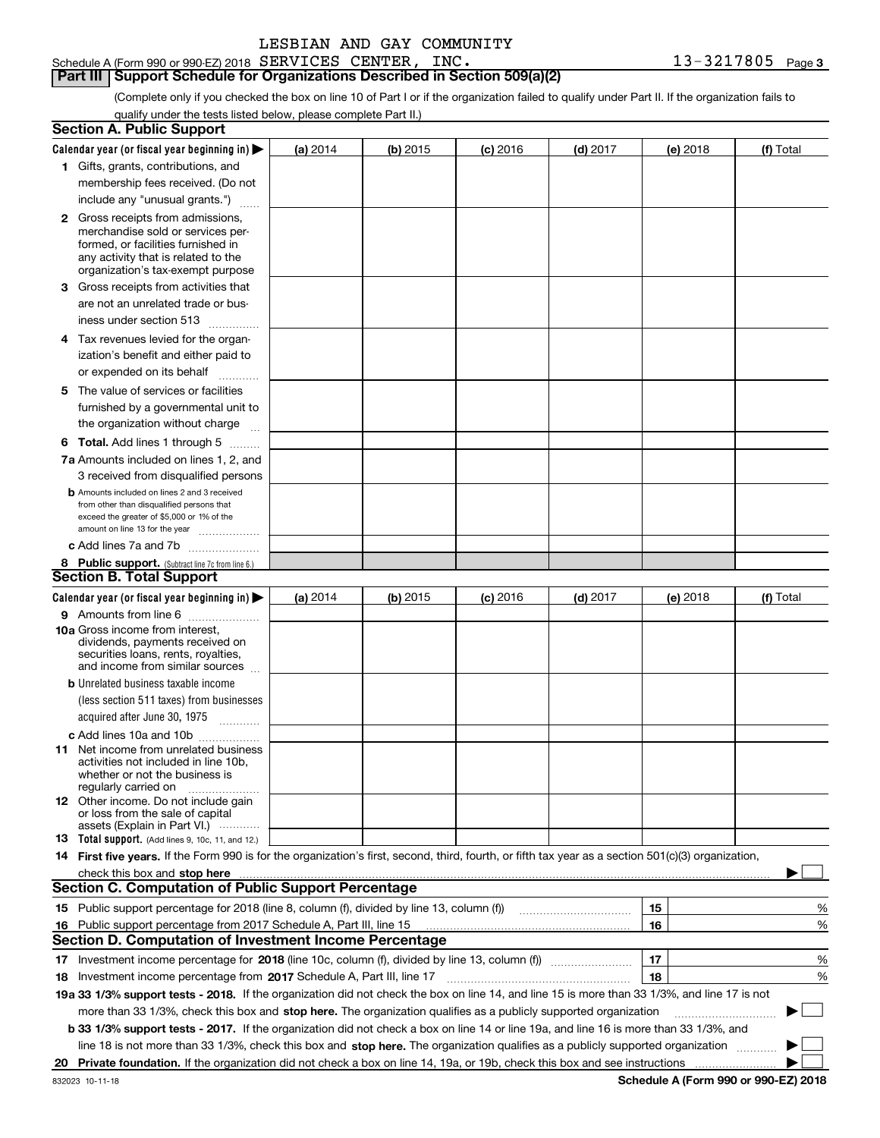# **Part III Support Schedule for Organizations Described in Section 509(a)(2)**

(Complete only if you checked the box on line 10 of Part I or if the organization failed to qualify under Part II. If the organization fails to qualify under the tests listed below, please complete Part II.)

|    | <b>Section A. Public Support</b>                                                                                                                                                                                              |          |            |            |            |          |           |
|----|-------------------------------------------------------------------------------------------------------------------------------------------------------------------------------------------------------------------------------|----------|------------|------------|------------|----------|-----------|
|    | Calendar year (or fiscal year beginning in) $\blacktriangleright$                                                                                                                                                             | (a) 2014 | (b) 2015   | $(c)$ 2016 | $(d)$ 2017 | (e) 2018 | (f) Total |
|    | 1 Gifts, grants, contributions, and                                                                                                                                                                                           |          |            |            |            |          |           |
|    | membership fees received. (Do not                                                                                                                                                                                             |          |            |            |            |          |           |
|    | include any "unusual grants.")                                                                                                                                                                                                |          |            |            |            |          |           |
|    | <b>2</b> Gross receipts from admissions,                                                                                                                                                                                      |          |            |            |            |          |           |
|    | merchandise sold or services per-                                                                                                                                                                                             |          |            |            |            |          |           |
|    | formed, or facilities furnished in                                                                                                                                                                                            |          |            |            |            |          |           |
|    | any activity that is related to the<br>organization's tax-exempt purpose                                                                                                                                                      |          |            |            |            |          |           |
|    | 3 Gross receipts from activities that                                                                                                                                                                                         |          |            |            |            |          |           |
|    | are not an unrelated trade or bus-                                                                                                                                                                                            |          |            |            |            |          |           |
|    | iness under section 513                                                                                                                                                                                                       |          |            |            |            |          |           |
|    | 4 Tax revenues levied for the organ-                                                                                                                                                                                          |          |            |            |            |          |           |
|    | ization's benefit and either paid to                                                                                                                                                                                          |          |            |            |            |          |           |
|    | or expended on its behalf                                                                                                                                                                                                     |          |            |            |            |          |           |
|    | .                                                                                                                                                                                                                             |          |            |            |            |          |           |
|    | 5 The value of services or facilities                                                                                                                                                                                         |          |            |            |            |          |           |
|    | furnished by a governmental unit to                                                                                                                                                                                           |          |            |            |            |          |           |
|    | the organization without charge                                                                                                                                                                                               |          |            |            |            |          |           |
|    | <b>6 Total.</b> Add lines 1 through 5                                                                                                                                                                                         |          |            |            |            |          |           |
|    | 7a Amounts included on lines 1, 2, and                                                                                                                                                                                        |          |            |            |            |          |           |
|    | 3 received from disqualified persons                                                                                                                                                                                          |          |            |            |            |          |           |
|    | <b>b</b> Amounts included on lines 2 and 3 received<br>from other than disqualified persons that                                                                                                                              |          |            |            |            |          |           |
|    | exceed the greater of \$5,000 or 1% of the                                                                                                                                                                                    |          |            |            |            |          |           |
|    | amount on line 13 for the year                                                                                                                                                                                                |          |            |            |            |          |           |
|    | c Add lines 7a and 7b                                                                                                                                                                                                         |          |            |            |            |          |           |
|    | 8 Public support. (Subtract line 7c from line 6.)                                                                                                                                                                             |          |            |            |            |          |           |
|    | <b>Section B. Total Support</b>                                                                                                                                                                                               |          |            |            |            |          |           |
|    | Calendar year (or fiscal year beginning in)                                                                                                                                                                                   | (a) 2014 | $(b)$ 2015 | $(c)$ 2016 | $(d)$ 2017 | (e) 2018 | (f) Total |
|    | 9 Amounts from line 6                                                                                                                                                                                                         |          |            |            |            |          |           |
|    | 10a Gross income from interest,<br>dividends, payments received on                                                                                                                                                            |          |            |            |            |          |           |
|    | securities loans, rents, royalties,                                                                                                                                                                                           |          |            |            |            |          |           |
|    | and income from similar sources                                                                                                                                                                                               |          |            |            |            |          |           |
|    | <b>b</b> Unrelated business taxable income                                                                                                                                                                                    |          |            |            |            |          |           |
|    | (less section 511 taxes) from businesses                                                                                                                                                                                      |          |            |            |            |          |           |
|    | acquired after June 30, 1975 [10001]                                                                                                                                                                                          |          |            |            |            |          |           |
|    | c Add lines 10a and 10b                                                                                                                                                                                                       |          |            |            |            |          |           |
|    | 11 Net income from unrelated business                                                                                                                                                                                         |          |            |            |            |          |           |
|    | activities not included in line 10b.<br>whether or not the business is                                                                                                                                                        |          |            |            |            |          |           |
|    | regularly carried on                                                                                                                                                                                                          |          |            |            |            |          |           |
|    | <b>12</b> Other income. Do not include gain                                                                                                                                                                                   |          |            |            |            |          |           |
|    | or loss from the sale of capital<br>assets (Explain in Part VI.)                                                                                                                                                              |          |            |            |            |          |           |
|    | 13 Total support. (Add lines 9, 10c, 11, and 12.)                                                                                                                                                                             |          |            |            |            |          |           |
|    | 14 First five years. If the Form 990 is for the organization's first, second, third, fourth, or fifth tax year as a section 501(c)(3) organization,                                                                           |          |            |            |            |          |           |
|    | check this box and stop here manufactured content to the state of the state of the state of the state of the state of the state of the state of the state of the state of the state of the state of the state of the state of |          |            |            |            |          |           |
|    | <b>Section C. Computation of Public Support Percentage</b>                                                                                                                                                                    |          |            |            |            |          |           |
|    | 15 Public support percentage for 2018 (line 8, column (f), divided by line 13, column (f))                                                                                                                                    |          |            |            |            | 15       | %         |
| 16 | Public support percentage from 2017 Schedule A, Part III, line 15                                                                                                                                                             |          |            |            |            | 16       | %         |
|    | Section D. Computation of Investment Income Percentage                                                                                                                                                                        |          |            |            |            |          |           |
|    | 17 Investment income percentage for 2018 (line 10c, column (f), divided by line 13, column (f))                                                                                                                               |          |            |            |            | 17       | %         |
|    | 18 Investment income percentage from 2017 Schedule A, Part III, line 17                                                                                                                                                       |          |            |            |            | 18       | %         |
|    | 19a 33 1/3% support tests - 2018. If the organization did not check the box on line 14, and line 15 is more than 33 1/3%, and line 17 is not                                                                                  |          |            |            |            |          |           |
|    | more than 33 1/3%, check this box and stop here. The organization qualifies as a publicly supported organization                                                                                                              |          |            |            |            |          | $\sim$ 1  |
|    | b 33 1/3% support tests - 2017. If the organization did not check a box on line 14 or line 19a, and line 16 is more than 33 1/3%, and                                                                                         |          |            |            |            |          |           |
|    | line 18 is not more than 33 1/3%, check this box and stop here. The organization qualifies as a publicly supported organization                                                                                               |          |            |            |            |          |           |
| 20 |                                                                                                                                                                                                                               |          |            |            |            |          |           |
|    |                                                                                                                                                                                                                               |          |            |            |            |          |           |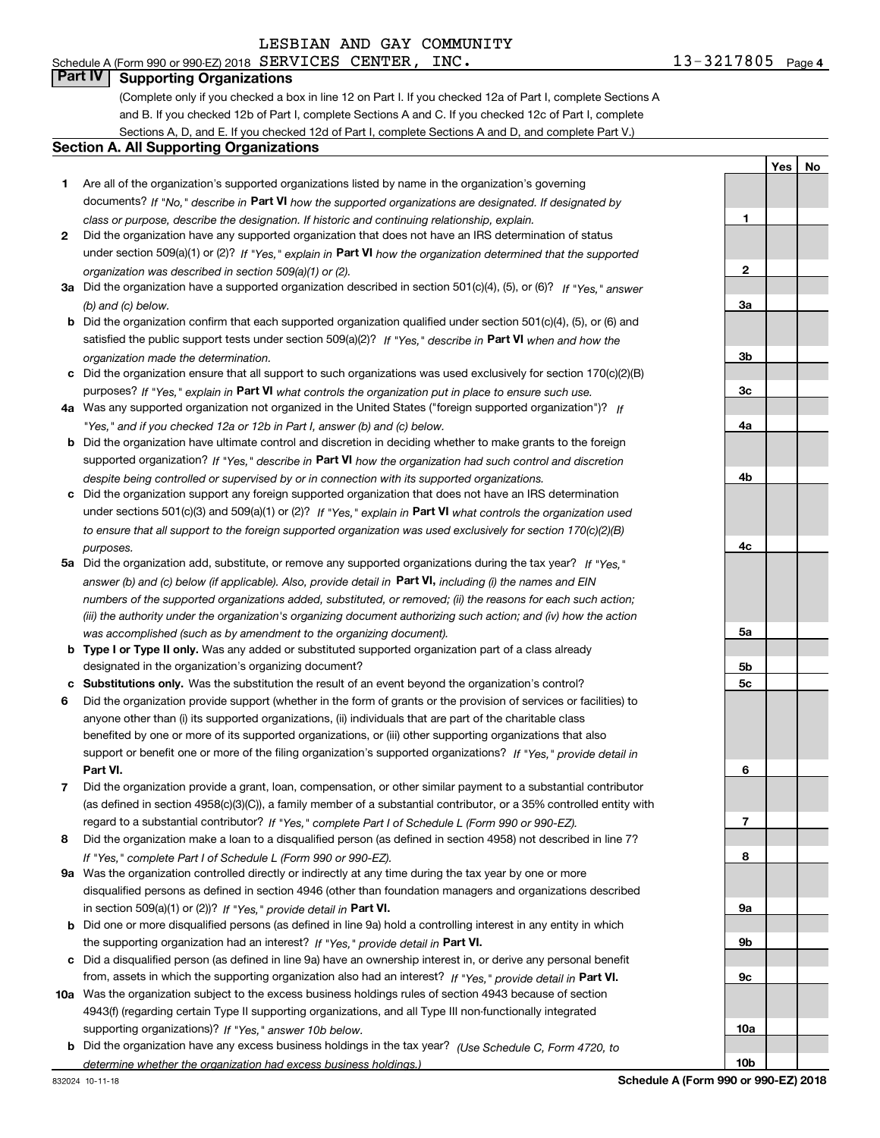# Schedule A (Form 990 or 990-EZ) 2018 Page SERVICES CENTER, INC. 13-3217805

# **Part IV Supporting Organizations**

(Complete only if you checked a box in line 12 on Part I. If you checked 12a of Part I, complete Sections A and B. If you checked 12b of Part I, complete Sections A and C. If you checked 12c of Part I, complete Sections A, D, and E. If you checked 12d of Part I, complete Sections A and D, and complete Part V.)

# **Section A. All Supporting Organizations**

- **1** Are all of the organization's supported organizations listed by name in the organization's governing documents? If "No," describe in **Part VI** how the supported organizations are designated. If designated by *class or purpose, describe the designation. If historic and continuing relationship, explain.*
- **2** Did the organization have any supported organization that does not have an IRS determination of status under section 509(a)(1) or (2)? If "Yes," explain in Part VI how the organization determined that the supported *organization was described in section 509(a)(1) or (2).*
- **3a** Did the organization have a supported organization described in section 501(c)(4), (5), or (6)? If "Yes," answer *(b) and (c) below.*
- **b** Did the organization confirm that each supported organization qualified under section 501(c)(4), (5), or (6) and satisfied the public support tests under section 509(a)(2)? If "Yes," describe in **Part VI** when and how the *organization made the determination.*
- **c**Did the organization ensure that all support to such organizations was used exclusively for section 170(c)(2)(B) purposes? If "Yes," explain in **Part VI** what controls the organization put in place to ensure such use.
- **4a***If* Was any supported organization not organized in the United States ("foreign supported organization")? *"Yes," and if you checked 12a or 12b in Part I, answer (b) and (c) below.*
- **b** Did the organization have ultimate control and discretion in deciding whether to make grants to the foreign supported organization? If "Yes," describe in **Part VI** how the organization had such control and discretion *despite being controlled or supervised by or in connection with its supported organizations.*
- **c** Did the organization support any foreign supported organization that does not have an IRS determination under sections 501(c)(3) and 509(a)(1) or (2)? If "Yes," explain in **Part VI** what controls the organization used *to ensure that all support to the foreign supported organization was used exclusively for section 170(c)(2)(B) purposes.*
- **5a***If "Yes,"* Did the organization add, substitute, or remove any supported organizations during the tax year? answer (b) and (c) below (if applicable). Also, provide detail in **Part VI,** including (i) the names and EIN *numbers of the supported organizations added, substituted, or removed; (ii) the reasons for each such action; (iii) the authority under the organization's organizing document authorizing such action; and (iv) how the action was accomplished (such as by amendment to the organizing document).*
- **b** Type I or Type II only. Was any added or substituted supported organization part of a class already designated in the organization's organizing document?
- **cSubstitutions only.**  Was the substitution the result of an event beyond the organization's control?
- **6** Did the organization provide support (whether in the form of grants or the provision of services or facilities) to **Part VI.** *If "Yes," provide detail in* support or benefit one or more of the filing organization's supported organizations? anyone other than (i) its supported organizations, (ii) individuals that are part of the charitable class benefited by one or more of its supported organizations, or (iii) other supporting organizations that also
- **7**Did the organization provide a grant, loan, compensation, or other similar payment to a substantial contributor *If "Yes," complete Part I of Schedule L (Form 990 or 990-EZ).* regard to a substantial contributor? (as defined in section 4958(c)(3)(C)), a family member of a substantial contributor, or a 35% controlled entity with
- **8** Did the organization make a loan to a disqualified person (as defined in section 4958) not described in line 7? *If "Yes," complete Part I of Schedule L (Form 990 or 990-EZ).*
- **9a** Was the organization controlled directly or indirectly at any time during the tax year by one or more in section 509(a)(1) or (2))? If "Yes," *provide detail in* <code>Part VI.</code> disqualified persons as defined in section 4946 (other than foundation managers and organizations described
- **b** Did one or more disqualified persons (as defined in line 9a) hold a controlling interest in any entity in which the supporting organization had an interest? If "Yes," provide detail in P**art VI**.
- **c**Did a disqualified person (as defined in line 9a) have an ownership interest in, or derive any personal benefit from, assets in which the supporting organization also had an interest? If "Yes," provide detail in P**art VI.**
- **10a** Was the organization subject to the excess business holdings rules of section 4943 because of section supporting organizations)? If "Yes," answer 10b below. 4943(f) (regarding certain Type II supporting organizations, and all Type III non-functionally integrated
- **b** Did the organization have any excess business holdings in the tax year? (Use Schedule C, Form 4720, to *determine whether the organization had excess business holdings.)*

**3c4a4b4c5a5b5c6789a 9b9c10a10b**

**1**

**2**

**3a**

**3b**

**Yes**

**No**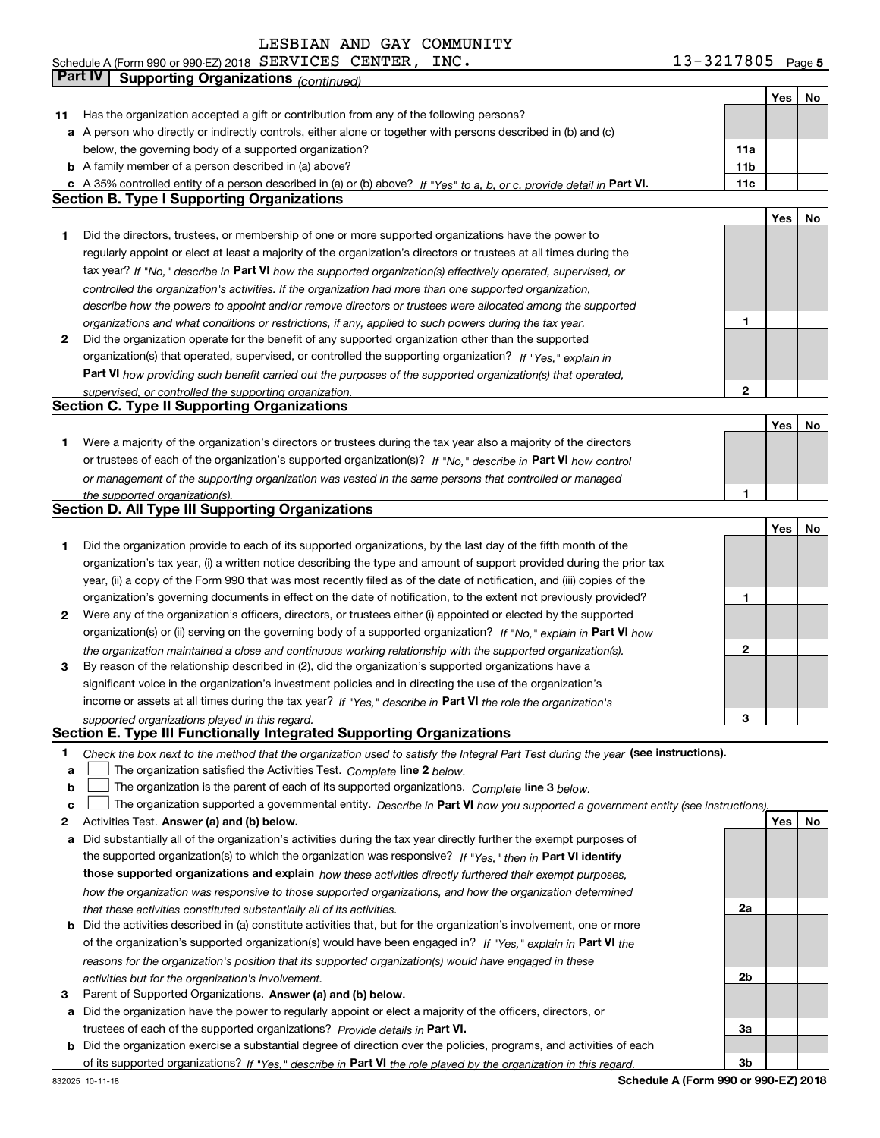Schedule A (Form 990 or 990-EZ) 2018 SERVICES CENTER,INC。 1 J - J Z I 7 8 U D Page SERVICES CENTER, INC. 13-3217805

|     |                                                                                                                                   |                 | Yes∣ | No |
|-----|-----------------------------------------------------------------------------------------------------------------------------------|-----------------|------|----|
| 11. | Has the organization accepted a gift or contribution from any of the following persons?                                           |                 |      |    |
|     | a A person who directly or indirectly controls, either alone or together with persons described in (b) and (c)                    |                 |      |    |
|     | below, the governing body of a supported organization?                                                                            | 11a             |      |    |
|     | <b>b</b> A family member of a person described in (a) above?                                                                      | 11 <sub>b</sub> |      |    |
|     | c A 35% controlled entity of a person described in (a) or (b) above? If "Yes" to a, b, or c, provide detail in Part VI.           | 11c             |      |    |
|     | <b>Section B. Type I Supporting Organizations</b>                                                                                 |                 |      |    |
|     |                                                                                                                                   |                 | Yes  | No |
| 1   | Did the directors, trustees, or membership of one or more supported organizations have the power to                               |                 |      |    |
|     | regularly appoint or elect at least a majority of the organization's directors or trustees at all times during the                |                 |      |    |
|     | tax year? If "No," describe in Part VI how the supported organization(s) effectively operated, supervised, or                     |                 |      |    |
|     | controlled the organization's activities. If the organization had more than one supported organization,                           |                 |      |    |
|     | describe how the powers to appoint and/or remove directors or trustees were allocated among the supported                         |                 |      |    |
|     | organizations and what conditions or restrictions, if any, applied to such powers during the tax year.                            | 1               |      |    |
| 2   | Did the organization operate for the benefit of any supported organization other than the supported                               |                 |      |    |
|     | organization(s) that operated, supervised, or controlled the supporting organization? If "Yes," explain in                        |                 |      |    |
|     | Part VI how providing such benefit carried out the purposes of the supported organization(s) that operated,                       |                 |      |    |
|     | supervised, or controlled the supporting organization.                                                                            | 2               |      |    |
|     | <b>Section C. Type II Supporting Organizations</b>                                                                                |                 |      |    |
|     |                                                                                                                                   |                 | Yes  | No |
| 1   | Were a majority of the organization's directors or trustees during the tax year also a majority of the directors                  |                 |      |    |
|     | or trustees of each of the organization's supported organization(s)? If "No," describe in Part VI how control                     |                 |      |    |
|     | or management of the supporting organization was vested in the same persons that controlled or managed                            |                 |      |    |
|     | the supported organization(s).                                                                                                    | 1               |      |    |
|     | Section D. All Type III Supporting Organizations                                                                                  |                 |      |    |
|     |                                                                                                                                   |                 | Yes  | No |
| 1   | Did the organization provide to each of its supported organizations, by the last day of the fifth month of the                    |                 |      |    |
|     | organization's tax year, (i) a written notice describing the type and amount of support provided during the prior tax             |                 |      |    |
|     | year, (ii) a copy of the Form 990 that was most recently filed as of the date of notification, and (iii) copies of the            |                 |      |    |
|     | organization's governing documents in effect on the date of notification, to the extent not previously provided?                  | 1               |      |    |
| 2   | Were any of the organization's officers, directors, or trustees either (i) appointed or elected by the supported                  |                 |      |    |
|     | organization(s) or (ii) serving on the governing body of a supported organization? If "No," explain in Part VI how                |                 |      |    |
|     | the organization maintained a close and continuous working relationship with the supported organization(s).                       | 2               |      |    |
| 3   | By reason of the relationship described in (2), did the organization's supported organizations have a                             |                 |      |    |
|     | significant voice in the organization's investment policies and in directing the use of the organization's                        |                 |      |    |
|     | income or assets at all times during the tax year? If "Yes," describe in Part VI the role the organization's                      |                 |      |    |
|     | supported organizations played in this regard.                                                                                    | 3               |      |    |
|     | Section E. Type III Functionally Integrated Supporting Organizations                                                              |                 |      |    |
| 1   | Check the box next to the method that the organization used to satisfy the Integral Part Test during the year (see instructions). |                 |      |    |
| a   | The organization satisfied the Activities Test. Complete line 2 below.                                                            |                 |      |    |
| b   | The organization is the parent of each of its supported organizations. Complete line 3 below.                                     |                 |      |    |
| c   | The organization supported a governmental entity. Describe in Part VI how you supported a government entity (see instructions)    |                 |      |    |
| 2   | Activities Test. Answer (a) and (b) below.                                                                                        |                 | Yes  | No |
| а   | Did substantially all of the organization's activities during the tax year directly further the exempt purposes of                |                 |      |    |
|     | the supported organization(s) to which the organization was responsive? If "Yes," then in Part VI identify                        |                 |      |    |
|     | those supported organizations and explain how these activities directly furthered their exempt purposes,                          |                 |      |    |
|     | how the organization was responsive to those supported organizations, and how the organization determined                         |                 |      |    |
|     | that these activities constituted substantially all of its activities.                                                            | 2a              |      |    |
|     | <b>b</b> Did the activities described in (a) constitute activities that, but for the organization's involvement, one or more      |                 |      |    |
|     | of the organization's supported organization(s) would have been engaged in? If "Yes," explain in Part VI the                      |                 |      |    |
|     | reasons for the organization's position that its supported organization(s) would have engaged in these                            |                 |      |    |
|     | activities but for the organization's involvement.                                                                                | 2b              |      |    |
| з   | Parent of Supported Organizations. Answer (a) and (b) below.                                                                      |                 |      |    |
|     | a Did the organization have the power to regularly appoint or elect a majority of the officers, directors, or                     |                 |      |    |
|     | trustees of each of the supported organizations? Provide details in Part VI.                                                      | За              |      |    |
|     | <b>b</b> Did the organization exercise a substantial degree of direction over the policies, programs, and activities of each      |                 |      |    |
|     | of its supported organizations? If "Yes," describe in Part VI the role played by the organization in this regard.                 | 3b              |      |    |
|     | Schedule A (Form 990 or 990-EZ) 2018<br>832025 10-11-18                                                                           |                 |      |    |

**Part IV Supporting Organizations** *(continued)*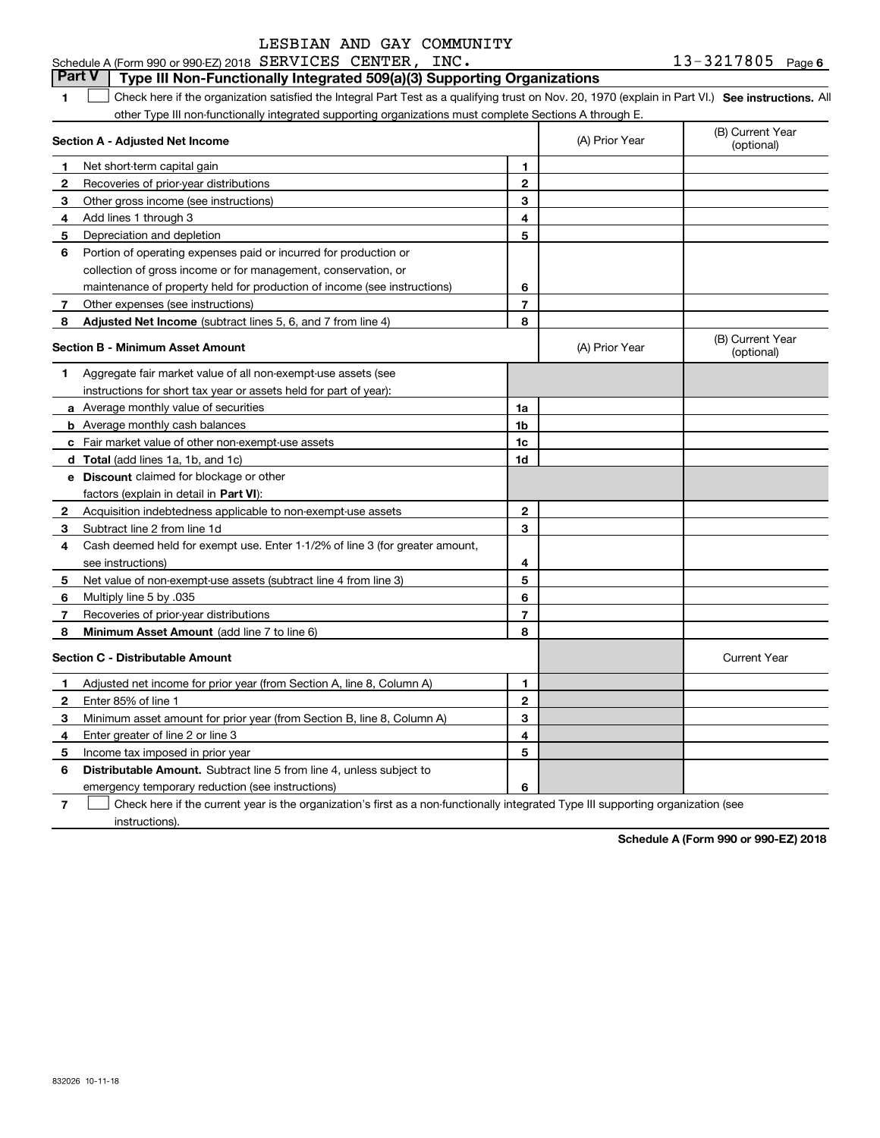# **Part V** | Type III Non-Functionally Integrated 509(a)(3) Supporting Organizations

**SEP 10. See instructions.** All antegral Part Test as a qualifying trust on Nov. 20, 1970 (explain in Part VI.) See instructions. All other Type III non-functionally integrated supporting organizations must complete Sections A through E.  $\mathcal{L}^{\text{max}}$ 

|              | Section A - Adjusted Net Income                                              |                | (A) Prior Year | (B) Current Year<br>(optional) |
|--------------|------------------------------------------------------------------------------|----------------|----------------|--------------------------------|
| 1            | Net short-term capital gain                                                  | 1              |                |                                |
| 2            | Recoveries of prior-year distributions                                       | $\mathbf{2}$   |                |                                |
| 3            | Other gross income (see instructions)                                        | 3              |                |                                |
| 4            | Add lines 1 through 3                                                        | 4              |                |                                |
| 5            | Depreciation and depletion                                                   | 5              |                |                                |
| 6            | Portion of operating expenses paid or incurred for production or             |                |                |                                |
|              | collection of gross income or for management, conservation, or               |                |                |                                |
|              | maintenance of property held for production of income (see instructions)     | 6              |                |                                |
| 7            | Other expenses (see instructions)                                            | $\overline{7}$ |                |                                |
| 8            | Adjusted Net Income (subtract lines 5, 6, and 7 from line 4)                 | 8              |                |                                |
|              | <b>Section B - Minimum Asset Amount</b>                                      |                | (A) Prior Year | (B) Current Year<br>(optional) |
| 1.           | Aggregate fair market value of all non-exempt-use assets (see                |                |                |                                |
|              | instructions for short tax year or assets held for part of year):            |                |                |                                |
|              | a Average monthly value of securities                                        | 1a             |                |                                |
|              | <b>b</b> Average monthly cash balances                                       | 1b             |                |                                |
|              | c Fair market value of other non-exempt-use assets                           | 1c             |                |                                |
|              | <b>d</b> Total (add lines 1a, 1b, and 1c)                                    | 1d             |                |                                |
|              | e Discount claimed for blockage or other                                     |                |                |                                |
|              | factors (explain in detail in Part VI):                                      |                |                |                                |
| $\mathbf{2}$ | Acquisition indebtedness applicable to non-exempt-use assets                 | $\mathbf 2$    |                |                                |
| 3            | Subtract line 2 from line 1d                                                 | 3              |                |                                |
| 4            | Cash deemed held for exempt use. Enter 1-1/2% of line 3 (for greater amount, |                |                |                                |
|              | see instructions)                                                            | 4              |                |                                |
| 5            | Net value of non-exempt-use assets (subtract line 4 from line 3)             | 5              |                |                                |
| 6            | Multiply line 5 by .035                                                      | 6              |                |                                |
| 7            | Recoveries of prior-year distributions                                       | $\overline{7}$ |                |                                |
| 8            | Minimum Asset Amount (add line 7 to line 6)                                  | 8              |                |                                |
|              | <b>Section C - Distributable Amount</b>                                      |                |                | <b>Current Year</b>            |
| 1            | Adjusted net income for prior year (from Section A, line 8, Column A)        | 1              |                |                                |
| $\mathbf{2}$ | Enter 85% of line 1                                                          | $\mathbf 2$    |                |                                |
| 3            | Minimum asset amount for prior year (from Section B, line 8, Column A)       | 3              |                |                                |
| 4            | Enter greater of line 2 or line 3                                            | 4              |                |                                |
| 5            | Income tax imposed in prior year                                             | 5              |                |                                |
| 6            | <b>Distributable Amount.</b> Subtract line 5 from line 4, unless subject to  |                |                |                                |
|              | emergency temporary reduction (see instructions)                             | 6              |                |                                |

**7**Check here if the current year is the organization's first as a non-functionally integrated Type III supporting organization (see instructions).

**Schedule A (Form 990 or 990-EZ) 2018**

**1**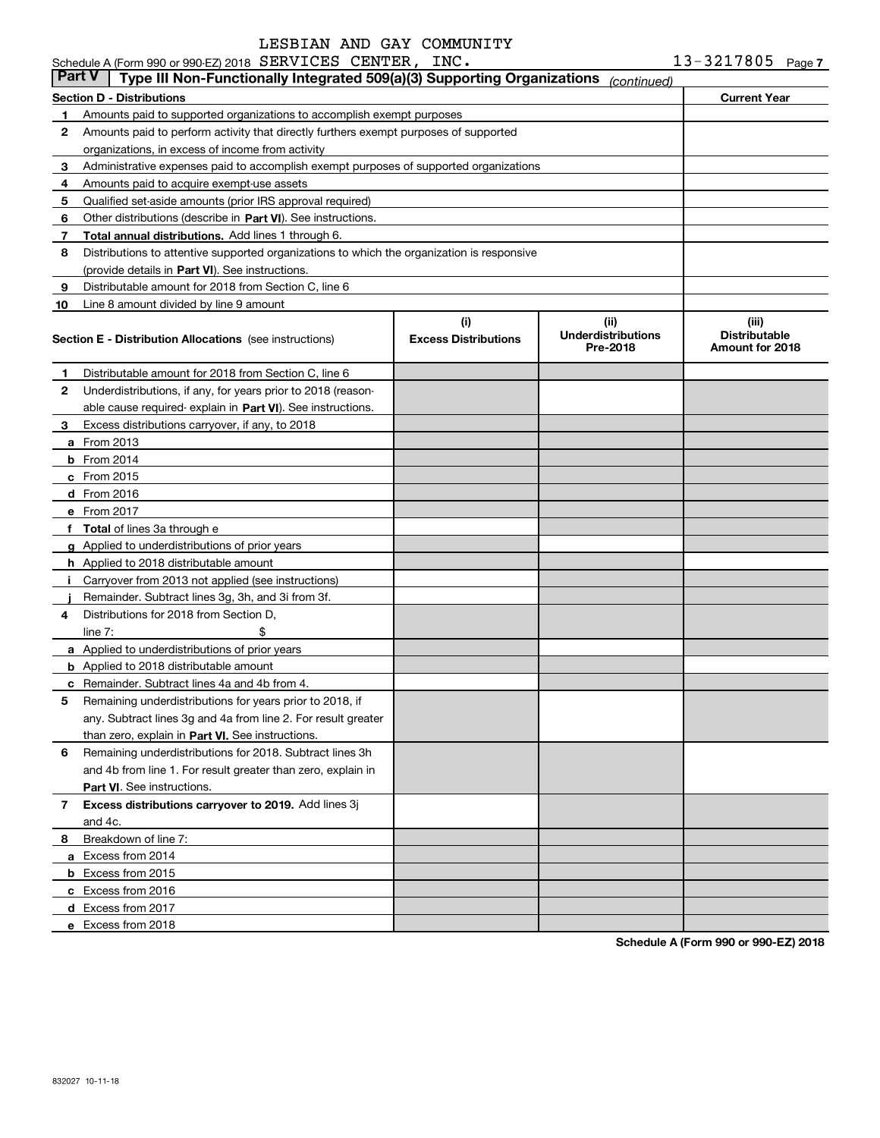|              | Schedule A (Form 990 or 990-EZ) 2018 SERVICES CENTER, INC.                                 |                             |                           | $13 - 3217805$ Page 7 |  |
|--------------|--------------------------------------------------------------------------------------------|-----------------------------|---------------------------|-----------------------|--|
| Part V       | Type III Non-Functionally Integrated 509(a)(3) Supporting Organizations (continued)        |                             |                           |                       |  |
|              | <b>Section D - Distributions</b>                                                           | <b>Current Year</b>         |                           |                       |  |
| 1.           | Amounts paid to supported organizations to accomplish exempt purposes                      |                             |                           |                       |  |
| $\mathbf{2}$ | Amounts paid to perform activity that directly furthers exempt purposes of supported       |                             |                           |                       |  |
|              | organizations, in excess of income from activity                                           |                             |                           |                       |  |
| 3            | Administrative expenses paid to accomplish exempt purposes of supported organizations      |                             |                           |                       |  |
| 4            | Amounts paid to acquire exempt-use assets                                                  |                             |                           |                       |  |
| 5            | Qualified set aside amounts (prior IRS approval required)                                  |                             |                           |                       |  |
| 6            | Other distributions (describe in Part VI). See instructions.                               |                             |                           |                       |  |
| 7            | Total annual distributions. Add lines 1 through 6.                                         |                             |                           |                       |  |
| 8            | Distributions to attentive supported organizations to which the organization is responsive |                             |                           |                       |  |
|              | (provide details in Part VI). See instructions.                                            |                             |                           |                       |  |
| 9            | Distributable amount for 2018 from Section C, line 6                                       |                             |                           |                       |  |
| 10           | Line 8 amount divided by line 9 amount                                                     |                             |                           |                       |  |
|              |                                                                                            | (i)                         | (ii)                      | (iii)                 |  |
|              | <b>Section E - Distribution Allocations</b> (see instructions)                             | <b>Excess Distributions</b> | <b>Underdistributions</b> | <b>Distributable</b>  |  |
|              |                                                                                            |                             | Pre-2018                  | Amount for 2018       |  |
| 1.           | Distributable amount for 2018 from Section C, line 6                                       |                             |                           |                       |  |
| 2            | Underdistributions, if any, for years prior to 2018 (reason-                               |                             |                           |                       |  |
|              | able cause required-explain in Part VI). See instructions.                                 |                             |                           |                       |  |
| 3            | Excess distributions carryover, if any, to 2018                                            |                             |                           |                       |  |
|              | <b>a</b> From 2013                                                                         |                             |                           |                       |  |
|              | $b$ From 2014                                                                              |                             |                           |                       |  |
|              | <b>c</b> From 2015                                                                         |                             |                           |                       |  |
|              | d From 2016                                                                                |                             |                           |                       |  |
|              | e From 2017                                                                                |                             |                           |                       |  |
|              | f Total of lines 3a through e                                                              |                             |                           |                       |  |
|              | g Applied to underdistributions of prior years                                             |                             |                           |                       |  |
|              | <b>h</b> Applied to 2018 distributable amount                                              |                             |                           |                       |  |
|              | Carryover from 2013 not applied (see instructions)                                         |                             |                           |                       |  |
|              | Remainder. Subtract lines 3g, 3h, and 3i from 3f.                                          |                             |                           |                       |  |
| 4            | Distributions for 2018 from Section D,                                                     |                             |                           |                       |  |
|              | line $7:$                                                                                  |                             |                           |                       |  |
|              | a Applied to underdistributions of prior years                                             |                             |                           |                       |  |
|              | <b>b</b> Applied to 2018 distributable amount                                              |                             |                           |                       |  |
|              | <b>c</b> Remainder. Subtract lines 4a and 4b from 4.                                       |                             |                           |                       |  |
|              | Remaining underdistributions for years prior to 2018, if                                   |                             |                           |                       |  |
|              | any. Subtract lines 3g and 4a from line 2. For result greater                              |                             |                           |                       |  |
|              | than zero, explain in Part VI. See instructions.                                           |                             |                           |                       |  |
| 6            | Remaining underdistributions for 2018. Subtract lines 3h                                   |                             |                           |                       |  |
|              | and 4b from line 1. For result greater than zero, explain in                               |                             |                           |                       |  |
|              | <b>Part VI.</b> See instructions.                                                          |                             |                           |                       |  |
| 7            | Excess distributions carryover to 2019. Add lines 3j                                       |                             |                           |                       |  |
|              | and 4c.                                                                                    |                             |                           |                       |  |
| 8            | Breakdown of line 7:                                                                       |                             |                           |                       |  |
|              | a Excess from 2014                                                                         |                             |                           |                       |  |
|              | <b>b</b> Excess from 2015                                                                  |                             |                           |                       |  |
|              | c Excess from 2016                                                                         |                             |                           |                       |  |
|              | d Excess from 2017                                                                         |                             |                           |                       |  |
|              | e Excess from 2018                                                                         |                             |                           |                       |  |

**Schedule A (Form 990 or 990-EZ) 2018**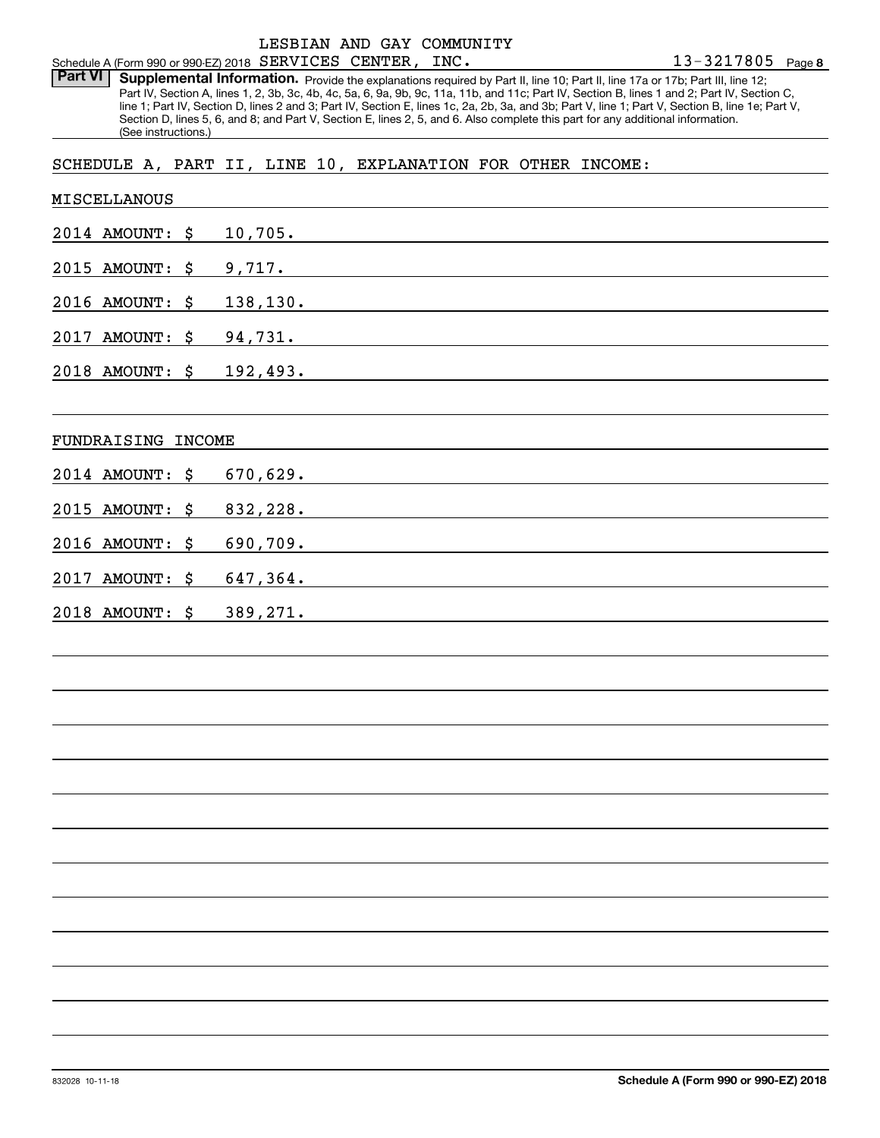Part VI | Supplemental Information. Provide the explanations required by Part II, line 10; Part II, line 17a or 17b; Part III, line 12; Part IV, Section A, lines 1, 2, 3b, 3c, 4b, 4c, 5a, 6, 9a, 9b, 9c, 11a, 11b, and 11c; Part IV, Section B, lines 1 and 2; Part IV, Section C, line 1; Part IV, Section D, lines 2 and 3; Part IV, Section E, lines 1c, 2a, 2b, 3a, and 3b; Part V, line 1; Part V, Section B, line 1e; Part V, Section D, lines 5, 6, and 8; and Part V, Section E, lines 2, 5, and 6. Also complete this part for any additional information. (See instructions.)

SCHEDULE A, PART II, LINE 10, EXPLANATION FOR OTHER INCOME:

| MISCELLANOUS                 |          |
|------------------------------|----------|
| 2014 AMOUNT: \$              | 10,705.  |
| 2015 AMOUNT: \$              | 9,717.   |
| 2016 AMOUNT: \$              | 138,130. |
| 2017 AMOUNT: \$              | 94,731.  |
| 2018 AMOUNT: \$              | 192,493. |
|                              |          |
| FUNDRAISING<br><b>INCOME</b> |          |
| 2014 AMOUNT: \$              | 670,629. |
| 2015 AMOUNT: \$              | 832,228. |
| 2016 AMOUNT: \$              | 690,709. |
| 2017 AMOUNT: \$              | 647,364. |
| 2018 AMOUNT: \$              | 389,271. |
|                              |          |
|                              |          |
|                              |          |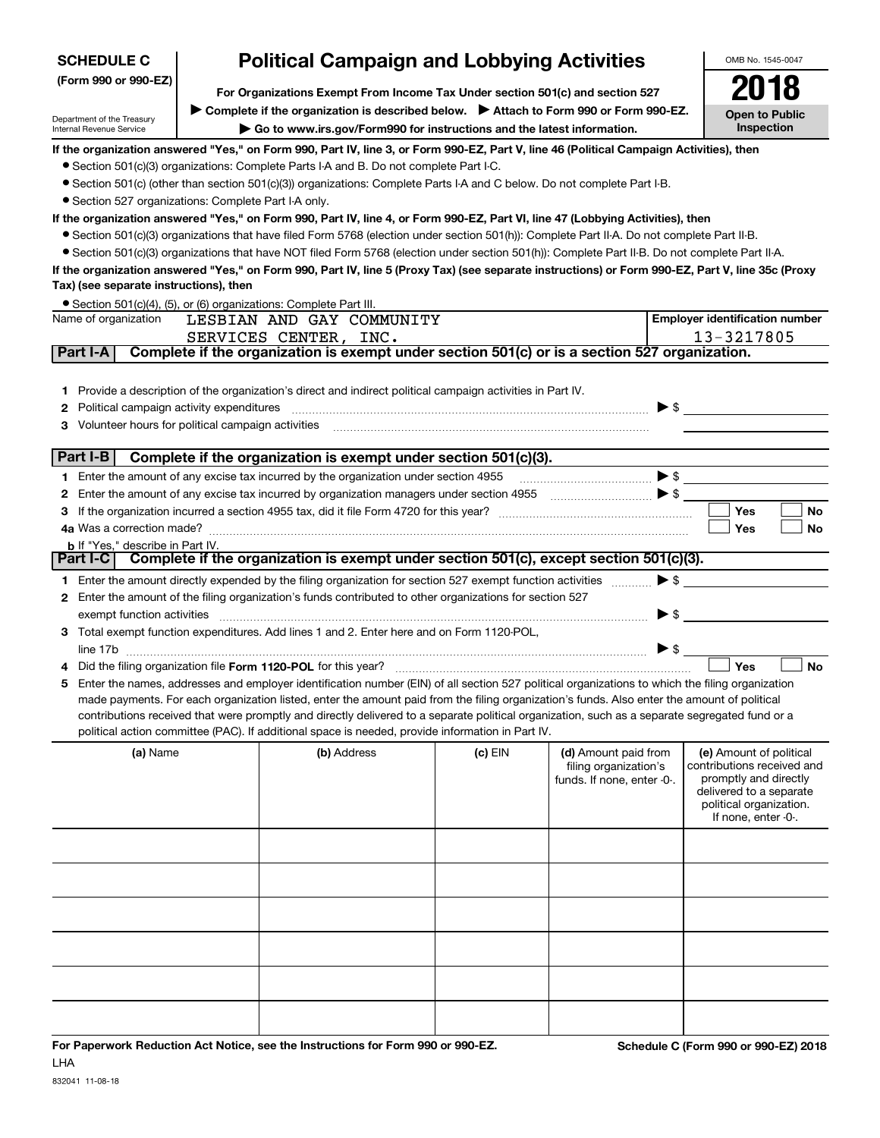| <b>SCHEDULE C</b>                                      | <b>Political Campaign and Lobbying Activities</b>                                      |                                                                                                                                                                                                                                                                                                |         |                            |                                                  |  |  |  |  |
|--------------------------------------------------------|----------------------------------------------------------------------------------------|------------------------------------------------------------------------------------------------------------------------------------------------------------------------------------------------------------------------------------------------------------------------------------------------|---------|----------------------------|--------------------------------------------------|--|--|--|--|
| (Form 990 or 990-EZ)                                   |                                                                                        |                                                                                                                                                                                                                                                                                                |         |                            |                                                  |  |  |  |  |
|                                                        |                                                                                        | For Organizations Exempt From Income Tax Under section 501(c) and section 527<br>Complete if the organization is described below. > Attach to Form 990 or Form 990-EZ.                                                                                                                         |         |                            |                                                  |  |  |  |  |
| Department of the Treasury<br>Internal Revenue Service |                                                                                        | Go to www.irs.gov/Form990 for instructions and the latest information.                                                                                                                                                                                                                         |         |                            | <b>Open to Public</b><br>Inspection              |  |  |  |  |
|                                                        |                                                                                        | If the organization answered "Yes," on Form 990, Part IV, line 3, or Form 990-EZ, Part V, line 46 (Political Campaign Activities), then                                                                                                                                                        |         |                            |                                                  |  |  |  |  |
|                                                        | • Section 501(c)(3) organizations: Complete Parts I-A and B. Do not complete Part I-C. |                                                                                                                                                                                                                                                                                                |         |                            |                                                  |  |  |  |  |
|                                                        |                                                                                        | • Section 501(c) (other than section 501(c)(3)) organizations: Complete Parts I-A and C below. Do not complete Part I-B.                                                                                                                                                                       |         |                            |                                                  |  |  |  |  |
| · Section 527 organizations: Complete Part I-A only.   |                                                                                        |                                                                                                                                                                                                                                                                                                |         |                            |                                                  |  |  |  |  |
|                                                        |                                                                                        | If the organization answered "Yes," on Form 990, Part IV, line 4, or Form 990-EZ, Part VI, line 47 (Lobbying Activities), then<br>• Section 501(c)(3) organizations that have filed Form 5768 (election under section 501(h)): Complete Part II-A. Do not complete Part II-B.                  |         |                            |                                                  |  |  |  |  |
|                                                        |                                                                                        | • Section 501(c)(3) organizations that have NOT filed Form 5768 (election under section 501(h)): Complete Part II-B. Do not complete Part II-A.                                                                                                                                                |         |                            |                                                  |  |  |  |  |
|                                                        |                                                                                        | If the organization answered "Yes," on Form 990, Part IV, line 5 (Proxy Tax) (see separate instructions) or Form 990-EZ, Part V, line 35c (Proxy                                                                                                                                               |         |                            |                                                  |  |  |  |  |
| Tax) (see separate instructions), then                 |                                                                                        |                                                                                                                                                                                                                                                                                                |         |                            |                                                  |  |  |  |  |
|                                                        |                                                                                        | • Section 501(c)(4), (5), or (6) organizations: Complete Part III.                                                                                                                                                                                                                             |         |                            |                                                  |  |  |  |  |
| Name of organization                                   |                                                                                        | LESBIAN AND GAY COMMUNITY                                                                                                                                                                                                                                                                      |         |                            | <b>Employer identification number</b>            |  |  |  |  |
|                                                        |                                                                                        | SERVICES CENTER, INC.                                                                                                                                                                                                                                                                          |         |                            | 13-3217805                                       |  |  |  |  |
| Part I-A                                               |                                                                                        | Complete if the organization is exempt under section 501(c) or is a section 527 organization.                                                                                                                                                                                                  |         |                            |                                                  |  |  |  |  |
|                                                        |                                                                                        |                                                                                                                                                                                                                                                                                                |         |                            |                                                  |  |  |  |  |
| 1.                                                     |                                                                                        | Provide a description of the organization's direct and indirect political campaign activities in Part IV.                                                                                                                                                                                      |         |                            |                                                  |  |  |  |  |
| Political campaign activity expenditures<br>2          |                                                                                        |                                                                                                                                                                                                                                                                                                |         | $\triangleright$ \$        |                                                  |  |  |  |  |
| Volunteer hours for political campaign activities<br>з |                                                                                        |                                                                                                                                                                                                                                                                                                |         |                            |                                                  |  |  |  |  |
| Part I-B                                               |                                                                                        | Complete if the organization is exempt under section 501(c)(3).                                                                                                                                                                                                                                |         |                            |                                                  |  |  |  |  |
|                                                        |                                                                                        | 1 Enter the amount of any excise tax incurred by the organization under section 4955                                                                                                                                                                                                           |         |                            | $\blacktriangleright$ \$                         |  |  |  |  |
| 2                                                      |                                                                                        | Enter the amount of any excise tax incurred by organization managers under section 4955                                                                                                                                                                                                        |         |                            |                                                  |  |  |  |  |
| 3                                                      |                                                                                        |                                                                                                                                                                                                                                                                                                |         |                            | <b>Yes</b><br><b>No</b>                          |  |  |  |  |
|                                                        |                                                                                        |                                                                                                                                                                                                                                                                                                |         |                            | Yes<br>No                                        |  |  |  |  |
| <b>b</b> If "Yes," describe in Part IV.                |                                                                                        |                                                                                                                                                                                                                                                                                                |         |                            |                                                  |  |  |  |  |
|                                                        |                                                                                        | Part I-C   Complete if the organization is exempt under section 501(c), except section 501(c)(3).                                                                                                                                                                                              |         |                            |                                                  |  |  |  |  |
|                                                        |                                                                                        | 1 Enter the amount directly expended by the filing organization for section 527 exempt function activities                                                                                                                                                                                     |         | $\blacktriangleright$ \$   |                                                  |  |  |  |  |
|                                                        |                                                                                        | 2 Enter the amount of the filing organization's funds contributed to other organizations for section 527                                                                                                                                                                                       |         |                            |                                                  |  |  |  |  |
| exempt function activities                             |                                                                                        |                                                                                                                                                                                                                                                                                                |         | $\blacktriangleright$ \$   |                                                  |  |  |  |  |
|                                                        |                                                                                        | 3 Total exempt function expenditures. Add lines 1 and 2. Enter here and on Form 1120-POL,                                                                                                                                                                                                      |         |                            |                                                  |  |  |  |  |
|                                                        |                                                                                        |                                                                                                                                                                                                                                                                                                |         | $\triangleright$ \$        |                                                  |  |  |  |  |
|                                                        |                                                                                        | Did the filing organization file Form 1120-POL for this year?                                                                                                                                                                                                                                  |         |                            | Yes<br><b>No</b>                                 |  |  |  |  |
| 5                                                      |                                                                                        | Enter the names, addresses and employer identification number (EIN) of all section 527 political organizations to which the filing organization<br>made payments. For each organization listed, enter the amount paid from the filing organization's funds. Also enter the amount of political |         |                            |                                                  |  |  |  |  |
|                                                        |                                                                                        | contributions received that were promptly and directly delivered to a separate political organization, such as a separate segregated fund or a                                                                                                                                                 |         |                            |                                                  |  |  |  |  |
|                                                        |                                                                                        | political action committee (PAC). If additional space is needed, provide information in Part IV.                                                                                                                                                                                               |         |                            |                                                  |  |  |  |  |
| (a) Name                                               |                                                                                        | (b) Address                                                                                                                                                                                                                                                                                    | (c) EIN | (d) Amount paid from       | (e) Amount of political                          |  |  |  |  |
|                                                        |                                                                                        |                                                                                                                                                                                                                                                                                                |         | filing organization's      | contributions received and                       |  |  |  |  |
|                                                        |                                                                                        |                                                                                                                                                                                                                                                                                                |         | funds. If none, enter -0-. | promptly and directly<br>delivered to a separate |  |  |  |  |
|                                                        |                                                                                        |                                                                                                                                                                                                                                                                                                |         |                            | political organization.                          |  |  |  |  |
|                                                        |                                                                                        |                                                                                                                                                                                                                                                                                                |         |                            | If none, enter -0-.                              |  |  |  |  |
|                                                        |                                                                                        |                                                                                                                                                                                                                                                                                                |         |                            |                                                  |  |  |  |  |
|                                                        |                                                                                        |                                                                                                                                                                                                                                                                                                |         |                            |                                                  |  |  |  |  |
|                                                        |                                                                                        |                                                                                                                                                                                                                                                                                                |         |                            |                                                  |  |  |  |  |
|                                                        |                                                                                        |                                                                                                                                                                                                                                                                                                |         |                            |                                                  |  |  |  |  |
|                                                        |                                                                                        |                                                                                                                                                                                                                                                                                                |         |                            |                                                  |  |  |  |  |
|                                                        |                                                                                        |                                                                                                                                                                                                                                                                                                |         |                            |                                                  |  |  |  |  |
|                                                        |                                                                                        |                                                                                                                                                                                                                                                                                                |         |                            |                                                  |  |  |  |  |
|                                                        |                                                                                        |                                                                                                                                                                                                                                                                                                |         |                            |                                                  |  |  |  |  |
|                                                        |                                                                                        |                                                                                                                                                                                                                                                                                                |         |                            |                                                  |  |  |  |  |
|                                                        |                                                                                        |                                                                                                                                                                                                                                                                                                |         |                            |                                                  |  |  |  |  |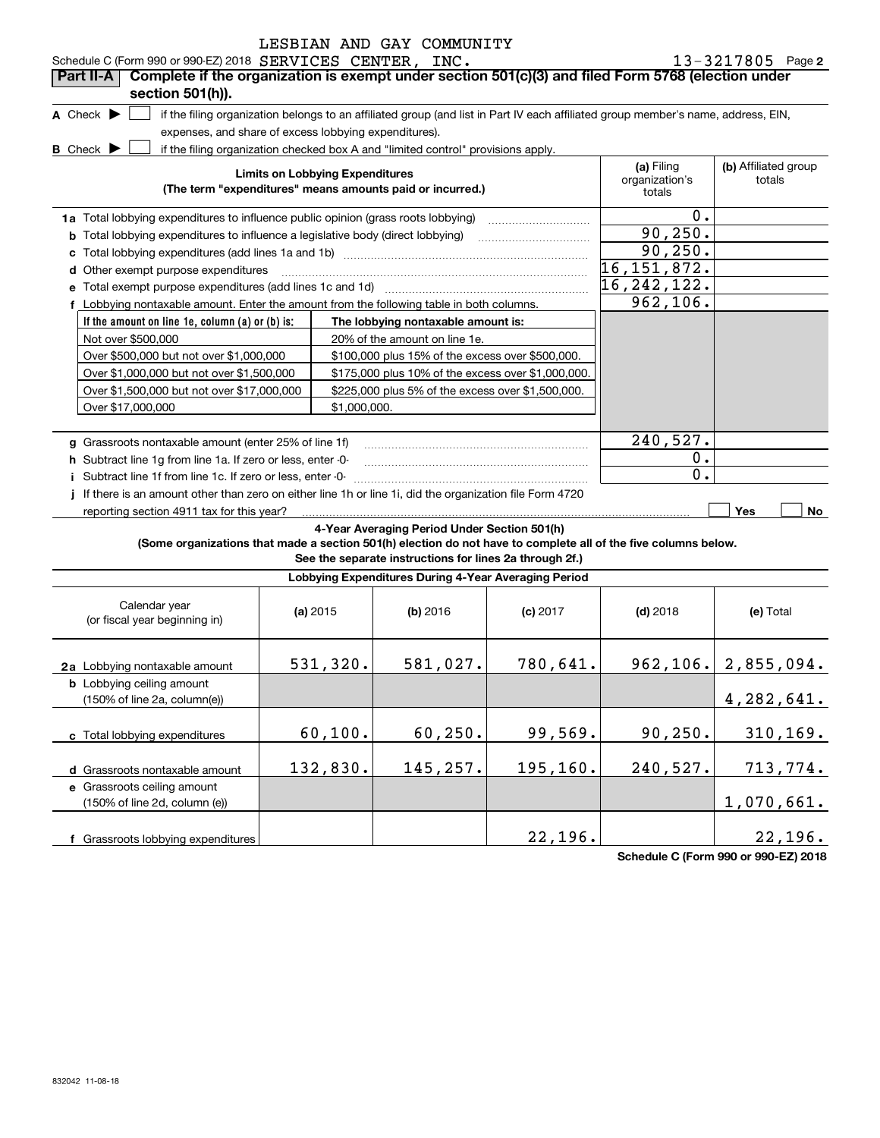| Schedule C (Form 990 or 990-EZ) 2018 SERVICES CENTER, INC.<br>Complete if the organization is exempt under section 501(c)(3) and filed Form 5768 (election under<br>Part II-A |                                        | LESBIAN AND GAY COMMUNITY                                                                                                         |            |                                        | $13 - 3217805$ Page 2          |
|-------------------------------------------------------------------------------------------------------------------------------------------------------------------------------|----------------------------------------|-----------------------------------------------------------------------------------------------------------------------------------|------------|----------------------------------------|--------------------------------|
| section 501(h)).                                                                                                                                                              |                                        |                                                                                                                                   |            |                                        |                                |
| A Check $\blacktriangleright$                                                                                                                                                 |                                        | if the filing organization belongs to an affiliated group (and list in Part IV each affiliated group member's name, address, EIN, |            |                                        |                                |
| expenses, and share of excess lobbying expenditures).                                                                                                                         |                                        |                                                                                                                                   |            |                                        |                                |
| <b>B</b> Check $\blacktriangleright$                                                                                                                                          |                                        | if the filing organization checked box A and "limited control" provisions apply.                                                  |            |                                        |                                |
|                                                                                                                                                                               | <b>Limits on Lobbying Expenditures</b> | (The term "expenditures" means amounts paid or incurred.)                                                                         |            | (a) Filing<br>organization's<br>totals | (b) Affiliated group<br>totals |
| 1a Total lobbying expenditures to influence public opinion (grass roots lobbying)                                                                                             |                                        |                                                                                                                                   |            | 0.                                     |                                |
| <b>b</b> Total lobbying expenditures to influence a legislative body (direct lobbying)                                                                                        |                                        |                                                                                                                                   |            | 90, 250.                               |                                |
|                                                                                                                                                                               |                                        |                                                                                                                                   |            | 90, 250.                               |                                |
| Other exempt purpose expenditures                                                                                                                                             |                                        |                                                                                                                                   |            | 16, 151, 872.                          |                                |
| e Total exempt purpose expenditures (add lines 1c and 1d)                                                                                                                     |                                        |                                                                                                                                   |            | <u>16,242,122.</u>                     |                                |
| f Lobbying nontaxable amount. Enter the amount from the following table in both columns.                                                                                      |                                        |                                                                                                                                   |            | 962, 106.                              |                                |
| If the amount on line 1e, column (a) or (b) is:                                                                                                                               |                                        | The lobbying nontaxable amount is:                                                                                                |            |                                        |                                |
| Not over \$500,000                                                                                                                                                            |                                        | 20% of the amount on line 1e.                                                                                                     |            |                                        |                                |
| Over \$500,000 but not over \$1,000,000                                                                                                                                       |                                        | \$100,000 plus 15% of the excess over \$500,000.                                                                                  |            |                                        |                                |
| Over \$1,000,000 but not over \$1,500,000<br>Over \$1,500,000 but not over \$17,000,000                                                                                       |                                        | \$175,000 plus 10% of the excess over \$1,000,000.                                                                                |            |                                        |                                |
| Over \$17,000,000                                                                                                                                                             |                                        | \$225,000 plus 5% of the excess over \$1,500,000.<br>\$1,000,000.                                                                 |            |                                        |                                |
|                                                                                                                                                                               |                                        |                                                                                                                                   |            |                                        |                                |
| g Grassroots nontaxable amount (enter 25% of line 1f)                                                                                                                         |                                        |                                                                                                                                   |            | 240,527.                               |                                |
| h Subtract line 1g from line 1a. If zero or less, enter -0-                                                                                                                   |                                        |                                                                                                                                   |            | 0.                                     |                                |
| i Subtract line 1f from line 1c. If zero or less, enter -0-                                                                                                                   |                                        |                                                                                                                                   |            | 0.                                     |                                |
| If there is an amount other than zero on either line 1h or line 1i, did the organization file Form 4720                                                                       |                                        |                                                                                                                                   |            |                                        |                                |
| reporting section 4911 tax for this year?                                                                                                                                     |                                        |                                                                                                                                   |            |                                        | Yes<br>No                      |
| (Some organizations that made a section 501(h) election do not have to complete all of the five columns below.                                                                |                                        | 4-Year Averaging Period Under Section 501(h)<br>See the separate instructions for lines 2a through 2f.)                           |            |                                        |                                |
|                                                                                                                                                                               |                                        | Lobbying Expenditures During 4-Year Averaging Period                                                                              |            |                                        |                                |
| Calendar year<br>(or fiscal year beginning in)                                                                                                                                | (a) $2015$                             | $(b)$ 2016                                                                                                                        | (c) $2017$ | $(d)$ 2018                             | (e) Total                      |
| 2a Lobbying nontaxable amount                                                                                                                                                 | 531,320.                               | 581,027.                                                                                                                          | 780,641.   |                                        | $962, 106.$ 2,855,094.         |
| <b>b</b> Lobbying ceiling amount<br>(150% of line 2a, column(e))                                                                                                              |                                        |                                                                                                                                   |            |                                        | 4,282,641.                     |
| c Total lobbying expenditures                                                                                                                                                 | 60, 100.                               | 60, 250.                                                                                                                          | 99,569.    | 90, 250.                               | 310, 169.                      |
| d Grassroots nontaxable amount                                                                                                                                                | 132,830.                               | 145,257.                                                                                                                          | 195,160.   | 240,527.                               | 713,774.                       |
| e Grassroots ceiling amount<br>(150% of line 2d, column (e))                                                                                                                  |                                        |                                                                                                                                   |            |                                        | 1,070,661.                     |
| f Grassroots lobbying expenditures                                                                                                                                            |                                        |                                                                                                                                   | 22,196.    |                                        | 22,196.                        |

**Schedule C (Form 990 or 990-EZ) 2018**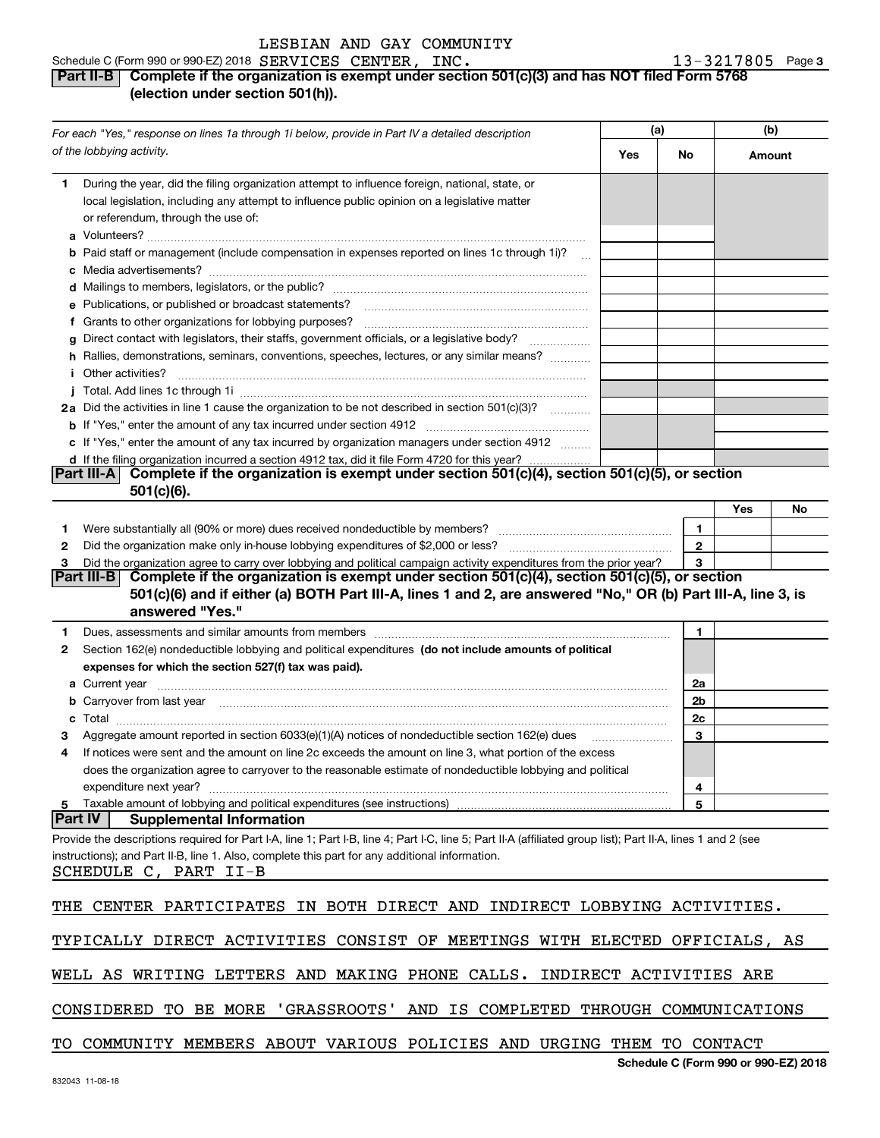#### Schedule C (Form 990 or 990-EZ) 2018  $S$ ERVICES CENTER,INC  $\boldsymbol{\cdot}$   $\boldsymbol{\cdot}$   $\boldsymbol{\cdot}$   $\boldsymbol{\cdot}$   $\boldsymbol{\cdot}$   $\boldsymbol{\cdot}$   $\boldsymbol{\cdot}$   $\boldsymbol{\cdot}$   $\boldsymbol{\cdot}$   $\boldsymbol{\cdot}$   $\boldsymbol{\cdot}$   $\boldsymbol{\cdot}$   $\boldsymbol{\cdot}$   $\boldsymbol{\cdot}$   $\boldsymbol{\cdot}$   $\boldsymbol{\cdot}$   $\boldsymbol{\cdot}$   $\boldsymbol{\cdot}$  SERVICES CENTER, INC. 13-3217805

# **Part II-B Complete if the organization is exempt under section 501(c)(3) and has NOT filed Form 5768 (election under section 501(h)).**

| (a)<br>For each "Yes," response on lines 1a through 1i below, provide in Part IV a detailed description                                                                                         | (b) |  |
|-------------------------------------------------------------------------------------------------------------------------------------------------------------------------------------------------|-----|--|
| of the lobbying activity.<br>Yes<br>No<br>Amount                                                                                                                                                |     |  |
| During the year, did the filing organization attempt to influence foreign, national, state, or<br>1.                                                                                            |     |  |
| local legislation, including any attempt to influence public opinion on a legislative matter                                                                                                    |     |  |
| or referendum, through the use of:                                                                                                                                                              |     |  |
|                                                                                                                                                                                                 |     |  |
| Paid staff or management (include compensation in expenses reported on lines 1c through 1i)?                                                                                                    |     |  |
|                                                                                                                                                                                                 |     |  |
|                                                                                                                                                                                                 |     |  |
| e Publications, or published or broadcast statements?                                                                                                                                           |     |  |
| f Grants to other organizations for lobbying purposes?                                                                                                                                          |     |  |
| Direct contact with legislators, their staffs, government officials, or a legislative body?<br>g                                                                                                |     |  |
| h Rallies, demonstrations, seminars, conventions, speeches, lectures, or any similar means?                                                                                                     |     |  |
| <i>i</i> Other activities?                                                                                                                                                                      |     |  |
|                                                                                                                                                                                                 |     |  |
| 2a Did the activities in line 1 cause the organization to be not described in section 501(c)(3)?                                                                                                |     |  |
|                                                                                                                                                                                                 |     |  |
| c If "Yes," enter the amount of any tax incurred by organization managers under section 4912                                                                                                    |     |  |
| d If the filing organization incurred a section 4912 tax, did it file Form 4720 for this year?<br>Complete if the organization is exempt under section 501(c)(4), section 501(c)(5), or section |     |  |
| <b>Part III-A</b><br>$501(c)(6)$ .                                                                                                                                                              |     |  |
| Yes                                                                                                                                                                                             | No  |  |
| 1<br>Were substantially all (90% or more) dues received nondeductible by members?<br>1                                                                                                          |     |  |
| $\overline{2}$<br>2                                                                                                                                                                             |     |  |
| 3<br>Did the organization agree to carry over lobbying and political campaign activity expenditures from the prior year?<br>3                                                                   |     |  |
| Complete if the organization is exempt under section 501(c)(4), section 501(c)(5), or section<br><b>Part III-B</b>                                                                              |     |  |
| 501(c)(6) and if either (a) BOTH Part III-A, lines 1 and 2, are answered "No," OR (b) Part III-A, line 3, is                                                                                    |     |  |
| answered "Yes."                                                                                                                                                                                 |     |  |
| Dues, assessments and similar amounts from members [111] www.communicallynews.communicallyness.communicallyness.com<br>1<br>1                                                                   |     |  |
| Section 162(e) nondeductible lobbying and political expenditures (do not include amounts of political<br>2                                                                                      |     |  |
| expenses for which the section 527(f) tax was paid).                                                                                                                                            |     |  |
| <b>a</b> Current year<br>2a                                                                                                                                                                     |     |  |
| 2b                                                                                                                                                                                              |     |  |
| 2c<br>c                                                                                                                                                                                         |     |  |
| 3<br>Aggregate amount reported in section 6033(e)(1)(A) notices of nondeductible section 162(e) dues<br>з                                                                                       |     |  |
| If notices were sent and the amount on line 2c exceeds the amount on line 3, what portion of the excess<br>4                                                                                    |     |  |
| does the organization agree to carryover to the reasonable estimate of nondeductible lobbying and political                                                                                     |     |  |
| expenditure next year?<br>4                                                                                                                                                                     |     |  |
| Taxable amount of lobbying and political expenditures (see instructions)<br>5<br>5                                                                                                              |     |  |
| <b>Part IV</b><br><b>Supplemental Information</b>                                                                                                                                               |     |  |
| Provide the descriptions required for Part I-A, line 1; Part I-B, line 4; Part I-C, line 5; Part II-A (affiliated group list); Part II-A, lines 1 and 2 (see                                    |     |  |
| instructions); and Part II-B, line 1. Also, complete this part for any additional information.                                                                                                  |     |  |
| SCHEDULE C, PART II-B                                                                                                                                                                           |     |  |
| CENTER PARTICIPATES IN BOTH DIRECT AND INDIRECT LOBBYING ACTIVITIES.<br>THE                                                                                                                     |     |  |
|                                                                                                                                                                                                 |     |  |
| TYPICALLY DIRECT ACTIVITIES CONSIST OF MEETINGS WITH ELECTED OFFICIALS, AS                                                                                                                      |     |  |
| WELL AS WRITING LETTERS AND MAKING PHONE CALLS.<br>INDIRECT ACTIVITIES ARE                                                                                                                      |     |  |
| 'GRASSROOTS' AND IS COMPLETED THROUGH COMMUNICATIONS<br>CONSIDERED TO BE MORE                                                                                                                   |     |  |
| COMMUNITY MEMBERS ABOUT VARIOUS POLICIES AND URGING THEM TO CONTACT<br>TOI                                                                                                                      |     |  |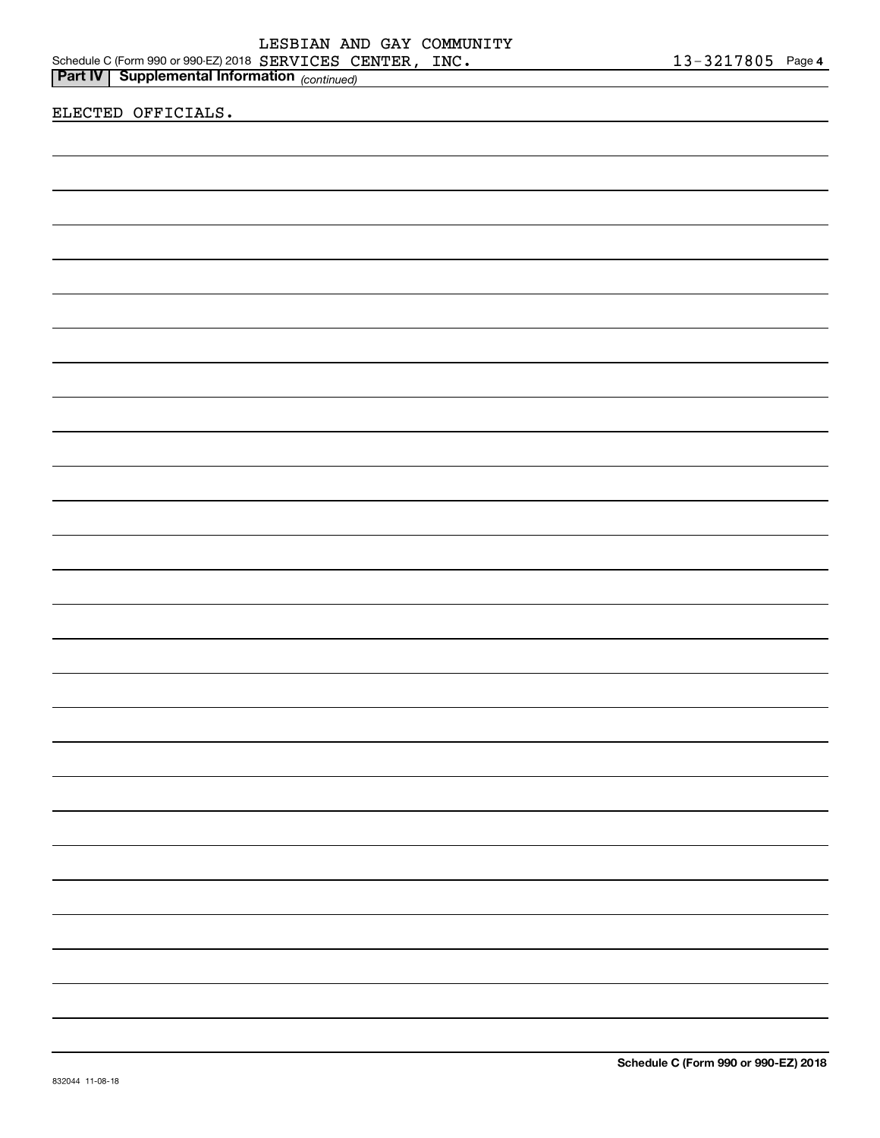| ELECTED OFFICIALS. |
|--------------------|
|                    |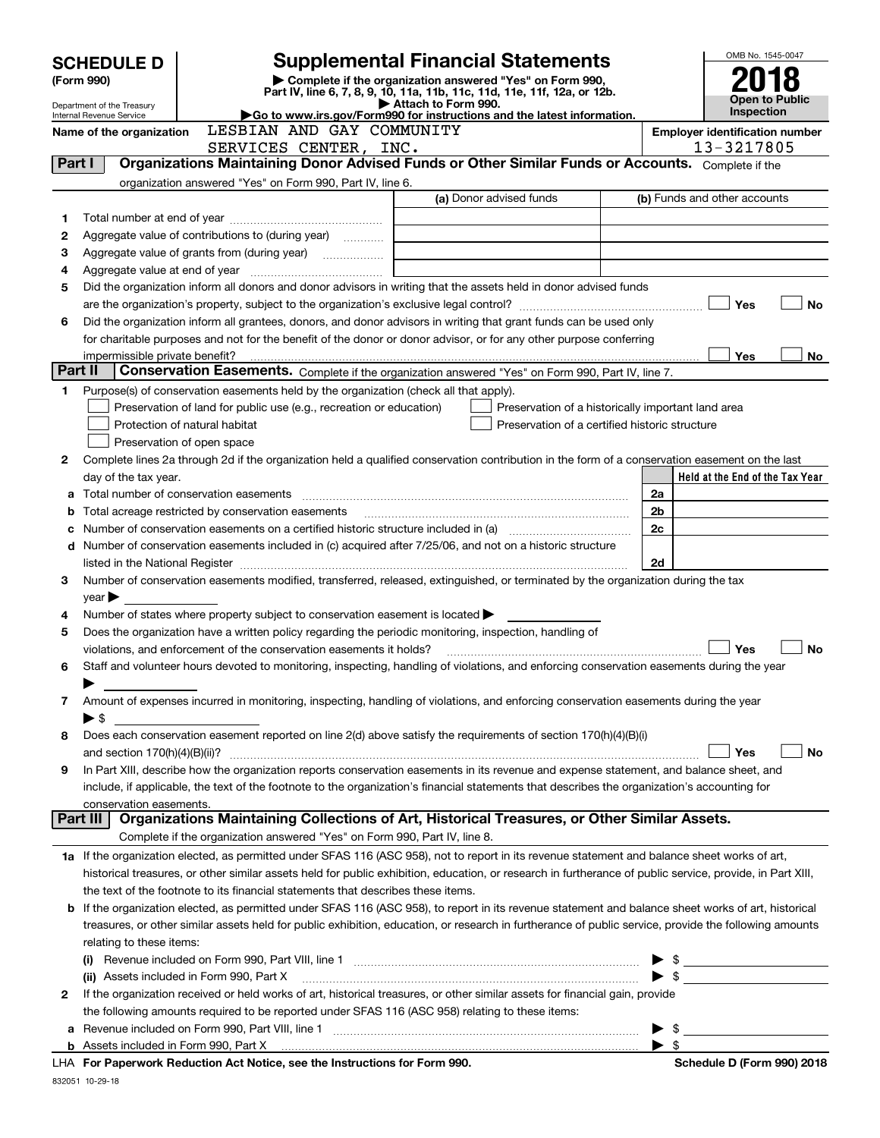|         | <b>SCHEDULE D</b><br>(Form 990)                                                                                                                                         |                                                                                                                    | <b>Supplemental Financial Statements</b><br>Complete if the organization answered "Yes" on Form 990,                                                       |                | OMB No. 1545-0047                     |  |  |
|---------|-------------------------------------------------------------------------------------------------------------------------------------------------------------------------|--------------------------------------------------------------------------------------------------------------------|------------------------------------------------------------------------------------------------------------------------------------------------------------|----------------|---------------------------------------|--|--|
|         |                                                                                                                                                                         |                                                                                                                    | Part IV, line 6, 7, 8, 9, 10, 11a, 11b, 11c, 11d, 11e, 11f, 12a, or 12b.                                                                                   |                | <b>Open to Public</b>                 |  |  |
|         | Department of the Treasury<br>Internal Revenue Service                                                                                                                  |                                                                                                                    | Attach to Form 990.<br>Go to www.irs.gov/Form990 for instructions and the latest information.                                                              |                | <b>Inspection</b>                     |  |  |
|         | Name of the organization                                                                                                                                                | LESBIAN AND GAY COMMUNITY                                                                                          |                                                                                                                                                            |                | <b>Employer identification number</b> |  |  |
|         |                                                                                                                                                                         | SERVICES CENTER, INC.                                                                                              |                                                                                                                                                            |                | 13-3217805                            |  |  |
| Part I  |                                                                                                                                                                         |                                                                                                                    | Organizations Maintaining Donor Advised Funds or Other Similar Funds or Accounts. Complete if the                                                          |                |                                       |  |  |
|         |                                                                                                                                                                         | organization answered "Yes" on Form 990, Part IV, line 6.                                                          | (a) Donor advised funds                                                                                                                                    |                | (b) Funds and other accounts          |  |  |
|         |                                                                                                                                                                         |                                                                                                                    |                                                                                                                                                            |                |                                       |  |  |
| 1       |                                                                                                                                                                         |                                                                                                                    |                                                                                                                                                            |                |                                       |  |  |
| 2<br>3  |                                                                                                                                                                         | Aggregate value of contributions to (during year)<br>Aggregate value of grants from (during year) <i>mimimimim</i> |                                                                                                                                                            |                |                                       |  |  |
| 4       |                                                                                                                                                                         |                                                                                                                    |                                                                                                                                                            |                |                                       |  |  |
| 5       |                                                                                                                                                                         |                                                                                                                    | Did the organization inform all donors and donor advisors in writing that the assets held in donor advised funds                                           |                |                                       |  |  |
|         |                                                                                                                                                                         |                                                                                                                    |                                                                                                                                                            |                | Yes<br><b>No</b>                      |  |  |
| 6       |                                                                                                                                                                         |                                                                                                                    | Did the organization inform all grantees, donors, and donor advisors in writing that grant funds can be used only                                          |                |                                       |  |  |
|         |                                                                                                                                                                         |                                                                                                                    | for charitable purposes and not for the benefit of the donor or donor advisor, or for any other purpose conferring                                         |                |                                       |  |  |
|         |                                                                                                                                                                         |                                                                                                                    |                                                                                                                                                            |                | Yes<br>No                             |  |  |
| Part II |                                                                                                                                                                         |                                                                                                                    | Conservation Easements. Complete if the organization answered "Yes" on Form 990, Part IV, line 7.                                                          |                |                                       |  |  |
| 1       |                                                                                                                                                                         | Purpose(s) of conservation easements held by the organization (check all that apply).                              |                                                                                                                                                            |                |                                       |  |  |
|         |                                                                                                                                                                         | Preservation of land for public use (e.g., recreation or education)                                                | Preservation of a historically important land area                                                                                                         |                |                                       |  |  |
|         |                                                                                                                                                                         | Protection of natural habitat                                                                                      | Preservation of a certified historic structure                                                                                                             |                |                                       |  |  |
|         |                                                                                                                                                                         | Preservation of open space                                                                                         |                                                                                                                                                            |                |                                       |  |  |
| 2       |                                                                                                                                                                         |                                                                                                                    | Complete lines 2a through 2d if the organization held a qualified conservation contribution in the form of a conservation easement on the last             |                |                                       |  |  |
|         | day of the tax year.                                                                                                                                                    |                                                                                                                    |                                                                                                                                                            |                | Held at the End of the Tax Year       |  |  |
| a       |                                                                                                                                                                         |                                                                                                                    |                                                                                                                                                            | 2a             |                                       |  |  |
| b       |                                                                                                                                                                         | Total acreage restricted by conservation easements                                                                 |                                                                                                                                                            | 2 <sub>b</sub> |                                       |  |  |
| c       |                                                                                                                                                                         |                                                                                                                    |                                                                                                                                                            | 2c             |                                       |  |  |
|         | d Number of conservation easements included in (c) acquired after 7/25/06, and not on a historic structure<br>2d                                                        |                                                                                                                    |                                                                                                                                                            |                |                                       |  |  |
| з       |                                                                                                                                                                         |                                                                                                                    | Number of conservation easements modified, transferred, released, extinguished, or terminated by the organization during the tax                           |                |                                       |  |  |
|         | $\gamma$ ear                                                                                                                                                            |                                                                                                                    |                                                                                                                                                            |                |                                       |  |  |
| 4       |                                                                                                                                                                         | Number of states where property subject to conservation easement is located $\blacktriangleright$                  |                                                                                                                                                            |                |                                       |  |  |
| 5       |                                                                                                                                                                         | Does the organization have a written policy regarding the periodic monitoring, inspection, handling of             |                                                                                                                                                            |                |                                       |  |  |
|         |                                                                                                                                                                         | violations, and enforcement of the conservation easements it holds?                                                |                                                                                                                                                            |                | Yes<br><b>No</b>                      |  |  |
| 6       |                                                                                                                                                                         |                                                                                                                    | Staff and volunteer hours devoted to monitoring, inspecting, handling of violations, and enforcing conservation easements during the year                  |                |                                       |  |  |
|         |                                                                                                                                                                         |                                                                                                                    |                                                                                                                                                            |                |                                       |  |  |
| 7       |                                                                                                                                                                         |                                                                                                                    | Amount of expenses incurred in monitoring, inspecting, handling of violations, and enforcing conservation easements during the year                        |                |                                       |  |  |
|         | ▶ \$                                                                                                                                                                    |                                                                                                                    |                                                                                                                                                            |                |                                       |  |  |
| 8       |                                                                                                                                                                         |                                                                                                                    | Does each conservation easement reported on line 2(d) above satisfy the requirements of section 170(h)(4)(B)(i)                                            |                |                                       |  |  |
|         |                                                                                                                                                                         |                                                                                                                    |                                                                                                                                                            |                | Yes<br>No                             |  |  |
| 9       |                                                                                                                                                                         |                                                                                                                    | In Part XIII, describe how the organization reports conservation easements in its revenue and expense statement, and balance sheet, and                    |                |                                       |  |  |
|         | include, if applicable, the text of the footnote to the organization's financial statements that describes the organization's accounting for<br>conservation easements. |                                                                                                                    |                                                                                                                                                            |                |                                       |  |  |
|         | Part III                                                                                                                                                                |                                                                                                                    | Organizations Maintaining Collections of Art, Historical Treasures, or Other Similar Assets.                                                               |                |                                       |  |  |
|         |                                                                                                                                                                         | Complete if the organization answered "Yes" on Form 990, Part IV, line 8.                                          |                                                                                                                                                            |                |                                       |  |  |
|         |                                                                                                                                                                         |                                                                                                                    | 1a If the organization elected, as permitted under SFAS 116 (ASC 958), not to report in its revenue statement and balance sheet works of art,              |                |                                       |  |  |
|         |                                                                                                                                                                         |                                                                                                                    | historical treasures, or other similar assets held for public exhibition, education, or research in furtherance of public service, provide, in Part XIII,  |                |                                       |  |  |
|         | the text of the footnote to its financial statements that describes these items.                                                                                        |                                                                                                                    |                                                                                                                                                            |                |                                       |  |  |
|         |                                                                                                                                                                         |                                                                                                                    | <b>b</b> If the organization elected, as permitted under SFAS 116 (ASC 958), to report in its revenue statement and balance sheet works of art, historical |                |                                       |  |  |
|         |                                                                                                                                                                         |                                                                                                                    | treasures, or other similar assets held for public exhibition, education, or research in furtherance of public service, provide the following amounts      |                |                                       |  |  |
|         | relating to these items:                                                                                                                                                |                                                                                                                    |                                                                                                                                                            |                |                                       |  |  |
|         |                                                                                                                                                                         |                                                                                                                    |                                                                                                                                                            |                | $\blacktriangleright$ \$              |  |  |
|         |                                                                                                                                                                         | (ii) Assets included in Form 990, Part X                                                                           |                                                                                                                                                            |                | $\blacktriangleright$ \$              |  |  |
| 2       |                                                                                                                                                                         |                                                                                                                    | If the organization received or held works of art, historical treasures, or other similar assets for financial gain, provide                               |                |                                       |  |  |
|         |                                                                                                                                                                         | the following amounts required to be reported under SFAS 116 (ASC 958) relating to these items:                    |                                                                                                                                                            |                |                                       |  |  |
| a       |                                                                                                                                                                         |                                                                                                                    |                                                                                                                                                            |                | $\blacktriangleright$ \$              |  |  |
|         |                                                                                                                                                                         |                                                                                                                    |                                                                                                                                                            |                | $\blacktriangleright$ \$              |  |  |

**For Paperwork Reduction Act Notice, see the Instructions for Form 990. Schedule D (Form 990) 2018** LHA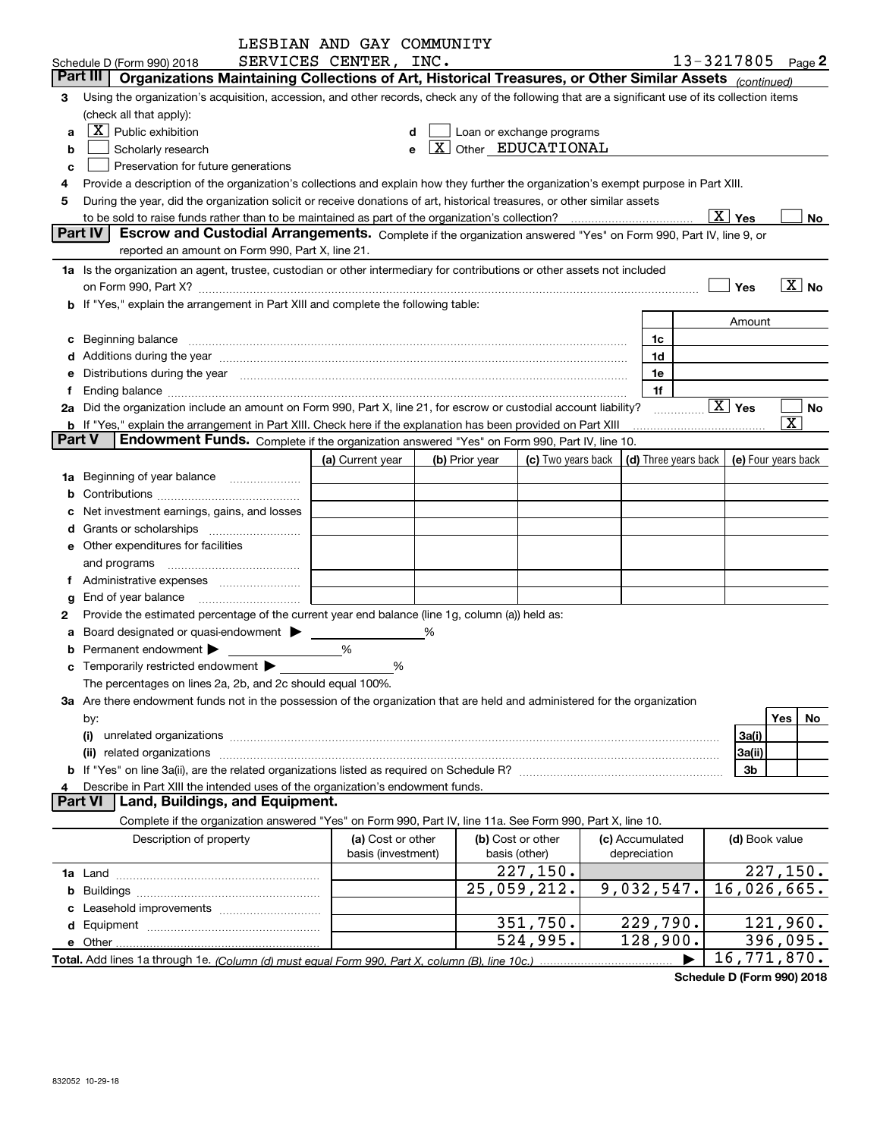|                |                                                                                                                                                                                                                                      | LESBIAN AND GAY COMMUNITY |             |                |                                        |                                            |                        |                             |
|----------------|--------------------------------------------------------------------------------------------------------------------------------------------------------------------------------------------------------------------------------------|---------------------------|-------------|----------------|----------------------------------------|--------------------------------------------|------------------------|-----------------------------|
|                | Schedule D (Form 990) 2018                                                                                                                                                                                                           | SERVICES CENTER, INC.     |             |                |                                        |                                            | 13-3217805 Page 2      |                             |
|                | Organizations Maintaining Collections of Art, Historical Treasures, or Other Similar Assets (continued)<br>Part III                                                                                                                  |                           |             |                |                                        |                                            |                        |                             |
| 3              | Using the organization's acquisition, accession, and other records, check any of the following that are a significant use of its collection items                                                                                    |                           |             |                |                                        |                                            |                        |                             |
|                | (check all that apply):                                                                                                                                                                                                              |                           |             |                |                                        |                                            |                        |                             |
| a              | $\boxed{\text{X}}$ Public exhibition                                                                                                                                                                                                 |                           | d           |                | Loan or exchange programs              |                                            |                        |                             |
| b              | Scholarly research                                                                                                                                                                                                                   |                           | $\mathbf e$ |                | $\boxed{\textbf{X}}$ Other EDUCATIONAL |                                            |                        |                             |
| с              | Preservation for future generations                                                                                                                                                                                                  |                           |             |                |                                        |                                            |                        |                             |
| 4              | Provide a description of the organization's collections and explain how they further the organization's exempt purpose in Part XIII.                                                                                                 |                           |             |                |                                        |                                            |                        |                             |
| 5              | During the year, did the organization solicit or receive donations of art, historical treasures, or other similar assets                                                                                                             |                           |             |                |                                        |                                            |                        |                             |
|                |                                                                                                                                                                                                                                      |                           |             |                |                                        |                                            | $\overline{X}$ Yes     | No                          |
|                | Part IV<br>Escrow and Custodial Arrangements. Complete if the organization answered "Yes" on Form 990, Part IV, line 9, or                                                                                                           |                           |             |                |                                        |                                            |                        |                             |
|                | reported an amount on Form 990, Part X, line 21.                                                                                                                                                                                     |                           |             |                |                                        |                                            |                        |                             |
|                |                                                                                                                                                                                                                                      |                           |             |                |                                        |                                            |                        |                             |
|                | 1a Is the organization an agent, trustee, custodian or other intermediary for contributions or other assets not included                                                                                                             |                           |             |                |                                        |                                            |                        | $\overline{X}$ No           |
|                |                                                                                                                                                                                                                                      |                           |             |                |                                        |                                            | Yes                    |                             |
|                | b If "Yes," explain the arrangement in Part XIII and complete the following table:                                                                                                                                                   |                           |             |                |                                        |                                            |                        |                             |
|                |                                                                                                                                                                                                                                      |                           |             |                |                                        |                                            | Amount                 |                             |
| c              | Beginning balance <b>contract the contract of the contract of the contract of the contract of the contract of the contract of the contract of the contract of the contract of the contract of the contract of the contract of th</b> |                           |             |                |                                        | 1c                                         |                        |                             |
|                | d Additions during the year manufactured and an account of a distribution of Additions during the year manufactured and account of Additions during the year manufactured and account of the state of Additional Additional Ad       |                           |             |                |                                        | 1d                                         |                        |                             |
|                | Distributions during the year manufactured and continuum control of the year manufactured and control of the year manufactured and control of the year manufactured and control of the year manufactured and control of the ye       |                           |             |                |                                        | 1e                                         |                        |                             |
|                |                                                                                                                                                                                                                                      |                           |             |                |                                        | 1f                                         |                        |                             |
|                | 2a Did the organization include an amount on Form 990, Part X, line 21, for escrow or custodial account liability?                                                                                                                   |                           |             |                |                                        |                                            | $\boxed{\text{X}}$ Yes | No                          |
|                | <b>b</b> If "Yes," explain the arrangement in Part XIII. Check here if the explanation has been provided on Part XIII                                                                                                                |                           |             |                |                                        |                                            |                        | $\overline{\textnormal{x}}$ |
| <b>Part V</b>  | Endowment Funds. Complete if the organization answered "Yes" on Form 990, Part IV, line 10.                                                                                                                                          |                           |             |                |                                        |                                            |                        |                             |
|                |                                                                                                                                                                                                                                      | (a) Current year          |             | (b) Prior year | (c) Two years back                     | (d) Three years back   (e) Four years back |                        |                             |
| 1a             | Beginning of year balance                                                                                                                                                                                                            |                           |             |                |                                        |                                            |                        |                             |
| b              |                                                                                                                                                                                                                                      |                           |             |                |                                        |                                            |                        |                             |
|                | Net investment earnings, gains, and losses                                                                                                                                                                                           |                           |             |                |                                        |                                            |                        |                             |
| d              |                                                                                                                                                                                                                                      |                           |             |                |                                        |                                            |                        |                             |
|                | <b>e</b> Other expenditures for facilities                                                                                                                                                                                           |                           |             |                |                                        |                                            |                        |                             |
|                |                                                                                                                                                                                                                                      |                           |             |                |                                        |                                            |                        |                             |
|                | and programs                                                                                                                                                                                                                         |                           |             |                |                                        |                                            |                        |                             |
| Ť.             |                                                                                                                                                                                                                                      |                           |             |                |                                        |                                            |                        |                             |
| g              | End of year balance                                                                                                                                                                                                                  |                           |             |                |                                        |                                            |                        |                             |
| 2              | Provide the estimated percentage of the current year end balance (line 1g, column (a)) held as:                                                                                                                                      |                           |             |                |                                        |                                            |                        |                             |
| a              | Board designated or quasi-endowment >                                                                                                                                                                                                |                           | %           |                |                                        |                                            |                        |                             |
| b              | Permanent endowment $\blacktriangleright$                                                                                                                                                                                            | %                         |             |                |                                        |                                            |                        |                             |
|                | Temporarily restricted endowment $\blacktriangleright$                                                                                                                                                                               | %                         |             |                |                                        |                                            |                        |                             |
|                | The percentages on lines 2a, 2b, and 2c should equal 100%.                                                                                                                                                                           |                           |             |                |                                        |                                            |                        |                             |
|                | 3a Are there endowment funds not in the possession of the organization that are held and administered for the organization                                                                                                           |                           |             |                |                                        |                                            |                        |                             |
|                | by:                                                                                                                                                                                                                                  |                           |             |                |                                        |                                            |                        | Yes<br>No                   |
|                | (i)                                                                                                                                                                                                                                  |                           |             |                |                                        |                                            | 3a(i)                  |                             |
|                |                                                                                                                                                                                                                                      |                           |             |                |                                        |                                            | 3a(ii)                 |                             |
|                |                                                                                                                                                                                                                                      |                           |             |                |                                        |                                            | 3b                     |                             |
| 4              | Describe in Part XIII the intended uses of the organization's endowment funds.                                                                                                                                                       |                           |             |                |                                        |                                            |                        |                             |
| <b>Part VI</b> | Land, Buildings, and Equipment.                                                                                                                                                                                                      |                           |             |                |                                        |                                            |                        |                             |
|                | Complete if the organization answered "Yes" on Form 990, Part IV, line 11a. See Form 990, Part X, line 10.                                                                                                                           |                           |             |                |                                        |                                            |                        |                             |
|                | Description of property                                                                                                                                                                                                              | (a) Cost or other         |             |                | (b) Cost or other                      | (c) Accumulated                            | (d) Book value         |                             |
|                |                                                                                                                                                                                                                                      | basis (investment)        |             |                | basis (other)                          | depreciation                               |                        |                             |
|                |                                                                                                                                                                                                                                      |                           |             |                | 227,150.                               |                                            |                        | 227,150.                    |
|                |                                                                                                                                                                                                                                      |                           |             |                | 25,059,212.                            | 9,032,547.                                 | 16,026,665.            |                             |
|                |                                                                                                                                                                                                                                      |                           |             |                |                                        |                                            |                        |                             |
|                |                                                                                                                                                                                                                                      |                           |             |                |                                        |                                            |                        |                             |
|                |                                                                                                                                                                                                                                      |                           |             |                | 351,750.                               | 229,790.                                   |                        | 121,960.                    |
|                |                                                                                                                                                                                                                                      |                           |             |                | 524,995.                               | 128,900.                                   |                        | 396,095.                    |
|                |                                                                                                                                                                                                                                      |                           |             |                |                                        |                                            | 16, 771, 870.          |                             |

**Schedule D (Form 990) 2018**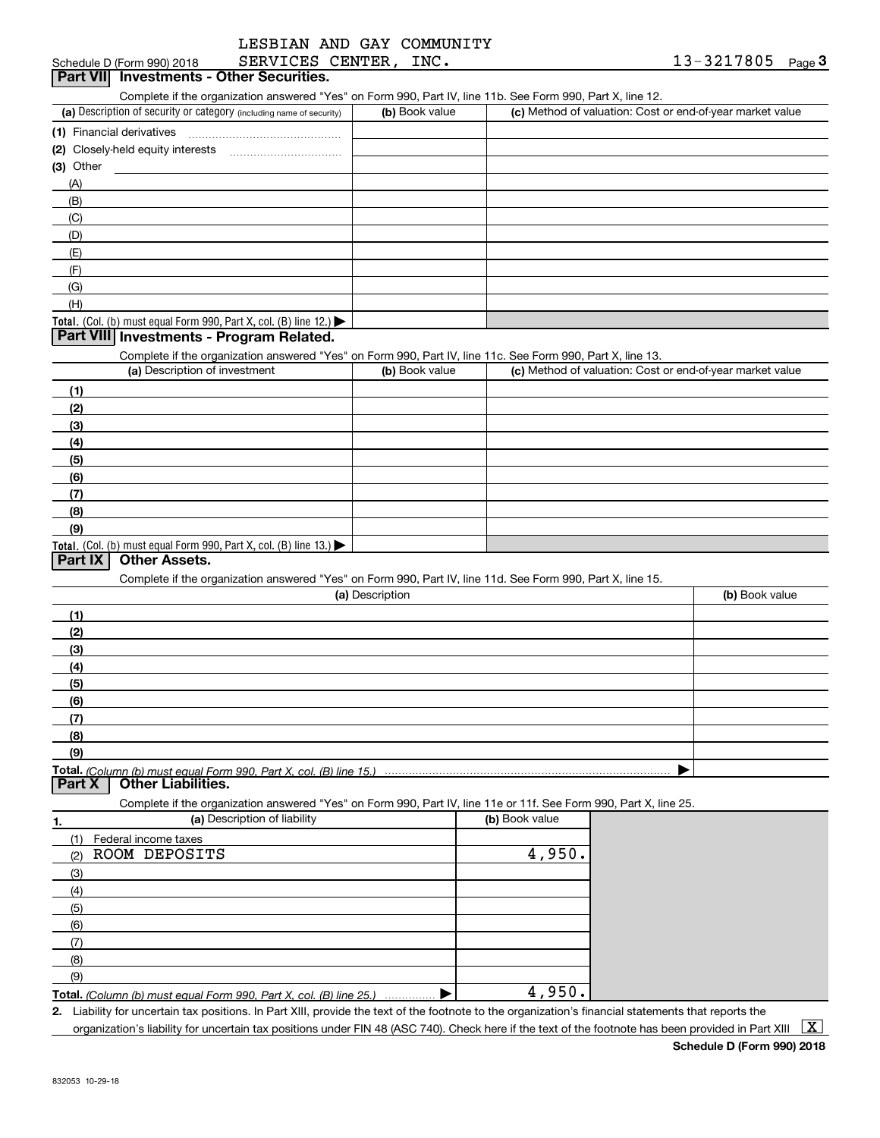|                                          |  | LESBIAN AND GAY COMMUNITY |
|------------------------------------------|--|---------------------------|
| $\alpha$ pritt $\alpha$ pritter $\alpha$ |  | <b>TIT</b>                |

### (a) Description of security or category (including name of security)  $\vert$  (b) Book value  $\vert$  (c) Total. (Col. (b) must equal Form 990, Part X, col. (B) line 12.) Total. (Col. (b) must equal Form 990, Part X, col. (B) line 13.) **(1)** Financial derivatives ~~~~~~~~~~~~~~~ **(2)** Closely-held equity interests ~~~~~~~~~~~ **(3)** Other (a) Description of investment **b (b)** Book value **(1)(2) (3)(4) (5)(6)(7)(8)(9)(a) (b)**  Description**(1)(2) (3)(4)(5) (6)(7) (8)(9)Total.**  *(Column (b) must equal Form 990, Part X, col. (B) line 15.)* **1.(a)** Description of liability **Book value (b)** Book value **Total.**  *(Column (b) must equal Form 990, Part X, col. (B) line 25.)* **2.**Schedule D (Form 990) 2018  ${\tt SERVICES}$   ${\tt CENTER}$  ,  ${\tt INC.}$   ${\tt 13-3217805}$   ${\tt Page}$ Complete if the organization answered "Yes" on Form 990, Part IV, line 11b. See Form 990, Part X, line 12.  $(b)$  Book value  $\vert$  (c) Method of valuation: Cost or end-of-year market value (A)(B)(C)(D)(E)(F)(G)(H)Complete if the organization answered "Yes" on Form 990, Part IV, line 11c. See Form 990, Part X, line 13. (c) Method of valuation: Cost or end-of-year market value Complete if the organization answered "Yes" on Form 990, Part IV, line 11d. See Form 990, Part X, line 15. (b) Book value  $\blacktriangleright$ Complete if the organization answered "Yes" on Form 990, Part IV, line 11e or 11f. See Form 990, Part X, line 25. (1)Federal income taxes (2)(3)(4)(5)(6)(7)(8)(9) $\blacktriangleright$ Liability for uncertain tax positions. In Part XIII, provide the text of the footnote to the organization's financial statements that reports the organization's liability for uncertain tax positions under FIN 48 (ASC 740). Check here if the text of the footnote has been provided in Part XIII **3Part VII Investments - Other Securities. Part VIII Investments - Program Related. Part IX Other Assets. Part X Other Liabilities.** ROOM DEPOSITS 4,950. 4,950.

**Schedule D (Form 990) 2018**

 $\vert$  X  $\vert$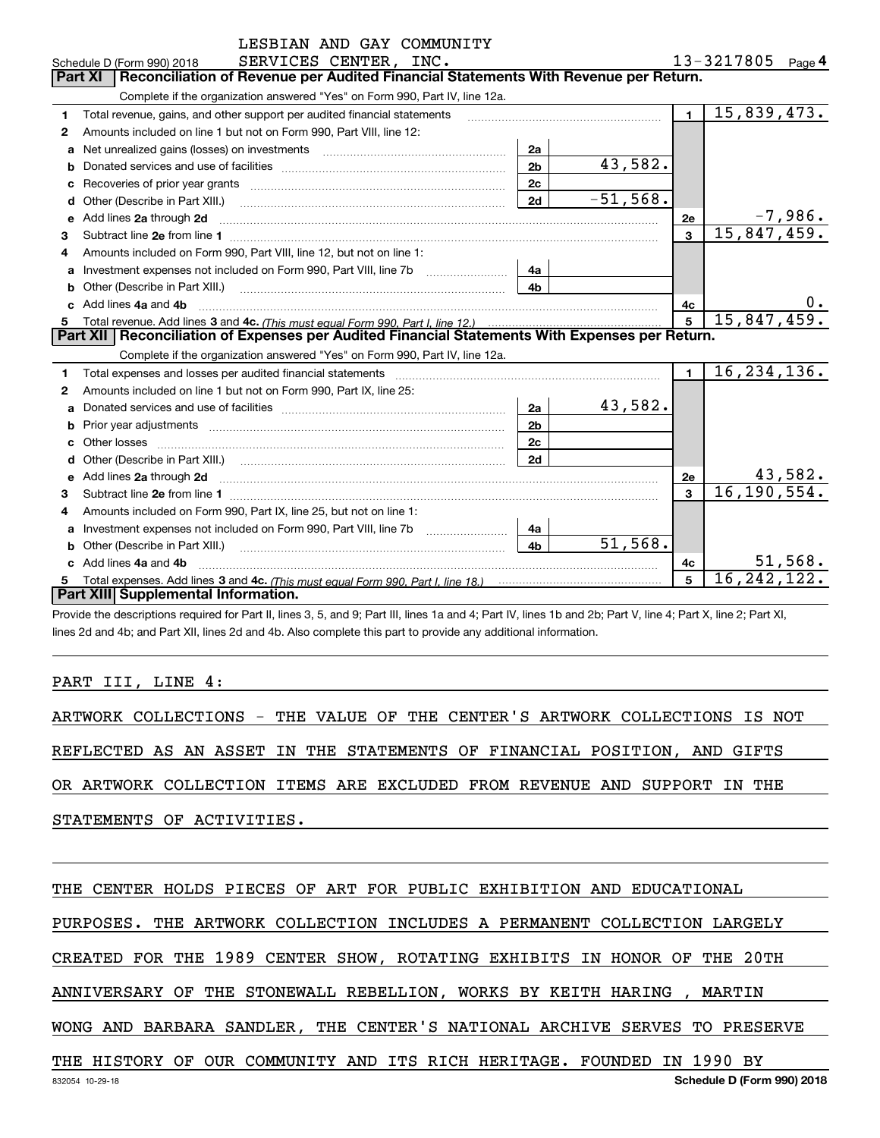|   | LESBIAN AND GAY COMMUNITY                                                                                                                                                                                                                     |                |            |                |                      |
|---|-----------------------------------------------------------------------------------------------------------------------------------------------------------------------------------------------------------------------------------------------|----------------|------------|----------------|----------------------|
|   | SERVICES CENTER, INC.<br>Schedule D (Form 990) 2018                                                                                                                                                                                           |                |            |                | 13-3217805<br>Page 4 |
|   | Reconciliation of Revenue per Audited Financial Statements With Revenue per Return.<br>Part XI                                                                                                                                                |                |            |                |                      |
|   | Complete if the organization answered "Yes" on Form 990, Part IV, line 12a.                                                                                                                                                                   |                |            |                |                      |
| 1 | Total revenue, gains, and other support per audited financial statements                                                                                                                                                                      |                |            | $\blacksquare$ | 15,839,473.          |
| 2 | Amounts included on line 1 but not on Form 990. Part VIII, line 12:                                                                                                                                                                           |                |            |                |                      |
| a | Net unrealized gains (losses) on investments [11] matter than the unrealized gains (losses) on investments                                                                                                                                    | 2a             |            |                |                      |
| b |                                                                                                                                                                                                                                               | 2 <sub>b</sub> | 43,582.    |                |                      |
| с |                                                                                                                                                                                                                                               | 2c             |            |                |                      |
| d | Other (Describe in Part XIII.) <b>COLOGIST: (2014)</b> (2014) <b>COLOGIST: (2014)</b> (2014) <b>COLOGIST: (2014)</b> (2014) (2014) (2014) (2014) (2014) (2014) (2014) (2014) (2014) (2014) (2014) (2014) (2014) (2014) (2014) (2014) (2014) ( | 2d             | $-51,568.$ |                |                      |
| e | Add lines 2a through 2d                                                                                                                                                                                                                       |                |            | 2e             | $-7,986.$            |
| 3 |                                                                                                                                                                                                                                               |                |            | $\mathbf{a}$   | 15,847,459.          |
| 4 | Amounts included on Form 990, Part VIII, line 12, but not on line 1:                                                                                                                                                                          |                |            |                |                      |
| a |                                                                                                                                                                                                                                               | 4a             |            |                |                      |
| b |                                                                                                                                                                                                                                               | 4b             |            |                |                      |
|   | Add lines 4a and 4b                                                                                                                                                                                                                           |                |            | 4c             | 0.                   |
| 5 |                                                                                                                                                                                                                                               |                |            | 5              | 15,847,459.          |
|   | Part XII   Reconciliation of Expenses per Audited Financial Statements With Expenses per Return.                                                                                                                                              |                |            |                |                      |
|   | Complete if the organization answered "Yes" on Form 990, Part IV, line 12a.                                                                                                                                                                   |                |            |                |                      |
| 1 | Total expenses and losses per audited financial statements [11, 11] manuscription control expenses and losses per audited financial statements [11] manuscription of the statements [11] manuscription of the statements [11]                 |                |            | $\blacksquare$ | 16, 234, 136.        |
| 2 | Amounts included on line 1 but not on Form 990, Part IX, line 25:                                                                                                                                                                             |                |            |                |                      |
| a |                                                                                                                                                                                                                                               | 2a             | 43,582.    |                |                      |
| b |                                                                                                                                                                                                                                               | 2 <sub>b</sub> |            |                |                      |
|   | Other losses                                                                                                                                                                                                                                  | 2c             |            |                |                      |
| d |                                                                                                                                                                                                                                               | 2d             |            |                |                      |
| e | Add lines 2a through 2d <b>contained a contained a contained a contained a</b> contained a contained a contained a contained a contained a contained a contained a contained a contained a contained a contained a contained a cont           |                |            | 2e             | 43,582.              |
| 3 |                                                                                                                                                                                                                                               |                |            | 3              | 16, 190, 554.        |
| 4 | Amounts included on Form 990, Part IX, line 25, but not on line 1:                                                                                                                                                                            |                |            |                |                      |
| a | Investment expenses not included on Form 990, Part VIII, line 7b [1000000000000000000000000000000000                                                                                                                                          | 4a             |            |                |                      |
| b | Other (Describe in Part XIII.) <b>Construction Contract Construction</b> Chemistry Chemistry Chemistry Chemistry Chemistry                                                                                                                    | 4 <sub>h</sub> | 51,568.    |                |                      |
|   | Add lines 4a and 4b                                                                                                                                                                                                                           |                |            | 4c             | 51,568.              |
| 5 |                                                                                                                                                                                                                                               |                |            | 5              | 16, 242, 122.        |
|   | Part XIII Supplemental Information.                                                                                                                                                                                                           |                |            |                |                      |

Provide the descriptions required for Part II, lines 3, 5, and 9; Part III, lines 1a and 4; Part IV, lines 1b and 2b; Part V, line 4; Part X, line 2; Part XI, lines 2d and 4b; and Part XII, lines 2d and 4b. Also complete this part to provide any additional information.

# PART III, LINE 4:

ARTWORK COLLECTIONS - THE VALUE OF THE CENTER'S ARTWORK COLLECTIONS IS NOT REFLECTED AS AN ASSET IN THE STATEMENTS OF FINANCIAL POSITION, AND GIFTS OR ARTWORK COLLECTION ITEMS ARE EXCLUDED FROM REVENUE AND SUPPORT IN THE STATEMENTS OF ACTIVITIES.

THE CENTER HOLDS PIECES OF ART FOR PUBLIC EXHIBITION AND EDUCATIONAL

PURPOSES. THE ARTWORK COLLECTION INCLUDES A PERMANENT COLLECTION LARGELY

CREATED FOR THE 1989 CENTER SHOW, ROTATING EXHIBITS IN HONOR OF THE 20TH

ANNIVERSARY OF THE STONEWALL REBELLION, WORKS BY KEITH HARING , MARTIN

WONG AND BARBARA SANDLER, THE CENTER'S NATIONAL ARCHIVE SERVES TO PRESERVE

THE HISTORY OF OUR COMMUNITY AND ITS RICH HERITAGE. FOUNDED IN 1990 BY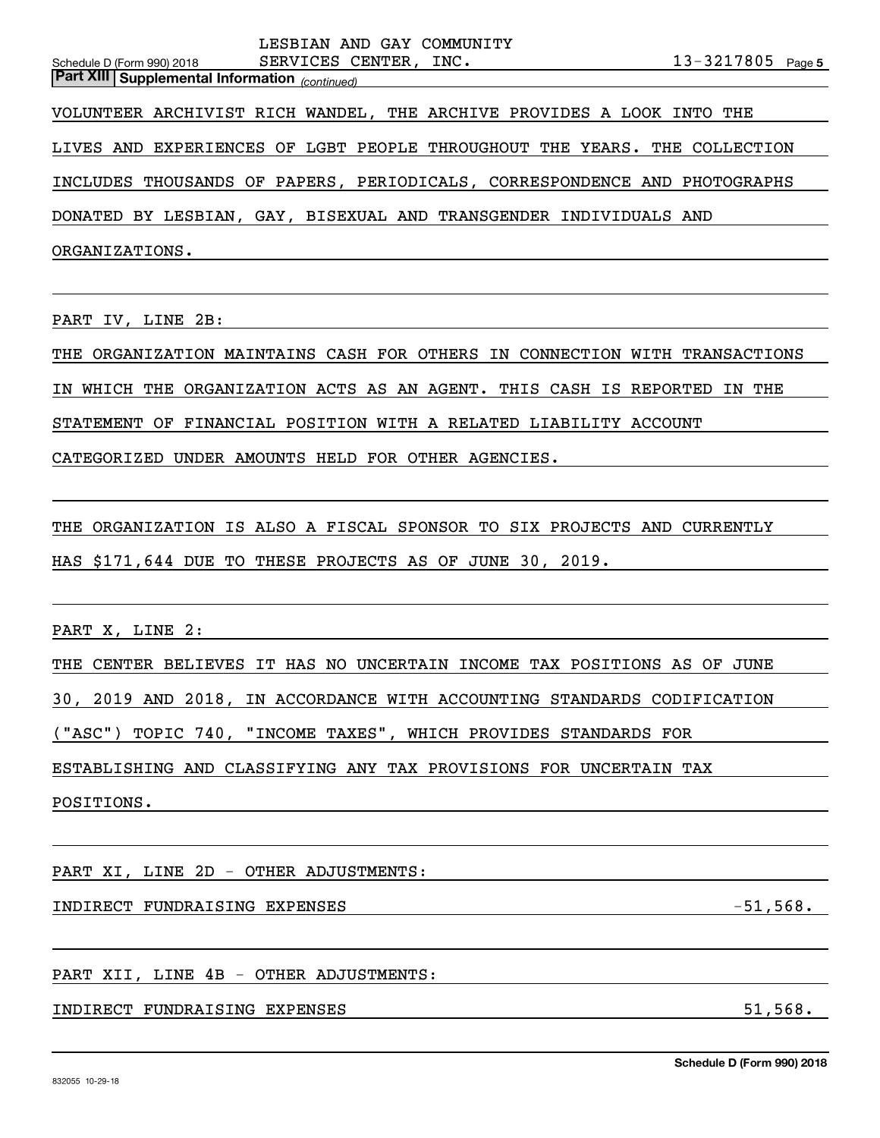# *(continued)* **Part XIII Supplemental Information**  Schedule D (Form 990) 2018 SERVICES CENTER, INC 1 3 – 3 2 1 7 8 0 5 Page VOLUNTEER ARCHIVIST RICH WANDEL, THE ARCHIVE PROVIDES A LOOK INTO THE LIVES AND EXPERIENCES OF LGBT PEOPLE THROUGHOUT THE YEARS. THE COLLECTION INCLUDES THOUSANDS OF PAPERS, PERIODICALS, CORRESPONDENCE AND PHOTOGRAPHS LESBIAN AND GAY COMMUNITY

DONATED BY LESBIAN, GAY, BISEXUAL AND TRANSGENDER INDIVIDUALS AND

ORGANIZATIONS.

PART IV, LINE 2B:

THE ORGANIZATION MAINTAINS CASH FOR OTHERS IN CONNECTION WITH TRANSACTIONS

IN WHICH THE ORGANIZATION ACTS AS AN AGENT. THIS CASH IS REPORTED IN THE

STATEMENT OF FINANCIAL POSITION WITH A RELATED LIABILITY ACCOUNT

CATEGORIZED UNDER AMOUNTS HELD FOR OTHER AGENCIES.

THE ORGANIZATION IS ALSO A FISCAL SPONSOR TO SIX PROJECTS AND CURRENTLY

HAS \$171,644 DUE TO THESE PROJECTS AS OF JUNE 30, 2019.

PART X, LINE 2:

THE CENTER BELIEVES IT HAS NO UNCERTAIN INCOME TAX POSITIONS AS OF JUNE

30, 2019 AND 2018, IN ACCORDANCE WITH ACCOUNTING STANDARDS CODIFICATION

("ASC") TOPIC 740, "INCOME TAXES", WHICH PROVIDES STANDARDS FOR

ESTABLISHING AND CLASSIFYING ANY TAX PROVISIONS FOR UNCERTAIN TAX

POSITIONS.

PART XI, LINE 2D - OTHER ADJUSTMENTS:

INDIRECT FUNDRAISING EXPENSES -51,568.

# PART XII, LINE 4B - OTHER ADJUSTMENTS:

INDIRECT FUNDRAISING EXPENSES 51,568.

**Schedule D (Form 990) 2018**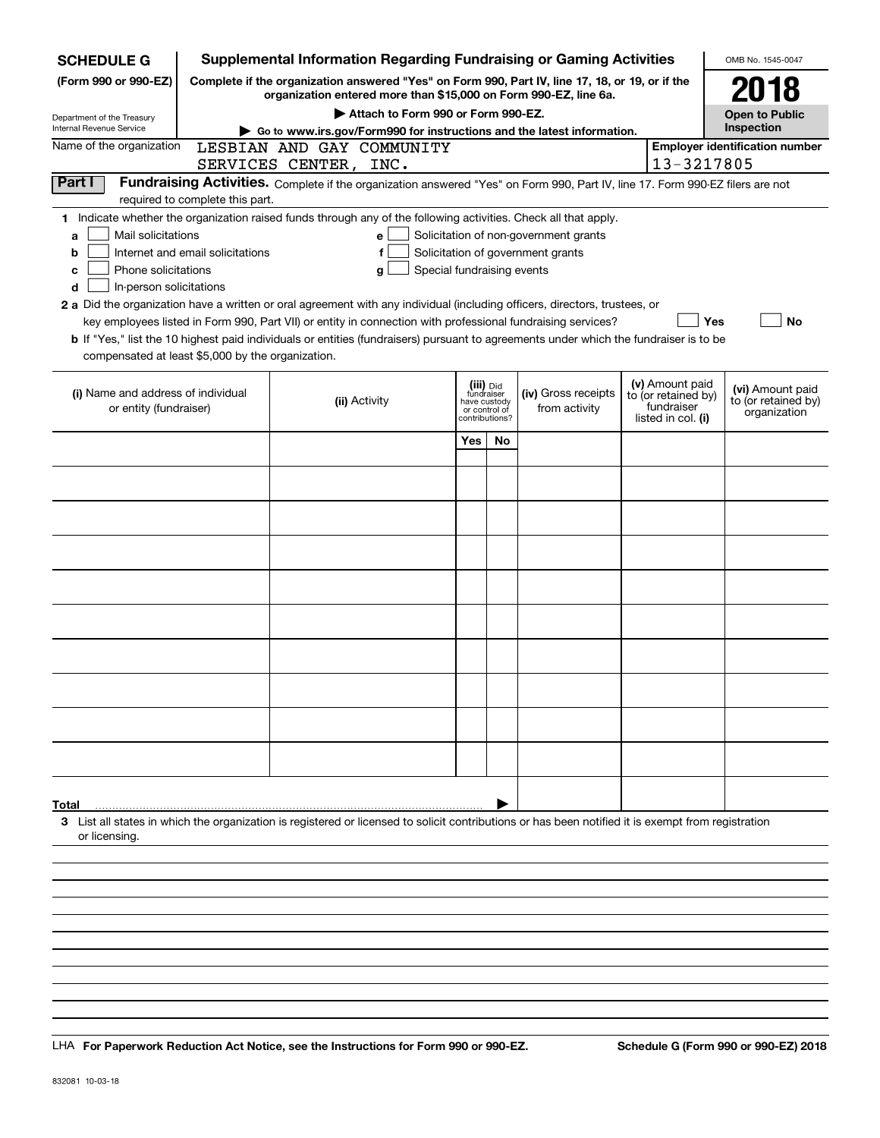| <b>SCHEDULE G</b>                                                                                                                                                                                                                                                                                                                         |                                  | <b>Supplemental Information Regarding Fundraising or Gaming Activities</b>                                        |                                                                                                                                                                     |                                                 |                         |                                                                            |  |                                                                            | OMB No. 1545-0047                                       |  |  |  |
|-------------------------------------------------------------------------------------------------------------------------------------------------------------------------------------------------------------------------------------------------------------------------------------------------------------------------------------------|----------------------------------|-------------------------------------------------------------------------------------------------------------------|---------------------------------------------------------------------------------------------------------------------------------------------------------------------|-------------------------------------------------|-------------------------|----------------------------------------------------------------------------|--|----------------------------------------------------------------------------|---------------------------------------------------------|--|--|--|
| (Form 990 or 990-EZ)                                                                                                                                                                                                                                                                                                                      |                                  |                                                                                                                   | Complete if the organization answered "Yes" on Form 990, Part IV, line 17, 18, or 19, or if the<br>organization entered more than \$15,000 on Form 990-EZ, line 6a. |                                                 |                         |                                                                            |  |                                                                            |                                                         |  |  |  |
| Department of the Treasury                                                                                                                                                                                                                                                                                                                |                                  |                                                                                                                   | Attach to Form 990 or Form 990-EZ.                                                                                                                                  |                                                 |                         |                                                                            |  |                                                                            |                                                         |  |  |  |
| Internal Revenue Service                                                                                                                                                                                                                                                                                                                  |                                  | Inspection<br>Go to www.irs.gov/Form990 for instructions and the latest information.<br>LESBIAN AND GAY COMMUNITY |                                                                                                                                                                     |                                                 |                         |                                                                            |  |                                                                            |                                                         |  |  |  |
| Name of the organization                                                                                                                                                                                                                                                                                                                  |                                  |                                                                                                                   |                                                                                                                                                                     |                                                 |                         |                                                                            |  |                                                                            | <b>Employer identification number</b>                   |  |  |  |
| 13-3217805<br>SERVICES CENTER, INC.<br>Part I<br>Fundraising Activities. Complete if the organization answered "Yes" on Form 990, Part IV, line 17. Form 990-EZ filers are not                                                                                                                                                            |                                  |                                                                                                                   |                                                                                                                                                                     |                                                 |                         |                                                                            |  |                                                                            |                                                         |  |  |  |
|                                                                                                                                                                                                                                                                                                                                           | required to complete this part.  |                                                                                                                   |                                                                                                                                                                     |                                                 |                         |                                                                            |  |                                                                            |                                                         |  |  |  |
| 1 Indicate whether the organization raised funds through any of the following activities. Check all that apply.<br>Mail solicitations<br>a<br>b<br>Phone solicitations<br>c<br>In-person solicitations<br>d<br>2 a Did the organization have a written or oral agreement with any individual (including officers, directors, trustees, or | Internet and email solicitations | key employees listed in Form 990, Part VII) or entity in connection with professional fundraising services?       | e<br>f<br>Special fundraising events<br>g                                                                                                                           |                                                 |                         | Solicitation of non-government grants<br>Solicitation of government grants |  |                                                                            | Yes<br>No                                               |  |  |  |
| <b>b</b> If "Yes," list the 10 highest paid individuals or entities (fundraisers) pursuant to agreements under which the fundraiser is to be<br>compensated at least \$5,000 by the organization.                                                                                                                                         |                                  |                                                                                                                   |                                                                                                                                                                     |                                                 |                         |                                                                            |  |                                                                            |                                                         |  |  |  |
| (i) Name and address of individual<br>or entity (fundraiser)                                                                                                                                                                                                                                                                              |                                  | (ii) Activity                                                                                                     |                                                                                                                                                                     | have custody<br>or control of<br>contributions? | (iii) Did<br>fundraiser | (iv) Gross receipts<br>from activity                                       |  | (v) Amount paid<br>to (or retained by)<br>fundraiser<br>listed in col. (i) | (vi) Amount paid<br>to (or retained by)<br>organization |  |  |  |
|                                                                                                                                                                                                                                                                                                                                           |                                  |                                                                                                                   |                                                                                                                                                                     | Yes                                             | No                      |                                                                            |  |                                                                            |                                                         |  |  |  |
|                                                                                                                                                                                                                                                                                                                                           |                                  |                                                                                                                   |                                                                                                                                                                     |                                                 |                         |                                                                            |  |                                                                            |                                                         |  |  |  |
|                                                                                                                                                                                                                                                                                                                                           |                                  |                                                                                                                   |                                                                                                                                                                     |                                                 |                         |                                                                            |  |                                                                            |                                                         |  |  |  |
|                                                                                                                                                                                                                                                                                                                                           |                                  |                                                                                                                   |                                                                                                                                                                     |                                                 |                         |                                                                            |  |                                                                            |                                                         |  |  |  |
|                                                                                                                                                                                                                                                                                                                                           |                                  |                                                                                                                   |                                                                                                                                                                     |                                                 |                         |                                                                            |  |                                                                            |                                                         |  |  |  |
|                                                                                                                                                                                                                                                                                                                                           |                                  |                                                                                                                   |                                                                                                                                                                     |                                                 |                         |                                                                            |  |                                                                            |                                                         |  |  |  |
|                                                                                                                                                                                                                                                                                                                                           |                                  |                                                                                                                   |                                                                                                                                                                     |                                                 |                         |                                                                            |  |                                                                            |                                                         |  |  |  |
|                                                                                                                                                                                                                                                                                                                                           |                                  |                                                                                                                   |                                                                                                                                                                     |                                                 |                         |                                                                            |  |                                                                            |                                                         |  |  |  |
|                                                                                                                                                                                                                                                                                                                                           |                                  |                                                                                                                   |                                                                                                                                                                     |                                                 |                         |                                                                            |  |                                                                            |                                                         |  |  |  |
|                                                                                                                                                                                                                                                                                                                                           |                                  |                                                                                                                   |                                                                                                                                                                     |                                                 |                         |                                                                            |  |                                                                            |                                                         |  |  |  |
| Total                                                                                                                                                                                                                                                                                                                                     |                                  |                                                                                                                   |                                                                                                                                                                     |                                                 |                         |                                                                            |  |                                                                            |                                                         |  |  |  |
| 3 List all states in which the organization is registered or licensed to solicit contributions or has been notified it is exempt from registration<br>or licensing.                                                                                                                                                                       |                                  |                                                                                                                   |                                                                                                                                                                     |                                                 |                         |                                                                            |  |                                                                            |                                                         |  |  |  |
|                                                                                                                                                                                                                                                                                                                                           |                                  |                                                                                                                   |                                                                                                                                                                     |                                                 |                         |                                                                            |  |                                                                            |                                                         |  |  |  |
|                                                                                                                                                                                                                                                                                                                                           |                                  |                                                                                                                   |                                                                                                                                                                     |                                                 |                         |                                                                            |  |                                                                            |                                                         |  |  |  |
|                                                                                                                                                                                                                                                                                                                                           |                                  |                                                                                                                   |                                                                                                                                                                     |                                                 |                         |                                                                            |  |                                                                            |                                                         |  |  |  |
|                                                                                                                                                                                                                                                                                                                                           |                                  |                                                                                                                   |                                                                                                                                                                     |                                                 |                         |                                                                            |  |                                                                            |                                                         |  |  |  |

LHA For Paperwork Reduction Act Notice, see the Instructions for Form 990 or 990-EZ. Schedule G (Form 990 or 990-EZ) 2018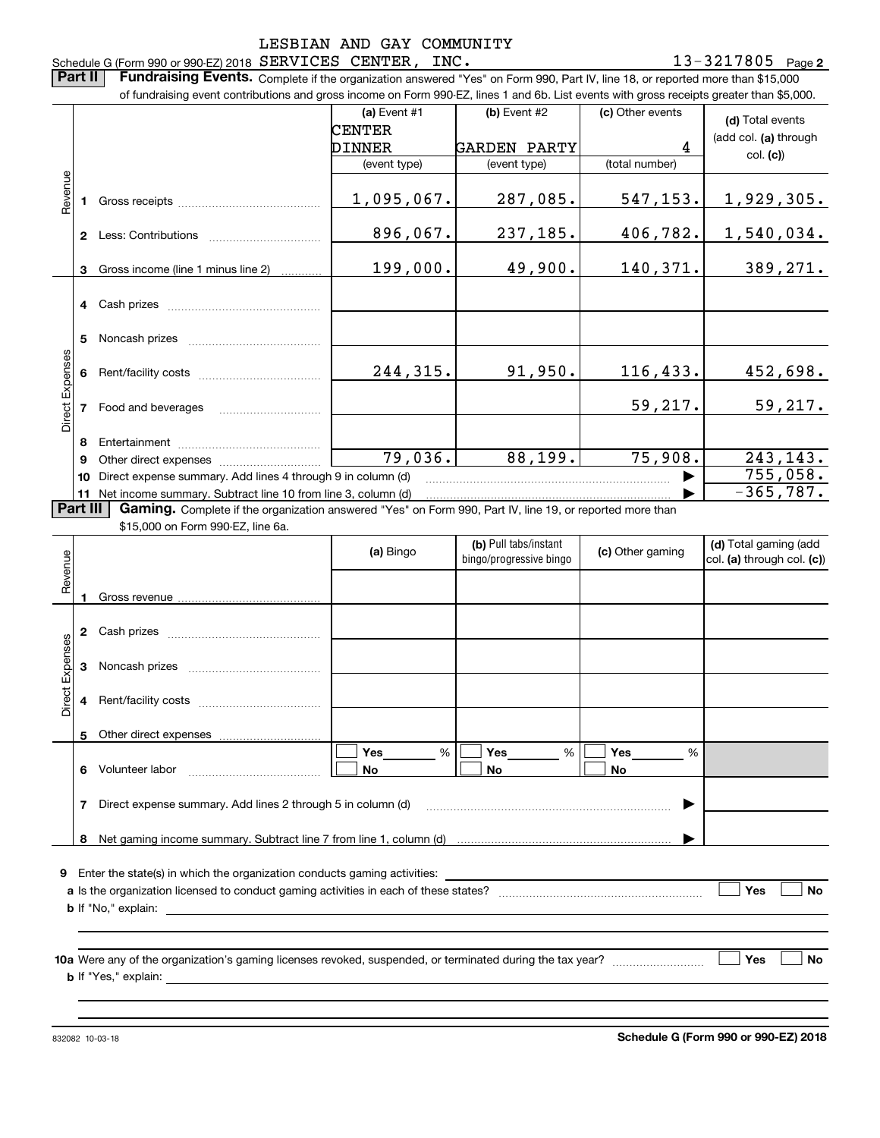LESBIAN AND GAY COMMUNITY Schedule G (Form 990 or 990-EZ) 2018  ${\tt SERVICES}$   ${\tt CENTER}$  ,  ${\tt INC}$  ,  ${\tt NCC}$  ,  ${\tt NSC}$  ,  ${\tt 13-3217805}$   ${\tt Page}$ **2 Part II** | Fundraising Events. Complete if the organization answered "Yes" on Form 990, Part IV, line 18, or reported more than \$15,000 of fundraising event contributions and gross income on Form 990-EZ, lines 1 and 6b. List events with gross receipts greater than \$5,000. **(a)** Event #1  $\vert$  **(b)** Event #2 (c) Other events **(d)**  Total events CENTER (add col. **(a)** through DINNER GARDEN PARTY 4 col. **(c)**) (event type) (event type) (total number) Revenue Revenue 1,095,067. 287,085. 547,153. 1,929,305. **1**Gross receipts ~~~~~~~~~~~~~~ 896,067. 237,185. 406,782. 1,540,034. **2** Less: Contributions ................................ 199,000. Gross income (line 1 minus line 2) 49,900. 140,371. 389,271. **3**. . . . . . . . . . . . **4** Cash prizes \_\_\_\_\_\_\_\_\_\_\_\_\_\_\_\_\_\_\_\_\_\_\_\_\_\_\_\_\_\_\_\_ **5** Noncash prizes \_\_\_\_\_\_\_\_\_\_\_\_\_\_\_\_\_\_\_\_\_\_\_\_\_\_\_\_ Direct Expenses Direct Expenses 244,315. 91,950. 116,433. 452,698. **6**Rent/facility costs ~~~~~~~~~~~~59,217. 59,217. **7**Food and beverages ~~~~~~~~~~**8**Entertainment ~~~~~~~~~~~~~~ 79,036. 88,199. 75,908. 243,143.Other direct expenses ~~~~~~~~~~ **9**755,058. | **10** Direct expense summary. Add lines 4 through 9 in column (d)  $-365,787$ . …… ▶ **11** Net income summary. Subtract line 10 from line 3, column (d) **Part III Part III | Gaming.** Complete if the organization answered "Yes" on Form 990, Part IV, line 19, or reported more than \$15,000 on Form 990-EZ, line 6a. **(b)**  Pull tabs/instant **(d)**  Total gaming (add **(a)**  Revenue Bingo **Contract of Contract Contract Contract Contract Contract Contract Contract Contract Contract Contract Contract Contract Contract Contract Contract Contract Contract Contract Contract Contract Contract Contract Contr** Revenue bingo/progressive bingo col. **(a)** through col. **(c)**) Gross revenue **12** Cash prizes \_\_\_\_\_\_\_\_\_\_\_\_\_\_\_\_\_\_\_\_\_\_\_\_\_\_\_\_\_\_\_\_ Direct Expenses Direct Expenses **3**Noncash prizes <sub>………………………………</sub>… **4**Rent/facility costs ~~~~~~~~~~~~**5**Other direct expenses  $\boxed{\Box}$  Yes \_\_\_\_\_\_\_ %  $\boxed{\Box}$  Yes \_\_\_\_\_\_\_ %  $\boxed{\Box}$  $\mathcal{L}^{\text{max}}$ **Yes**% **Yes Yes** % %

| 10a Were any of the organization's gaming licenses revoked, suspended, or terminated during the tax year? | Yes |  |
|-----------------------------------------------------------------------------------------------------------|-----|--|
| <b>b</b> If "Yes," explain:                                                                               |     |  |

**8**Net gaming income summary. Subtract line 7 from line 1, column (d)

**9**Enter the state(s) in which the organization conducts gaming activities:

Volunteer labor \_\_\_\_\_\_\_\_\_\_\_\_\_\_\_\_\_\_\_\_\_\_\_\_\_\_\_\_\_

**7**Direct expense summary. Add lines 2 through 5 in column (d) ~~~~~~~~~~~~~~~~~~~~~~~~ |

**a**Is the organization licensed to conduct gaming activities in each of these states? ~~~~~~~~~~~~~~~~~~~~

**No No**

**No**

 $\mathcal{L}^{\text{max}}$ 

832082 10-03-18

**6** Volunteer labor

**b**If "No," explain:

**Schedule G (Form 990 or 990-EZ) 2018**

**Yes**

 $\mathcal{L}^{\text{max}}$ 

…… ▶

**No**

**No**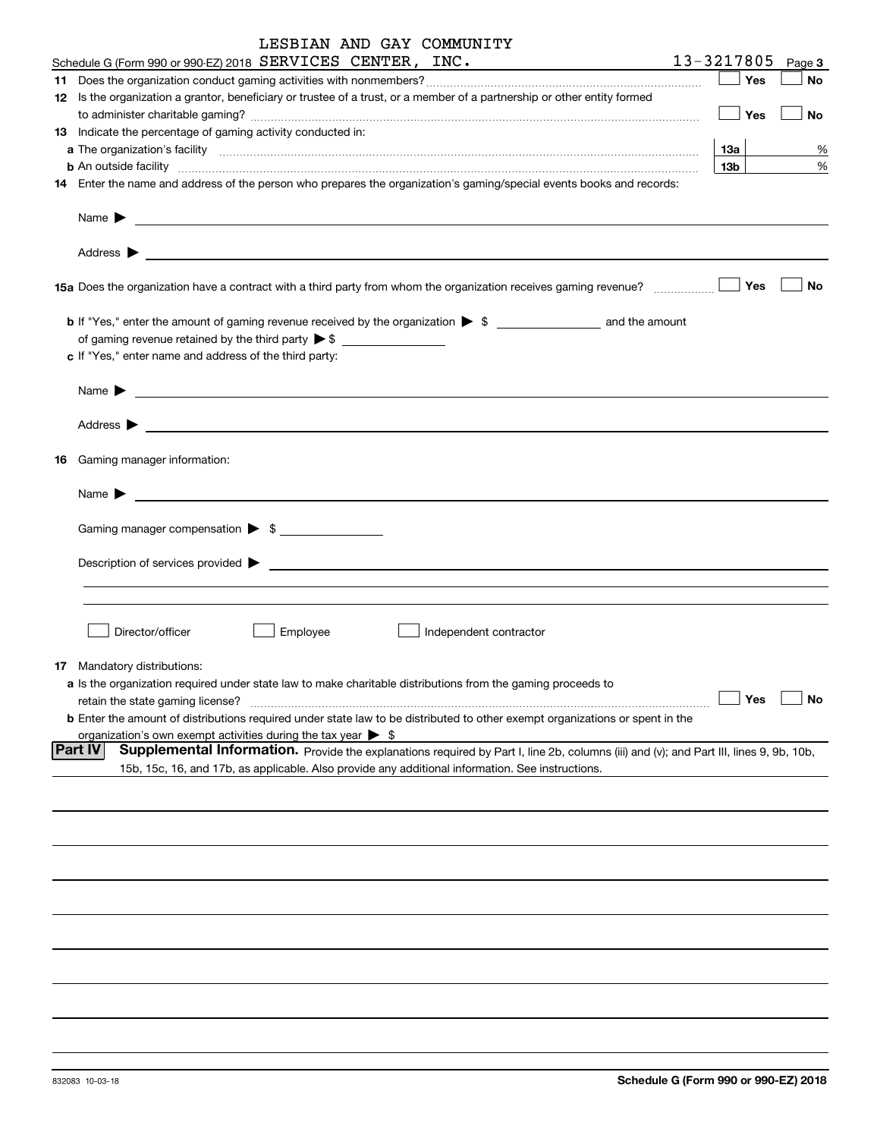| LESBIAN AND GAY COMMUNITY                                                                                                                                                                                                                 |            |                 |     |        |
|-------------------------------------------------------------------------------------------------------------------------------------------------------------------------------------------------------------------------------------------|------------|-----------------|-----|--------|
| Schedule G (Form 990 or 990-EZ) 2018 SERVICES CENTER, INC.                                                                                                                                                                                | 13-3217805 |                 |     | Page 3 |
|                                                                                                                                                                                                                                           |            |                 | Yes | No     |
| 12 Is the organization a grantor, beneficiary or trustee of a trust, or a member of a partnership or other entity formed                                                                                                                  |            |                 |     |        |
|                                                                                                                                                                                                                                           |            |                 | Yes | No     |
| 13 Indicate the percentage of gaming activity conducted in:                                                                                                                                                                               |            |                 |     |        |
| a The organization's facility <i>[[[[[[[[[[[[[[[[]]]]</i> ] The organization's facility                                                                                                                                                   |            | 13а             |     | %      |
| <b>b</b> An outside facility <i>www.communically.communically.communically.communically.communically.communically.communically.communically.communically.communically.communically.communically.communically.communically.communicall</i> |            | 13 <sub>b</sub> |     | %      |
| Enter the name and address of the person who prepares the organization's gaming/special events books and records:<br>14                                                                                                                   |            |                 |     |        |
| Name $\blacktriangleright$<br>Address $\blacktriangleright$                                                                                                                                                                               |            |                 |     |        |
| 15a Does the organization have a contract with a third party from whom the organization receives gaming revenue?                                                                                                                          |            |                 | Yes | No     |
|                                                                                                                                                                                                                                           |            |                 |     |        |
|                                                                                                                                                                                                                                           |            |                 |     |        |
| of gaming revenue retained by the third party $\triangleright$ \$                                                                                                                                                                         |            |                 |     |        |
| c If "Yes," enter name and address of the third party:                                                                                                                                                                                    |            |                 |     |        |
|                                                                                                                                                                                                                                           |            |                 |     |        |
| Name $\blacktriangleright$                                                                                                                                                                                                                |            |                 |     |        |
| Address $\blacktriangleright$                                                                                                                                                                                                             |            |                 |     |        |
| Gaming manager information:<br>16                                                                                                                                                                                                         |            |                 |     |        |
| Name $\blacktriangleright$                                                                                                                                                                                                                |            |                 |     |        |
| Gaming manager compensation > \$                                                                                                                                                                                                          |            |                 |     |        |
| $\blacksquare$ Description of services provided $\blacktriangleright$                                                                                                                                                                     |            |                 |     |        |
|                                                                                                                                                                                                                                           |            |                 |     |        |
|                                                                                                                                                                                                                                           |            |                 |     |        |
| Director/officer<br>Employee<br>Independent contractor                                                                                                                                                                                    |            |                 |     |        |
| <b>17</b> Mandatory distributions:                                                                                                                                                                                                        |            |                 |     |        |
| a Is the organization required under state law to make charitable distributions from the gaming proceeds to                                                                                                                               |            |                 |     |        |
| retain the state gaming license?                                                                                                                                                                                                          |            |                 | Yes | No     |
| <b>b</b> Enter the amount of distributions required under state law to be distributed to other exempt organizations or spent in the                                                                                                       |            |                 |     |        |
| organization's own exempt activities during the tax year $\triangleright$ \$                                                                                                                                                              |            |                 |     |        |
| Supplemental Information. Provide the explanations required by Part I, line 2b, columns (iii) and (v); and Part III, lines 9, 9b, 10b,<br><b>Part IV</b>                                                                                  |            |                 |     |        |
| 15b, 15c, 16, and 17b, as applicable. Also provide any additional information. See instructions.                                                                                                                                          |            |                 |     |        |
|                                                                                                                                                                                                                                           |            |                 |     |        |
|                                                                                                                                                                                                                                           |            |                 |     |        |
|                                                                                                                                                                                                                                           |            |                 |     |        |
|                                                                                                                                                                                                                                           |            |                 |     |        |
|                                                                                                                                                                                                                                           |            |                 |     |        |
|                                                                                                                                                                                                                                           |            |                 |     |        |
|                                                                                                                                                                                                                                           |            |                 |     |        |
|                                                                                                                                                                                                                                           |            |                 |     |        |
|                                                                                                                                                                                                                                           |            |                 |     |        |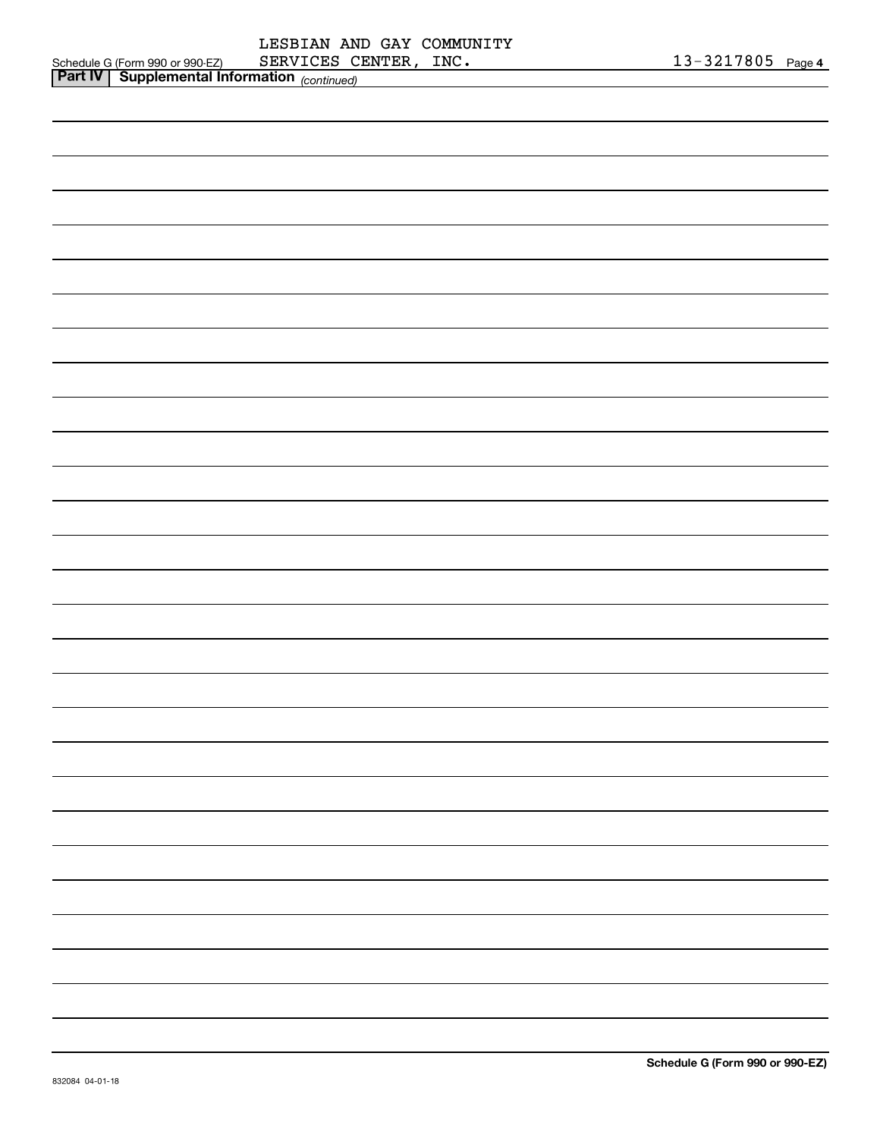|                                 | LESBIAN AND GAY COMMUNITY |                       |
|---------------------------------|---------------------------|-----------------------|
| Schedule G (Form 990 or 990-EZ) | SERVICES CENTER,<br>INC.  | $13 - 3217805$ Page 4 |
| $P - I N I R$                   |                           |                       |

| <b>Part IV   Supplemental Information</b> (continued) |
|-------------------------------------------------------|
|                                                       |
|                                                       |
|                                                       |
|                                                       |
|                                                       |
|                                                       |
|                                                       |
|                                                       |
|                                                       |
|                                                       |
|                                                       |
|                                                       |
|                                                       |
|                                                       |
|                                                       |
|                                                       |
|                                                       |
|                                                       |
|                                                       |
|                                                       |
|                                                       |
|                                                       |
|                                                       |
|                                                       |
|                                                       |
|                                                       |
|                                                       |
|                                                       |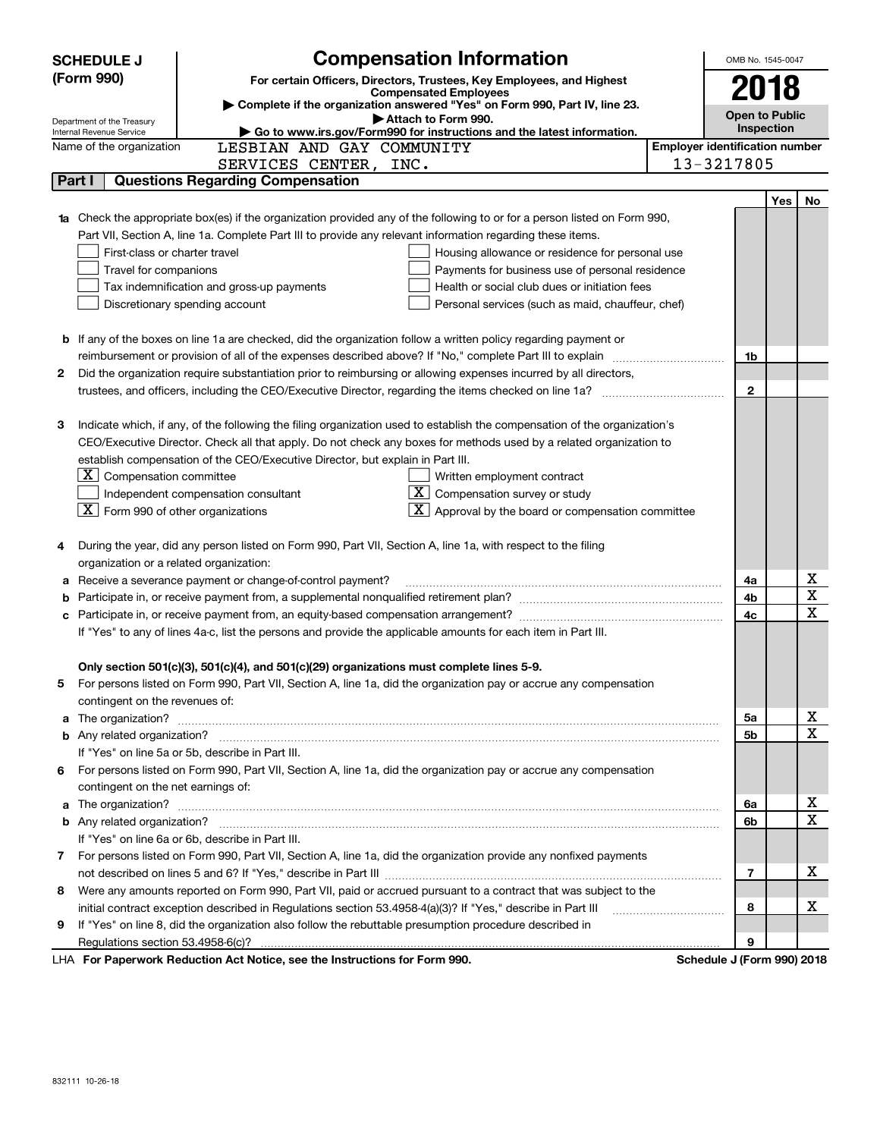|   | <b>Compensation Information</b><br><b>SCHEDULE J</b>   |                                                                                                                           |                                       | OMB No. 1545-0047          |     |             |
|---|--------------------------------------------------------|---------------------------------------------------------------------------------------------------------------------------|---------------------------------------|----------------------------|-----|-------------|
|   | (Form 990)                                             | For certain Officers, Directors, Trustees, Key Employees, and Highest                                                     |                                       |                            |     |             |
|   |                                                        | <b>Compensated Employees</b>                                                                                              |                                       | 2018                       |     |             |
|   |                                                        | Complete if the organization answered "Yes" on Form 990, Part IV, line 23.<br>Attach to Form 990.                         |                                       | <b>Open to Public</b>      |     |             |
|   | Department of the Treasury<br>Internal Revenue Service | Go to www.irs.gov/Form990 for instructions and the latest information.                                                    |                                       | Inspection                 |     |             |
|   | Name of the organization                               | LESBIAN AND GAY COMMUNITY                                                                                                 | <b>Employer identification number</b> |                            |     |             |
|   |                                                        | SERVICES CENTER, INC.                                                                                                     |                                       | 13-3217805                 |     |             |
|   | Part I                                                 | <b>Questions Regarding Compensation</b>                                                                                   |                                       |                            |     |             |
|   |                                                        |                                                                                                                           |                                       |                            | Yes | No          |
|   |                                                        | 1a Check the appropriate box(es) if the organization provided any of the following to or for a person listed on Form 990, |                                       |                            |     |             |
|   |                                                        | Part VII, Section A, line 1a. Complete Part III to provide any relevant information regarding these items.                |                                       |                            |     |             |
|   | First-class or charter travel                          | Housing allowance or residence for personal use                                                                           |                                       |                            |     |             |
|   | Travel for companions                                  | Payments for business use of personal residence                                                                           |                                       |                            |     |             |
|   |                                                        | Tax indemnification and gross-up payments<br>Health or social club dues or initiation fees                                |                                       |                            |     |             |
|   |                                                        | Discretionary spending account<br>Personal services (such as maid, chauffeur, chef)                                       |                                       |                            |     |             |
|   |                                                        |                                                                                                                           |                                       |                            |     |             |
|   |                                                        | <b>b</b> If any of the boxes on line 1a are checked, did the organization follow a written policy regarding payment or    |                                       |                            |     |             |
|   |                                                        |                                                                                                                           |                                       | 1b                         |     |             |
| 2 |                                                        | Did the organization require substantiation prior to reimbursing or allowing expenses incurred by all directors,          |                                       |                            |     |             |
|   |                                                        |                                                                                                                           |                                       | $\mathbf{2}$               |     |             |
|   |                                                        |                                                                                                                           |                                       |                            |     |             |
| З |                                                        | Indicate which, if any, of the following the filing organization used to establish the compensation of the organization's |                                       |                            |     |             |
|   |                                                        | CEO/Executive Director. Check all that apply. Do not check any boxes for methods used by a related organization to        |                                       |                            |     |             |
|   |                                                        | establish compensation of the CEO/Executive Director, but explain in Part III.                                            |                                       |                            |     |             |
|   | $X$ Compensation committee                             | Written employment contract                                                                                               |                                       |                            |     |             |
|   |                                                        | $X$ Compensation survey or study<br>Independent compensation consultant                                                   |                                       |                            |     |             |
|   | $ \mathbf{X} $ Form 990 of other organizations         | $X$ Approval by the board or compensation committee                                                                       |                                       |                            |     |             |
|   |                                                        |                                                                                                                           |                                       |                            |     |             |
| 4 |                                                        | During the year, did any person listed on Form 990, Part VII, Section A, line 1a, with respect to the filing              |                                       |                            |     |             |
|   | organization or a related organization:                |                                                                                                                           |                                       |                            |     | х           |
| а |                                                        | Receive a severance payment or change-of-control payment?                                                                 |                                       | 4a                         |     | X           |
| b |                                                        |                                                                                                                           |                                       | 4b<br>4c                   |     | $\mathbf X$ |
| с |                                                        | If "Yes" to any of lines 4a-c, list the persons and provide the applicable amounts for each item in Part III.             |                                       |                            |     |             |
|   |                                                        |                                                                                                                           |                                       |                            |     |             |
|   |                                                        | Only section 501(c)(3), 501(c)(4), and 501(c)(29) organizations must complete lines 5-9.                                  |                                       |                            |     |             |
|   |                                                        | For persons listed on Form 990, Part VII, Section A, line 1a, did the organization pay or accrue any compensation         |                                       |                            |     |             |
|   | contingent on the revenues of:                         |                                                                                                                           |                                       |                            |     |             |
|   |                                                        | a The organization? <b>Entitation</b> 2008 Communication of the organization of the organization?                         |                                       | 5а                         |     | х           |
|   |                                                        |                                                                                                                           |                                       | 5b                         |     | х           |
|   |                                                        | If "Yes" on line 5a or 5b, describe in Part III.                                                                          |                                       |                            |     |             |
|   |                                                        | 6 For persons listed on Form 990, Part VII, Section A, line 1a, did the organization pay or accrue any compensation       |                                       |                            |     |             |
|   | contingent on the net earnings of:                     |                                                                                                                           |                                       |                            |     |             |
|   |                                                        | a The organization? <b>Entitled Strategies and Strategies and Strategies</b> and The organization?                        |                                       | 6a                         |     | х           |
|   |                                                        |                                                                                                                           |                                       | 6b                         |     | х           |
|   |                                                        | If "Yes" on line 6a or 6b, describe in Part III.                                                                          |                                       |                            |     |             |
|   |                                                        | 7 For persons listed on Form 990, Part VII, Section A, line 1a, did the organization provide any nonfixed payments        |                                       |                            |     |             |
|   |                                                        |                                                                                                                           |                                       | 7                          |     | х           |
| 8 |                                                        | Were any amounts reported on Form 990, Part VII, paid or accrued pursuant to a contract that was subject to the           |                                       |                            |     |             |
|   |                                                        | initial contract exception described in Regulations section 53.4958-4(a)(3)? If "Yes," describe in Part III               |                                       | 8                          |     | х           |
| 9 |                                                        | If "Yes" on line 8, did the organization also follow the rebuttable presumption procedure described in                    |                                       |                            |     |             |
|   |                                                        |                                                                                                                           |                                       | 9                          |     |             |
|   |                                                        | LHA For Paperwork Reduction Act Notice, see the Instructions for Form 990.                                                |                                       | Schedule J (Form 990) 2018 |     |             |

832111 10-26-18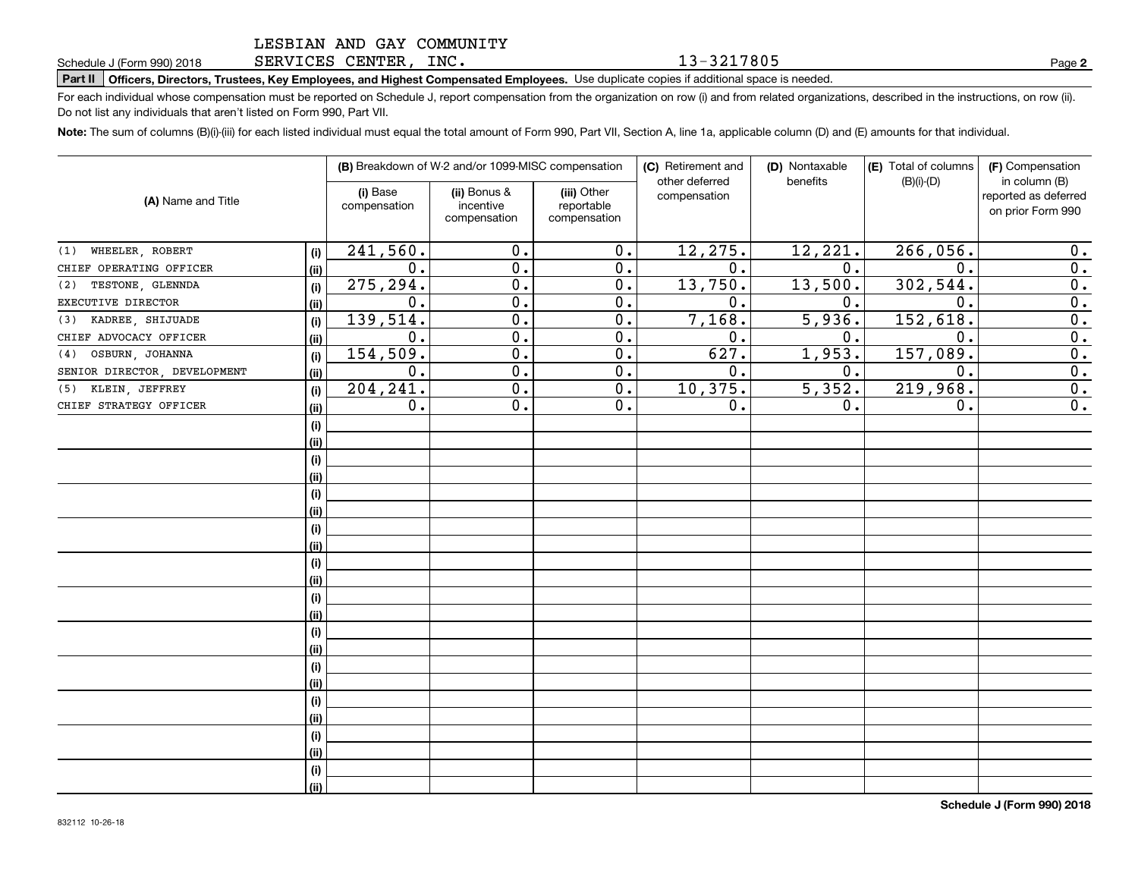SERVICES CENTER, INC.

**Part II Officers, Directors, Trustees, Key Employees, and Highest Compensated Employees.**  Schedule J (Form 990) 2018 Page Use duplicate copies if additional space is needed.

For each individual whose compensation must be reported on Schedule J, report compensation from the organization on row (i) and from related organizations, described in the instructions, on row (ii). Do not list any individuals that aren't listed on Form 990, Part VII.

**Note:**  The sum of columns (B)(i)-(iii) for each listed individual must equal the total amount of Form 990, Part VII, Section A, line 1a, applicable column (D) and (E) amounts for that individual.

|                              |      |                          | (B) Breakdown of W-2 and/or 1099-MISC compensation |                                           | (C) Retirement and<br>other deferred | (D) Nontaxable<br>benefits | (E) Total of columns<br>$(B)(i)-(D)$ | (F) Compensation<br>in column (B)         |
|------------------------------|------|--------------------------|----------------------------------------------------|-------------------------------------------|--------------------------------------|----------------------------|--------------------------------------|-------------------------------------------|
| (A) Name and Title           |      | (i) Base<br>compensation | (ii) Bonus &<br>incentive<br>compensation          | (iii) Other<br>reportable<br>compensation | compensation                         |                            |                                      | reported as deferred<br>on prior Form 990 |
| WHEELER, ROBERT<br>(1)       | (i)  | 241,560.                 | 0.                                                 | 0.                                        | 12,275.                              | 12, 221.                   | 266,056.                             | 0.                                        |
| CHIEF OPERATING OFFICER      | (ii) | 0.                       | 0.                                                 | 0.                                        | 0.                                   | 0.                         | 0.                                   | 0.                                        |
| TESTONE, GLENNDA<br>(2)      | (i)  | 275,294.                 | 0.                                                 | 0.                                        | 13,750.                              | 13,500.                    | 302,544.                             | $\overline{0}$ .                          |
| EXECUTIVE DIRECTOR           | (ii) | 0.                       | 0.                                                 | 0.                                        | 0.                                   | 0.                         | 0.                                   | $\overline{0}$ .                          |
| KADREE, SHIJUADE<br>(3)      | (i)  | 139,514.                 | 0.                                                 | 0.                                        | 7,168.                               | 5,936.                     | 152,618.                             | $\overline{0}$ .                          |
| CHIEF ADVOCACY OFFICER       | (ii) | 0.                       | 0.                                                 | 0.                                        | $\mathbf 0$ .                        | 0.                         | 0.                                   | $\overline{0}$ .                          |
| OSBURN, JOHANNA<br>(4)       | (i)  | 154,509.                 | 0.                                                 | 0.                                        | 627.                                 | 1,953.                     | 157,089.                             | $\overline{0}$ .                          |
| SENIOR DIRECTOR, DEVELOPMENT | (ii) | $0$ .                    | 0.                                                 | 0.                                        | 0.                                   | 0.                         | 0.                                   | $\overline{0}$ .                          |
| KLEIN, JEFFREY<br>(5)        | (i)  | 204, 241.                | 0.                                                 | 0.                                        | 10, 375.                             | 5,352.                     | 219,968.                             | $\overline{0}$ .                          |
| CHIEF STRATEGY OFFICER       | (ii) | 0.                       | 0.                                                 | 0.                                        | 0.                                   | 0.                         | 0.                                   | 0.                                        |
|                              | (i)  |                          |                                                    |                                           |                                      |                            |                                      |                                           |
|                              | (ii) |                          |                                                    |                                           |                                      |                            |                                      |                                           |
|                              | (i)  |                          |                                                    |                                           |                                      |                            |                                      |                                           |
|                              | (ii) |                          |                                                    |                                           |                                      |                            |                                      |                                           |
|                              | (i)  |                          |                                                    |                                           |                                      |                            |                                      |                                           |
|                              | (ii) |                          |                                                    |                                           |                                      |                            |                                      |                                           |
|                              | (i)  |                          |                                                    |                                           |                                      |                            |                                      |                                           |
|                              | (ii) |                          |                                                    |                                           |                                      |                            |                                      |                                           |
|                              | (i)  |                          |                                                    |                                           |                                      |                            |                                      |                                           |
|                              | (ii) |                          |                                                    |                                           |                                      |                            |                                      |                                           |
|                              | (i)  |                          |                                                    |                                           |                                      |                            |                                      |                                           |
|                              | (ii) |                          |                                                    |                                           |                                      |                            |                                      |                                           |
|                              | (i)  |                          |                                                    |                                           |                                      |                            |                                      |                                           |
|                              | (ii) |                          |                                                    |                                           |                                      |                            |                                      |                                           |
|                              | (i)  |                          |                                                    |                                           |                                      |                            |                                      |                                           |
|                              | (ii) |                          |                                                    |                                           |                                      |                            |                                      |                                           |
|                              | (i)  |                          |                                                    |                                           |                                      |                            |                                      |                                           |
|                              | (ii) |                          |                                                    |                                           |                                      |                            |                                      |                                           |
|                              | (i)  |                          |                                                    |                                           |                                      |                            |                                      |                                           |
|                              | (ii) |                          |                                                    |                                           |                                      |                            |                                      |                                           |
|                              | (i)  |                          |                                                    |                                           |                                      |                            |                                      |                                           |
|                              | (ii) |                          |                                                    |                                           |                                      |                            |                                      |                                           |

**2**

13-3217805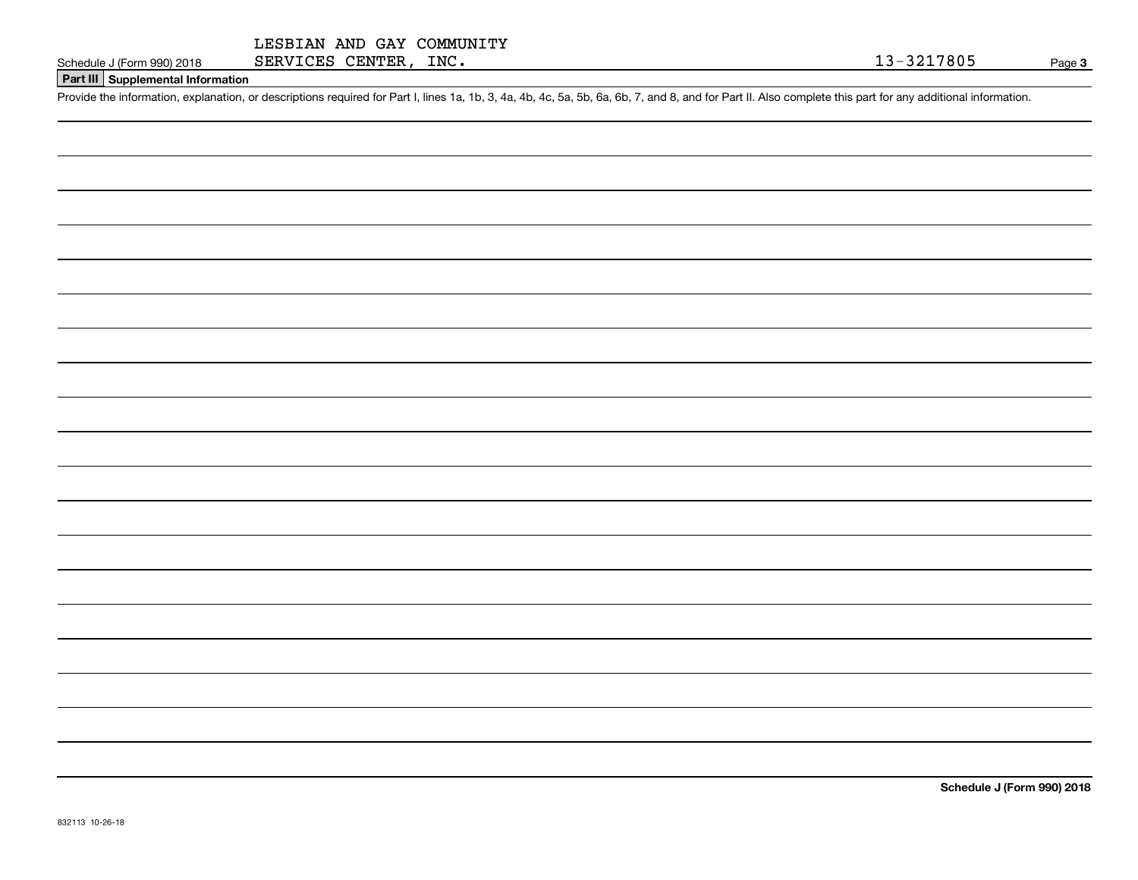|                       |  | LESBIAN AND GAY COMMUNITY |
|-----------------------|--|---------------------------|
| SERVICES CENTER, INC. |  |                           |

# **Part III Supplemental Information**

Schedule J (Form 990) 2018 SERVICES CENTER, INC.<br>
Part III Supplemental Information<br>
Provide the information, explanation, or descriptions required for Part I, lines 1a, 1b, 3, 4a, 4b, 4c, 5a, 5b, 6a, 6b, 7, and 8, and for

**Schedule J (Form 990) 2018**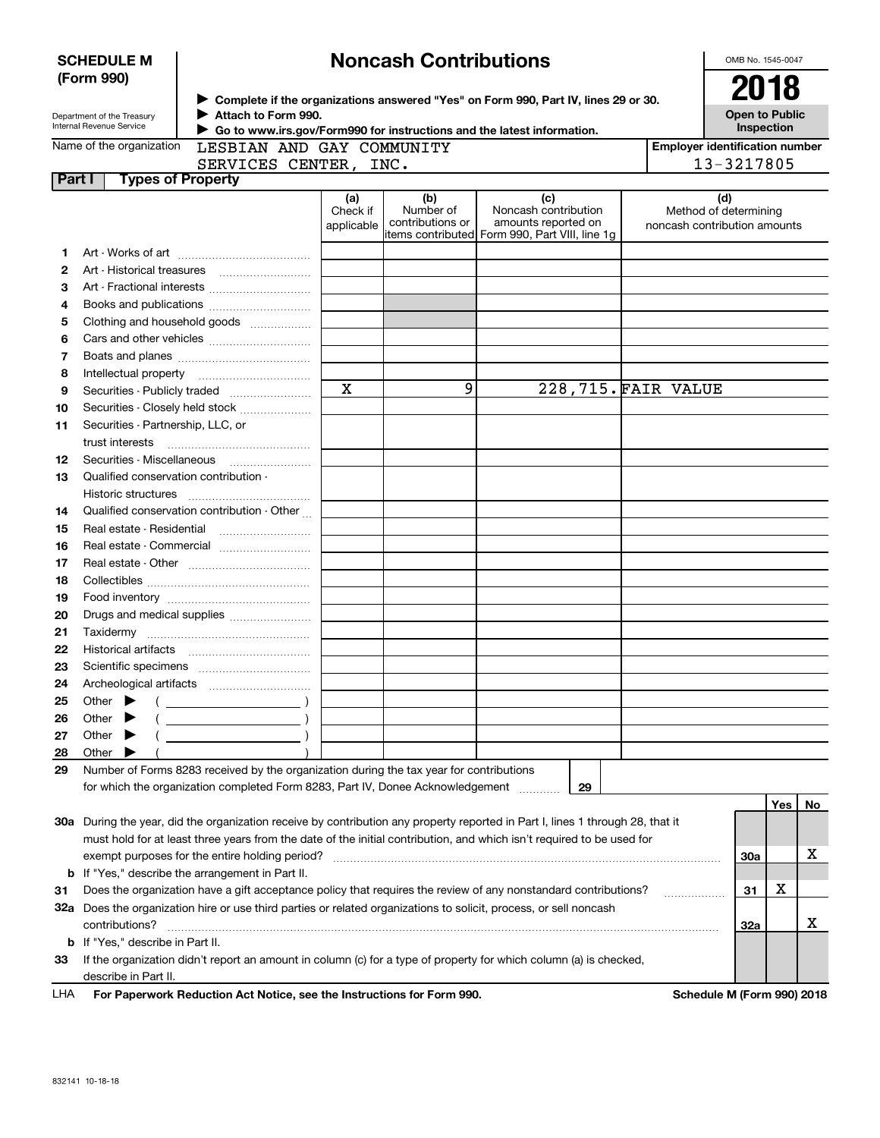|          | <b>SCHEDULE M</b>                                                                                    |                                                                                                                   | <b>Noncash Contributions</b> | OMB No. 1545-0047     |                                                                                                                                |  |                                       |     |    |
|----------|------------------------------------------------------------------------------------------------------|-------------------------------------------------------------------------------------------------------------------|------------------------------|-----------------------|--------------------------------------------------------------------------------------------------------------------------------|--|---------------------------------------|-----|----|
|          | (Form 990)                                                                                           |                                                                                                                   |                              |                       |                                                                                                                                |  | 2018                                  |     |    |
|          |                                                                                                      |                                                                                                                   |                              |                       | > Complete if the organizations answered "Yes" on Form 990, Part IV, lines 29 or 30.                                           |  |                                       |     |    |
|          | Department of the Treasury<br><b>Internal Revenue Service</b>                                        |                                                                                                                   |                              | <b>Open to Public</b> |                                                                                                                                |  |                                       |     |    |
|          |                                                                                                      |                                                                                                                   |                              |                       | Go to www.irs.gov/Form990 for instructions and the latest information.                                                         |  | Inspection                            |     |    |
|          | Name of the organization                                                                             | LESBIAN AND GAY COMMUNITY                                                                                         |                              |                       |                                                                                                                                |  | <b>Employer identification number</b> |     |    |
| Part I   |                                                                                                      | SERVICES CENTER, INC.<br><b>Types of Property</b>                                                                 |                              |                       |                                                                                                                                |  | 13-3217805                            |     |    |
|          |                                                                                                      |                                                                                                                   |                              | (b)                   |                                                                                                                                |  | (d)                                   |     |    |
|          |                                                                                                      |                                                                                                                   | (a)<br>Check if              | Number of             | (c)<br>Noncash contribution                                                                                                    |  | Method of determining                 |     |    |
|          |                                                                                                      |                                                                                                                   | applicable                   | contributions or      | amounts reported on                                                                                                            |  | noncash contribution amounts          |     |    |
|          |                                                                                                      |                                                                                                                   |                              |                       | litems contributed Form 990, Part VIII, line 1q                                                                                |  |                                       |     |    |
| 1<br>2   |                                                                                                      |                                                                                                                   |                              |                       |                                                                                                                                |  |                                       |     |    |
| з        |                                                                                                      |                                                                                                                   |                              |                       |                                                                                                                                |  |                                       |     |    |
| 4        |                                                                                                      |                                                                                                                   |                              |                       |                                                                                                                                |  |                                       |     |    |
| 5        |                                                                                                      | Clothing and household goods                                                                                      |                              |                       |                                                                                                                                |  |                                       |     |    |
| 6        |                                                                                                      |                                                                                                                   |                              |                       |                                                                                                                                |  |                                       |     |    |
| 7        |                                                                                                      |                                                                                                                   |                              |                       |                                                                                                                                |  |                                       |     |    |
|          |                                                                                                      |                                                                                                                   |                              |                       |                                                                                                                                |  |                                       |     |    |
| 8<br>9   |                                                                                                      |                                                                                                                   | $\mathbf X$                  | 9                     | 228,715. FAIR VALUE                                                                                                            |  |                                       |     |    |
|          |                                                                                                      |                                                                                                                   |                              |                       |                                                                                                                                |  |                                       |     |    |
| 10       |                                                                                                      | Securities - Closely held stock                                                                                   |                              |                       |                                                                                                                                |  |                                       |     |    |
| 11       | Securities - Partnership, LLC, or                                                                    |                                                                                                                   |                              |                       |                                                                                                                                |  |                                       |     |    |
| 12       | trust interests<br>Securities - Miscellaneous                                                        |                                                                                                                   |                              |                       |                                                                                                                                |  |                                       |     |    |
|          | Qualified conservation contribution -                                                                |                                                                                                                   |                              |                       |                                                                                                                                |  |                                       |     |    |
| 13       | Historic structures                                                                                  |                                                                                                                   |                              |                       |                                                                                                                                |  |                                       |     |    |
| 14       |                                                                                                      | Qualified conservation contribution - Other                                                                       |                              |                       |                                                                                                                                |  |                                       |     |    |
| 15       |                                                                                                      |                                                                                                                   |                              |                       |                                                                                                                                |  |                                       |     |    |
| 16       |                                                                                                      |                                                                                                                   |                              |                       |                                                                                                                                |  |                                       |     |    |
| 17       |                                                                                                      |                                                                                                                   |                              |                       |                                                                                                                                |  |                                       |     |    |
| 18       |                                                                                                      |                                                                                                                   |                              |                       |                                                                                                                                |  |                                       |     |    |
| 19       |                                                                                                      |                                                                                                                   |                              |                       |                                                                                                                                |  |                                       |     |    |
| 20       |                                                                                                      | Drugs and medical supplies                                                                                        |                              |                       |                                                                                                                                |  |                                       |     |    |
| 21       |                                                                                                      |                                                                                                                   |                              |                       |                                                                                                                                |  |                                       |     |    |
| 22       |                                                                                                      |                                                                                                                   |                              |                       |                                                                                                                                |  |                                       |     |    |
| 23       |                                                                                                      |                                                                                                                   |                              |                       |                                                                                                                                |  |                                       |     |    |
| 24       |                                                                                                      |                                                                                                                   |                              |                       |                                                                                                                                |  |                                       |     |    |
|          |                                                                                                      |                                                                                                                   |                              |                       |                                                                                                                                |  |                                       |     |    |
| 25<br>26 | Other<br>Other                                                                                       |                                                                                                                   |                              |                       |                                                                                                                                |  |                                       |     |    |
| 27       | Other                                                                                                |                                                                                                                   |                              |                       |                                                                                                                                |  |                                       |     |    |
| 28       | Other                                                                                                |                                                                                                                   |                              |                       |                                                                                                                                |  |                                       |     |    |
| 29       |                                                                                                      | Number of Forms 8283 received by the organization during the tax year for contributions                           |                              |                       |                                                                                                                                |  |                                       |     |    |
|          |                                                                                                      | for which the organization completed Form 8283, Part IV, Donee Acknowledgement                                    |                              |                       | 29                                                                                                                             |  |                                       |     |    |
|          |                                                                                                      |                                                                                                                   |                              |                       |                                                                                                                                |  |                                       | Yes | No |
|          |                                                                                                      |                                                                                                                   |                              |                       | 30a During the year, did the organization receive by contribution any property reported in Part I, lines 1 through 28, that it |  |                                       |     |    |
|          |                                                                                                      |                                                                                                                   |                              |                       | must hold for at least three years from the date of the initial contribution, and which isn't required to be used for          |  |                                       |     |    |
|          |                                                                                                      | exempt purposes for the entire holding period?                                                                    |                              |                       |                                                                                                                                |  | 30a                                   |     | х  |
| b        |                                                                                                      | If "Yes," describe the arrangement in Part II.                                                                    |                              |                       |                                                                                                                                |  |                                       |     |    |
| 31       |                                                                                                      |                                                                                                                   |                              |                       | Does the organization have a gift acceptance policy that requires the review of any nonstandard contributions?                 |  | 31                                    | х   |    |
|          |                                                                                                      | 32a Does the organization hire or use third parties or related organizations to solicit, process, or sell noncash |                              |                       |                                                                                                                                |  |                                       |     |    |
|          | contributions?                                                                                       |                                                                                                                   |                              |                       |                                                                                                                                |  | 32a                                   |     | х  |
|          | <b>b</b> If "Yes," describe in Part II.                                                              |                                                                                                                   |                              |                       |                                                                                                                                |  |                                       |     |    |
| 33       |                                                                                                      |                                                                                                                   |                              |                       | If the organization didn't report an amount in column (c) for a type of property for which column (a) is checked,              |  |                                       |     |    |
|          | describe in Part II.                                                                                 |                                                                                                                   |                              |                       |                                                                                                                                |  |                                       |     |    |
| LHA      | For Paperwork Reduction Act Notice, see the Instructions for Form 990.<br>Schedule M (Form 990) 2018 |                                                                                                                   |                              |                       |                                                                                                                                |  |                                       |     |    |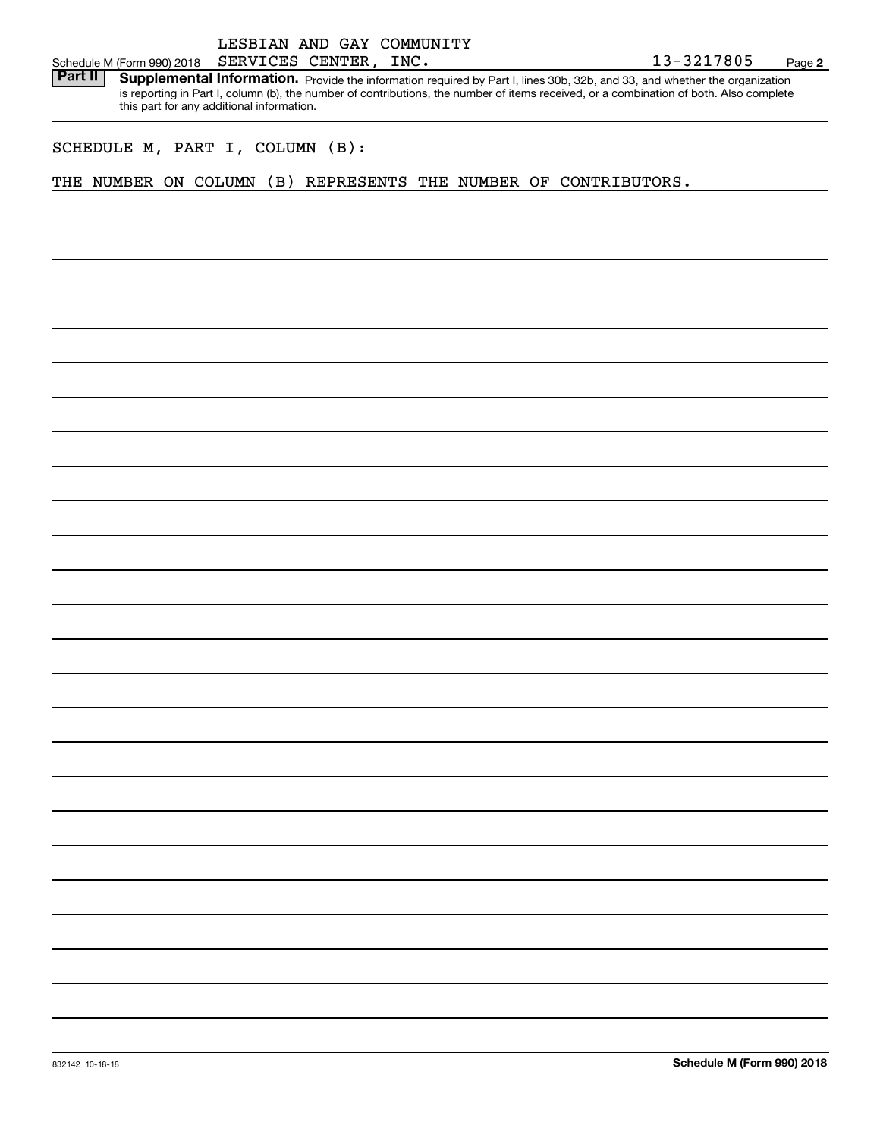Schedule M (Form 990) 2018  ${\tt SERVICES}$   ${\tt CENTER}$  ,  ${\tt INC.}$   ${\tt 13-3217805}$   ${\tt Page}$ 

Part II | Supplemental Information. Provide the information required by Part I, lines 30b, 32b, and 33, and whether the organization is reporting in Part I, column (b), the number of contributions, the number of items received, or a combination of both. Also complete this part for any additional information.

# SCHEDULE M, PART I, COLUMN (B):

THE NUMBER ON COLUMN (B) REPRESENTS THE NUMBER OF CONTRIBUTORS.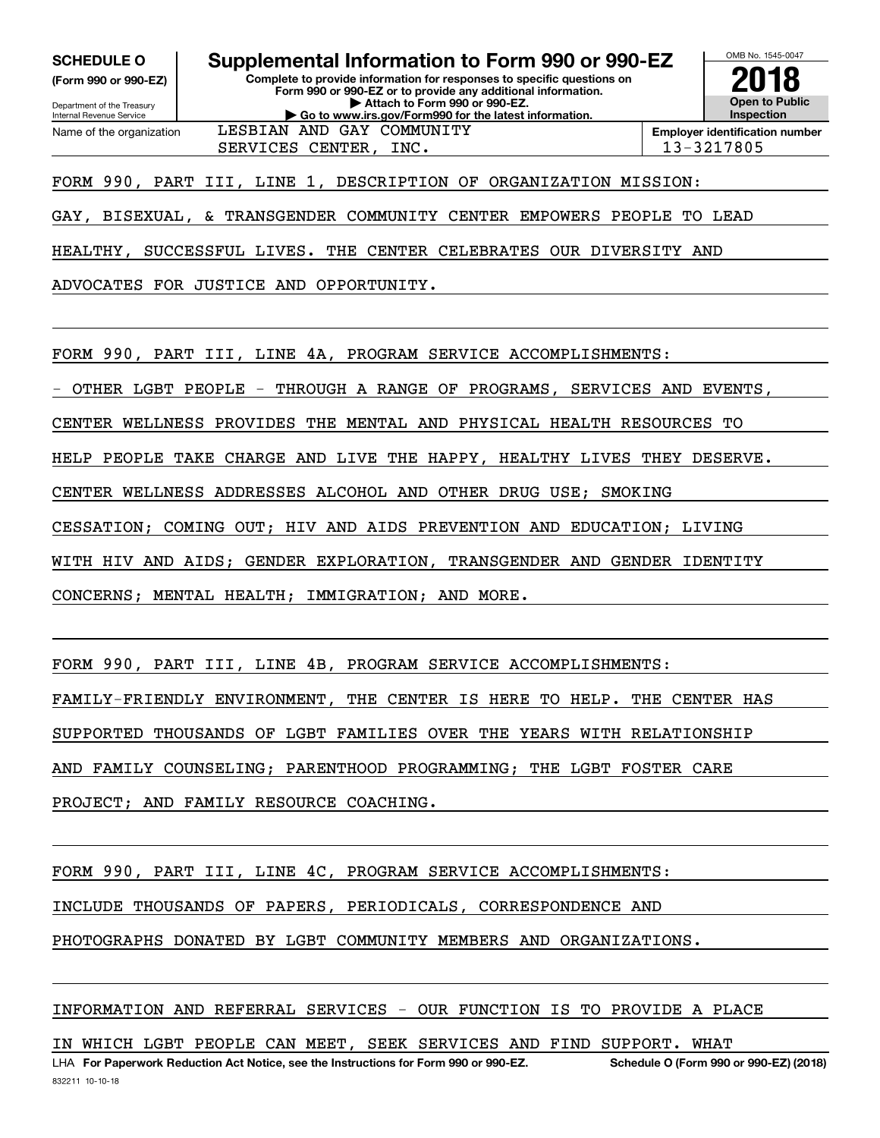**(Form 990 or 990-EZ)**

Department of the Treasury Internal Revenue Service Name of the organization

### OMB No. 1545-0047 **Complete to provide information for responses to specific questions on Form 990 or 990-EZ or to provide any additional information. | Attach to Form 990 or 990-EZ. | Go to www.irs.gov/Form990 for the latest information. Open to Public InspectionSCHEDULE O Supplemental Information to Form 990 or 990-EZ 2018**

SERVICES CENTER, INC. 13-3217805 LESBIAN AND GAY COMMUNITY

**Employer identification number**

# FORM 990, PART III, LINE 1, DESCRIPTION OF ORGANIZATION MISSION:

GAY, BISEXUAL, & TRANSGENDER COMMUNITY CENTER EMPOWERS PEOPLE TO LEAD

HEALTHY, SUCCESSFUL LIVES. THE CENTER CELEBRATES OUR DIVERSITY AND

ADVOCATES FOR JUSTICE AND OPPORTUNITY.

FORM 990, PART III, LINE 4A, PROGRAM SERVICE ACCOMPLISHMENTS:

- OTHER LGBT PEOPLE - THROUGH A RANGE OF PROGRAMS, SERVICES AND EVENTS,

CENTER WELLNESS PROVIDES THE MENTAL AND PHYSICAL HEALTH RESOURCES TO

HELP PEOPLE TAKE CHARGE AND LIVE THE HAPPY, HEALTHY LIVES THEY DESERVE.

CENTER WELLNESS ADDRESSES ALCOHOL AND OTHER DRUG USE; SMOKING

CESSATION; COMING OUT; HIV AND AIDS PREVENTION AND EDUCATION; LIVING

WITH HIV AND AIDS; GENDER EXPLORATION, TRANSGENDER AND GENDER IDENTITY

CONCERNS; MENTAL HEALTH; IMMIGRATION; AND MORE.

FORM 990, PART III, LINE 4B, PROGRAM SERVICE ACCOMPLISHMENTS:

FAMILY-FRIENDLY ENVIRONMENT, THE CENTER IS HERE TO HELP. THE CENTER HAS

SUPPORTED THOUSANDS OF LGBT FAMILIES OVER THE YEARS WITH RELATIONSHIP

AND FAMILY COUNSELING; PARENTHOOD PROGRAMMING; THE LGBT FOSTER CARE

PROJECT; AND FAMILY RESOURCE COACHING.

FORM 990, PART III, LINE 4C, PROGRAM SERVICE ACCOMPLISHMENTS:

INCLUDE THOUSANDS OF PAPERS, PERIODICALS, CORRESPONDENCE AND

PHOTOGRAPHS DONATED BY LGBT COMMUNITY MEMBERS AND ORGANIZATIONS.

# INFORMATION AND REFERRAL SERVICES - OUR FUNCTION IS TO PROVIDE A PLACE

IN WHICH LGBT PEOPLE CAN MEET, SEEK SERVICES AND FIND SUPPORT. WHAT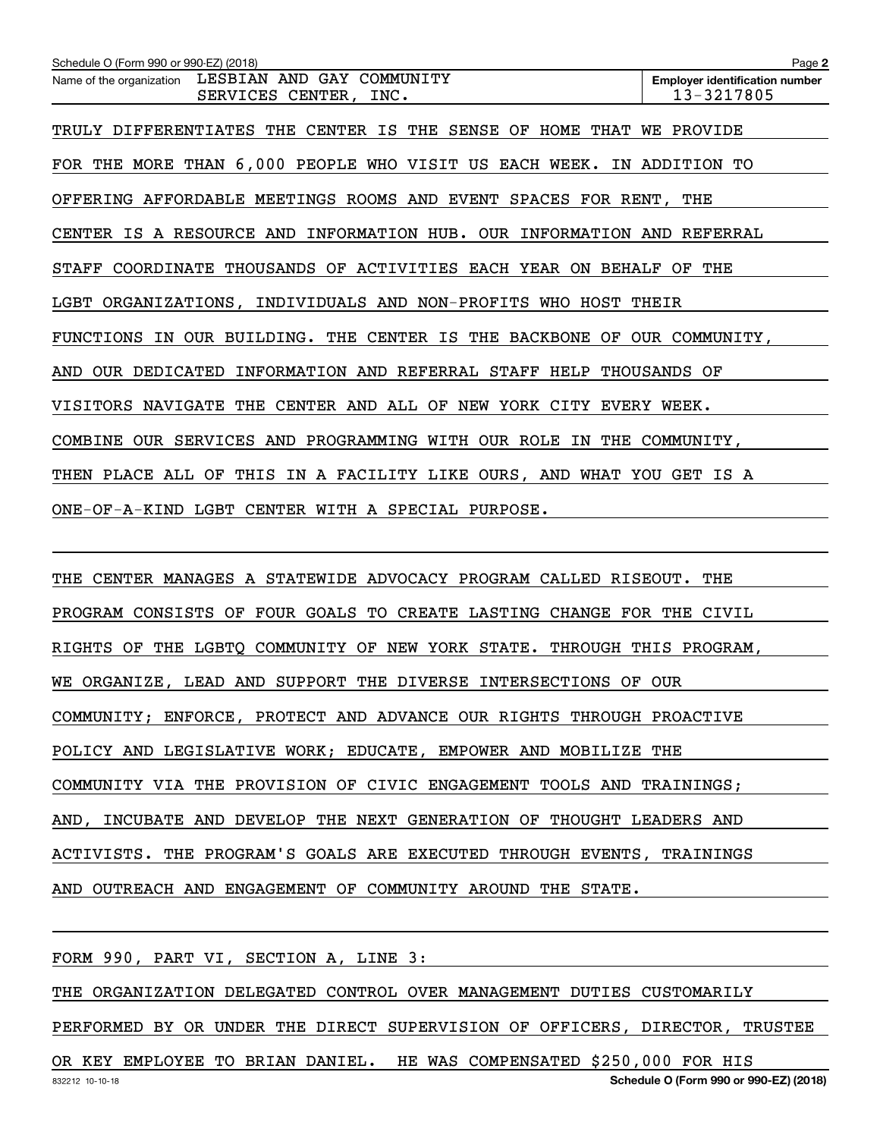| Schedule O (Form 990 or 990-EZ) (2018)                                         | Page 2                                              |  |
|--------------------------------------------------------------------------------|-----------------------------------------------------|--|
| LESBIAN AND GAY COMMUNITY<br>Name of the organization<br>SERVICES CENTER, INC. | <b>Employer identification number</b><br>13-3217805 |  |
| TRULY DIFFERENTIATES THE<br>CENTER IS THE SENSE<br>HOME<br>OF<br>THAT          | WE<br>PROVIDE                                       |  |
| FOR THE MORE THAN 6,000 PEOPLE WHO VISIT US EACH WEEK.                         | IN ADDITION TO                                      |  |
| OFFERING AFFORDABLE MEETINGS ROOMS AND EVENT SPACES FOR RENT, THE              |                                                     |  |
| CENTER IS A RESOURCE AND INFORMATION HUB. OUR INFORMATION AND                  | REFERRAL                                            |  |
| COORDINATE THOUSANDS OF ACTIVITIES EACH YEAR ON BEHALF<br>THE<br>STAFF<br>OF   |                                                     |  |
| INDIVIDUALS AND NON-PROFITS WHO HOST THEIR<br>LGBT ORGANIZATIONS,              |                                                     |  |
| IN OUR BUILDING. THE CENTER IS THE BACKBONE OF<br>FUNCTIONS                    | OUR COMMUNITY,                                      |  |
| OUR DEDICATED<br>INFORMATION AND REFERRAL STAFF HELP THOUSANDS<br>AND          | OF                                                  |  |
| CENTER AND ALL OF NEW YORK CITY EVERY WEEK.<br>VISITORS NAVIGATE<br>THE        |                                                     |  |
| COMBINE OUR SERVICES AND PROGRAMMING WITH OUR ROLE<br>IN THE COMMUNITY,        |                                                     |  |
| THEN PLACE ALL OF THIS IN A FACILITY LIKE OURS, AND WHAT YOU GET IS A          |                                                     |  |
| ONE-OF-A-KIND LGBT<br>CENTER WITH A SPECIAL PURPOSE.                           |                                                     |  |

THE CENTER MANAGES A STATEWIDE ADVOCACY PROGRAM CALLED RISEOUT. THE PROGRAM CONSISTS OF FOUR GOALS TO CREATE LASTING CHANGE FOR THE CIVIL RIGHTS OF THE LGBTQ COMMUNITY OF NEW YORK STATE. THROUGH THIS PROGRAM, WE ORGANIZE, LEAD AND SUPPORT THE DIVERSE INTERSECTIONS OF OUR COMMUNITY; ENFORCE, PROTECT AND ADVANCE OUR RIGHTS THROUGH PROACTIVE POLICY AND LEGISLATIVE WORK; EDUCATE, EMPOWER AND MOBILIZE THE COMMUNITY VIA THE PROVISION OF CIVIC ENGAGEMENT TOOLS AND TRAININGS; AND, INCUBATE AND DEVELOP THE NEXT GENERATION OF THOUGHT LEADERS AND ACTIVISTS. THE PROGRAM'S GOALS ARE EXECUTED THROUGH EVENTS, TRAININGS AND OUTREACH AND ENGAGEMENT OF COMMUNITY AROUND THE STATE.

FORM 990, PART VI, SECTION A, LINE 3:

THE ORGANIZATION DELEGATED CONTROL OVER MANAGEMENT DUTIES CUSTOMARILY

PERFORMED BY OR UNDER THE DIRECT SUPERVISION OF OFFICERS, DIRECTOR, TRUSTEE

OR KEY EMPLOYEE TO BRIAN DANIEL. HE WAS COMPENSATED \$250,000 FOR HIS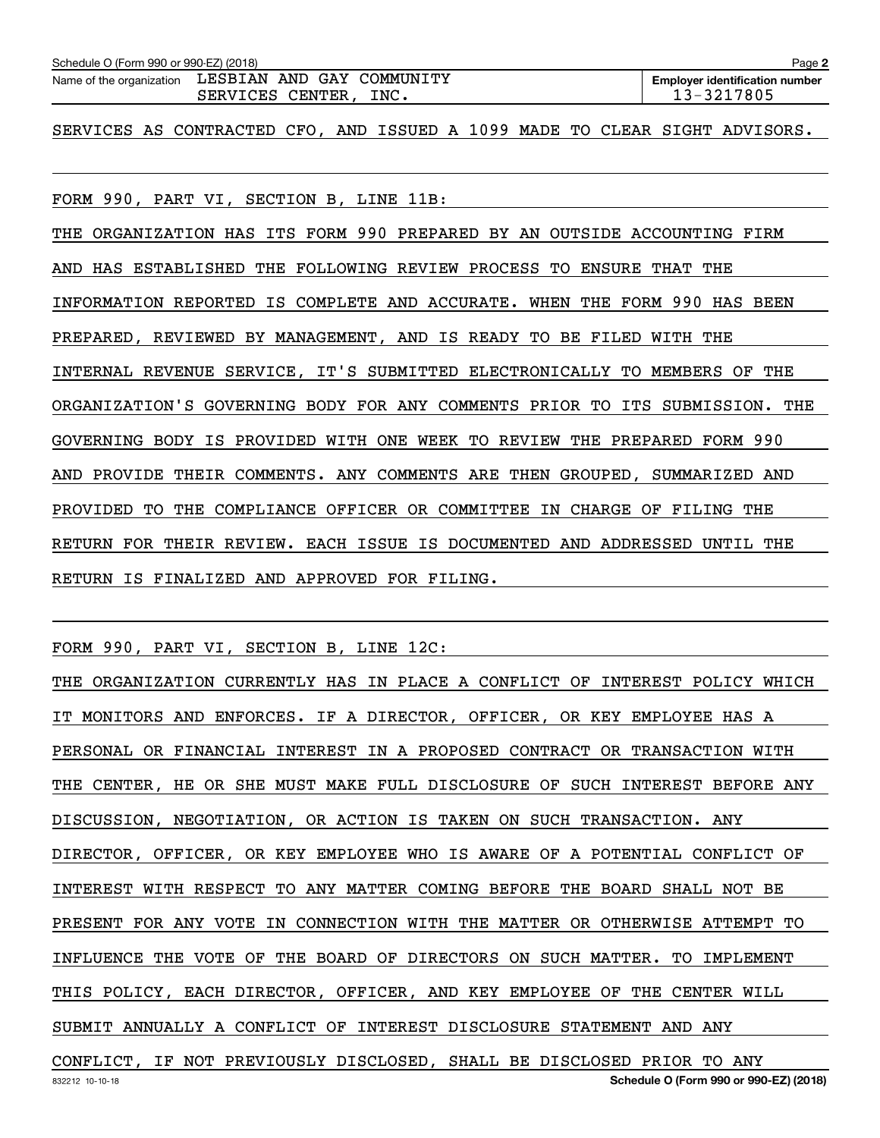| Schedule O (Form 990 or 990-EZ) (2018) |                                                                                | Page 2                                                                                                                                                                                                                                                    |
|----------------------------------------|--------------------------------------------------------------------------------|-----------------------------------------------------------------------------------------------------------------------------------------------------------------------------------------------------------------------------------------------------------|
|                                        | Name of the organization LESBIAN AND GAY COMMUNITY<br>SERVICES CENTER.<br>INC. | <b>Employer identification number</b><br>13-3217805                                                                                                                                                                                                       |
|                                        |                                                                                | $-1.0001 - 1.0001 - 1.0001 - 1.0001 - 1.0001 - 1.0001 - 1.0001 - 1.0001 - 1.0001 - 1.0001 - 1.0001 - 1.0001 - 1.0001 - 1.0001 - 1.0001 - 1.0001 - 1.0001 - 1.0001 - 1.0001 - 1.0001 - 1.0001 - 1.0001 - 1.0001 - 1.0001 - 1.0001 - 1.0001 - 1.0001 - 1.0$ |

SERVICES AS CONTRACTED CFO, AND ISSUED A 1099 MADE TO CLEAR SIGHT ADVISORS.

FORM 990, PART VI, SECTION B, LINE 11B:

THE ORGANIZATION HAS ITS FORM 990 PREPARED BY AN OUTSIDE ACCOUNTING FIRM AND HAS ESTABLISHED THE FOLLOWING REVIEW PROCESS TO ENSURE THAT THE INFORMATION REPORTED IS COMPLETE AND ACCURATE. WHEN THE FORM 990 HAS BEEN PREPARED, REVIEWED BY MANAGEMENT, AND IS READY TO BE FILED WITH THE INTERNAL REVENUE SERVICE, IT'S SUBMITTED ELECTRONICALLY TO MEMBERS OF THE ORGANIZATION'S GOVERNING BODY FOR ANY COMMENTS PRIOR TO ITS SUBMISSION. THE GOVERNING BODY IS PROVIDED WITH ONE WEEK TO REVIEW THE PREPARED FORM 990 AND PROVIDE THEIR COMMENTS. ANY COMMENTS ARE THEN GROUPED, SUMMARIZED AND PROVIDED TO THE COMPLIANCE OFFICER OR COMMITTEE IN CHARGE OF FILING THE RETURN FOR THEIR REVIEW. EACH ISSUE IS DOCUMENTED AND ADDRESSED UNTIL THE RETURN IS FINALIZED AND APPROVED FOR FILING.

FORM 990, PART VI, SECTION B, LINE 12C:

THE ORGANIZATION CURRENTLY HAS IN PLACE A CONFLICT OF INTEREST POLICY WHICH IT MONITORS AND ENFORCES. IF A DIRECTOR, OFFICER, OR KEY EMPLOYEE HAS A PERSONAL OR FINANCIAL INTEREST IN A PROPOSED CONTRACT OR TRANSACTION WITH THE CENTER, HE OR SHE MUST MAKE FULL DISCLOSURE OF SUCH INTEREST BEFORE ANY DISCUSSION, NEGOTIATION, OR ACTION IS TAKEN ON SUCH TRANSACTION. ANY DIRECTOR, OFFICER, OR KEY EMPLOYEE WHO IS AWARE OF A POTENTIAL CONFLICT OF INTEREST WITH RESPECT TO ANY MATTER COMING BEFORE THE BOARD SHALL NOT BE PRESENT FOR ANY VOTE IN CONNECTION WITH THE MATTER OR OTHERWISE ATTEMPT TO INFLUENCE THE VOTE OF THE BOARD OF DIRECTORS ON SUCH MATTER. TO IMPLEMENT THIS POLICY, EACH DIRECTOR, OFFICER, AND KEY EMPLOYEE OF THE CENTER WILL SUBMIT ANNUALLY A CONFLICT OF INTEREST DISCLOSURE STATEMENT AND ANY CONFLICT, IF NOT PREVIOUSLY DISCLOSED, SHALL BE DISCLOSED PRIOR TO ANY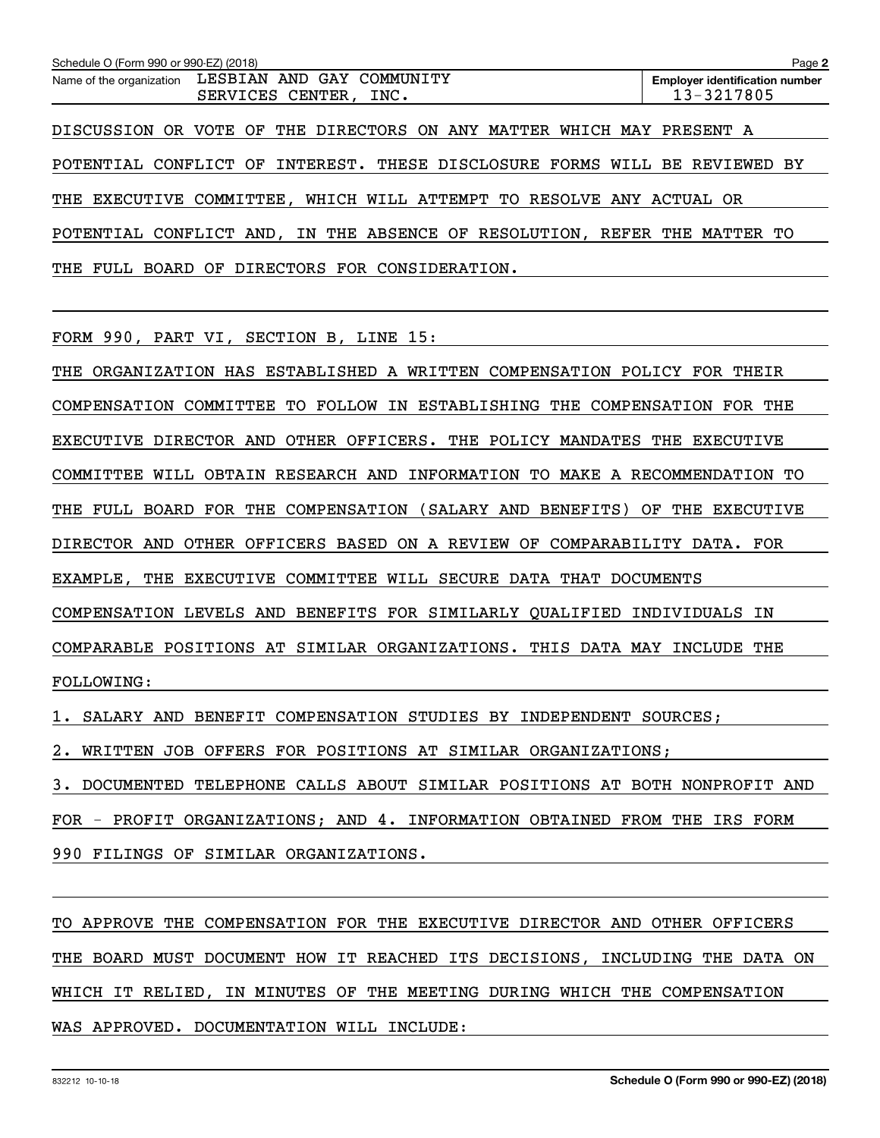| Schedule O (Form 990 or 990-EZ) (2018) |                                                                            | Page 2                                              |
|----------------------------------------|----------------------------------------------------------------------------|-----------------------------------------------------|
| Name of the organization               | LESBIAN AND GAY<br>COMMUNITY<br>SERVICES CENTER, INC.                      | <b>Employer identification number</b><br>13-3217805 |
|                                        | DISCUSSION OR VOTE OF THE DIRECTORS ON ANY MATTER WHICH MAY PRESENT A      |                                                     |
|                                        | POTENTIAL CONFLICT OF INTEREST. THESE DISCLOSURE FORMS WILL BE REVIEWED BY |                                                     |
|                                        | THE EXECUTIVE COMMITTEE, WHICH WILL ATTEMPT TO RESOLVE ANY ACTUAL OR       |                                                     |
|                                        | POTENTIAL CONFLICT AND, IN THE ABSENCE OF RESOLUTION, REFER THE MATTER TO  |                                                     |
|                                        | THE FULL BOARD OF DIRECTORS FOR CONSIDERATION.                             |                                                     |

FORM 990, PART VI, SECTION B, LINE 15:

THE ORGANIZATION HAS ESTABLISHED A WRITTEN COMPENSATION POLICY FOR THEIR COMPENSATION COMMITTEE TO FOLLOW IN ESTABLISHING THE COMPENSATION FOR THE EXECUTIVE DIRECTOR AND OTHER OFFICERS. THE POLICY MANDATES THE EXECUTIVE COMMITTEE WILL OBTAIN RESEARCH AND INFORMATION TO MAKE A RECOMMENDATION TO THE FULL BOARD FOR THE COMPENSATION (SALARY AND BENEFITS) OF THE EXECUTIVE DIRECTOR AND OTHER OFFICERS BASED ON A REVIEW OF COMPARABILITY DATA. FOR EXAMPLE, THE EXECUTIVE COMMITTEE WILL SECURE DATA THAT DOCUMENTS COMPENSATION LEVELS AND BENEFITS FOR SIMILARLY QUALIFIED INDIVIDUALS IN COMPARABLE POSITIONS AT SIMILAR ORGANIZATIONS. THIS DATA MAY INCLUDE THE FOLLOWING:

1. SALARY AND BENEFIT COMPENSATION STUDIES BY INDEPENDENT SOURCES;

2. WRITTEN JOB OFFERS FOR POSITIONS AT SIMILAR ORGANIZATIONS;

3. DOCUMENTED TELEPHONE CALLS ABOUT SIMILAR POSITIONS AT BOTH NONPROFIT AND

FOR - PROFIT ORGANIZATIONS; AND 4. INFORMATION OBTAINED FROM THE IRS FORM

990 FILINGS OF SIMILAR ORGANIZATIONS.

TO APPROVE THE COMPENSATION FOR THE EXECUTIVE DIRECTOR AND OTHER OFFICERS THE BOARD MUST DOCUMENT HOW IT REACHED ITS DECISIONS, INCLUDING THE DATA ON WHICH IT RELIED, IN MINUTES OF THE MEETING DURING WHICH THE COMPENSATION WAS APPROVED. DOCUMENTATION WILL INCLUDE: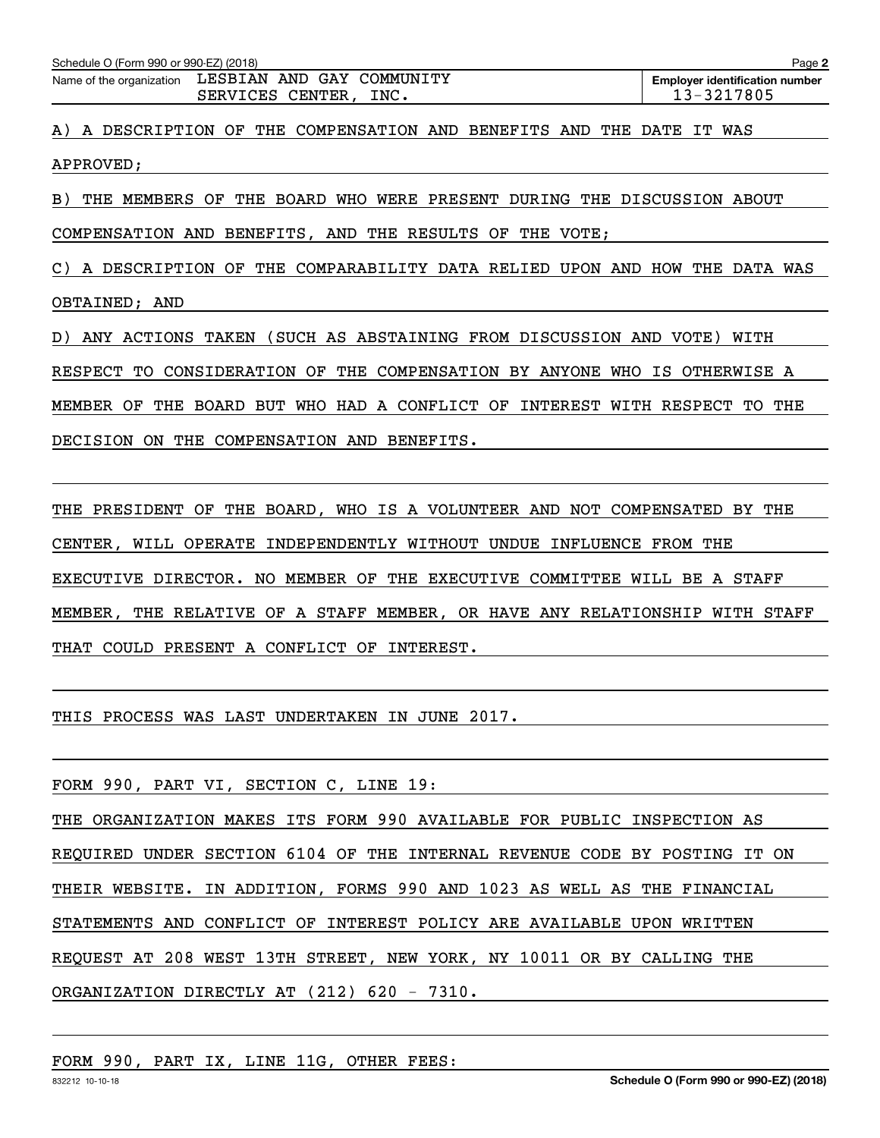Schedule O (Form 990 or 990-EZ) (2018) Page Name of the organization LESBIAN AND GAY COMMUNITY SERVICES CENTER, INC. 13-3217805

**Employer identification number**

A) A DESCRIPTION OF THE COMPENSATION AND BENEFITS AND THE DATE IT WAS APPROVED;

B) THE MEMBERS OF THE BOARD WHO WERE PRESENT DURING THE DISCUSSION ABOUT

COMPENSATION AND BENEFITS, AND THE RESULTS OF THE VOTE;

C) A DESCRIPTION OF THE COMPARABILITY DATA RELIED UPON AND HOW THE DATA WAS OBTAINED; AND

D) ANY ACTIONS TAKEN (SUCH AS ABSTAINING FROM DISCUSSION AND VOTE) WITH RESPECT TO CONSIDERATION OF THE COMPENSATION BY ANYONE WHO IS OTHERWISE A MEMBER OF THE BOARD BUT WHO HAD A CONFLICT OF INTEREST WITH RESPECT TO THE DECISION ON THE COMPENSATION AND BENEFITS.

THE PRESIDENT OF THE BOARD, WHO IS A VOLUNTEER AND NOT COMPENSATED BY THE CENTER, WILL OPERATE INDEPENDENTLY WITHOUT UNDUE INFLUENCE FROM THE EXECUTIVE DIRECTOR. NO MEMBER OF THE EXECUTIVE COMMITTEE WILL BE A STAFF MEMBER, THE RELATIVE OF A STAFF MEMBER, OR HAVE ANY RELATIONSHIP WITH STAFF THAT COULD PRESENT A CONFLICT OF INTEREST.

THIS PROCESS WAS LAST UNDERTAKEN IN JUNE 2017.

FORM 990, PART VI, SECTION C, LINE 19:

THE ORGANIZATION MAKES ITS FORM 990 AVAILABLE FOR PUBLIC INSPECTION AS REQUIRED UNDER SECTION 6104 OF THE INTERNAL REVENUE CODE BY POSTING IT ON THEIR WEBSITE. IN ADDITION, FORMS 990 AND 1023 AS WELL AS THE FINANCIAL STATEMENTS AND CONFLICT OF INTEREST POLICY ARE AVAILABLE UPON WRITTEN REQUEST AT 208 WEST 13TH STREET, NEW YORK, NY 10011 OR BY CALLING THE ORGANIZATION DIRECTLY AT (212) 620 - 7310.